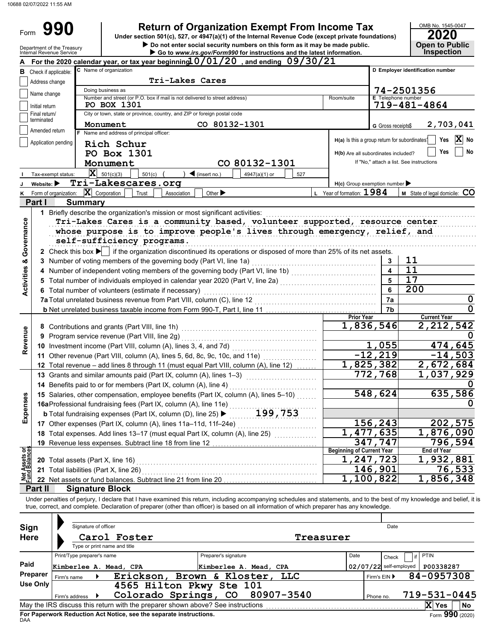Form 990

**Return of Organization Exempt From Income Tax 990 <sup>2020</sup> Under section 501(c), 527, or 4947(a)(1) of the Internal Revenue Code (except private foundations)**

|                                        | Department of the Treasury<br>Internal Revenue Service | Do not enter social security numbers on this form as it may be made public.<br>Go to www.irs.gov/Form990 for instructions and the latest information.                     |                                             | <b>Open to Public</b><br><b>Inspection</b>                   |
|----------------------------------------|--------------------------------------------------------|---------------------------------------------------------------------------------------------------------------------------------------------------------------------------|---------------------------------------------|--------------------------------------------------------------|
|                                        |                                                        | For the 2020 calendar year, or tax year beginning $0/01/20$ , and ending $09/30/21$                                                                                       |                                             |                                                              |
| в                                      | Check if applicable:                                   | C Name of organization                                                                                                                                                    |                                             | D Employer identification number                             |
|                                        | Address change                                         | Tri-Lakes Cares                                                                                                                                                           |                                             |                                                              |
|                                        |                                                        | Doing business as                                                                                                                                                         |                                             | 74-2501356                                                   |
|                                        | Name change                                            | Number and street (or P.O. box if mail is not delivered to street address)<br>Room/suite                                                                                  |                                             | E Telephone number                                           |
|                                        | Initial return                                         | PO BOX 1301                                                                                                                                                               |                                             | 719-481-4864                                                 |
|                                        | Final return/<br>terminated                            | City or town, state or province, country, and ZIP or foreign postal code                                                                                                  |                                             |                                                              |
|                                        | Amended return                                         | CO 80132-1301<br>Monument                                                                                                                                                 |                                             | 2,703,041<br>G Gross receipts\$                              |
|                                        |                                                        | F Name and address of principal officer:                                                                                                                                  |                                             | X No<br>Yes<br>H(a) Is this a group return for subordinates? |
|                                        | Application pending                                    | Rich Schur                                                                                                                                                                |                                             |                                                              |
|                                        |                                                        | PO Box 1301                                                                                                                                                               | H(b) Are all subordinates included?         | Yes<br>No                                                    |
|                                        |                                                        | CO 80132-1301<br>Monument                                                                                                                                                 |                                             | If "No," attach a list. See instructions                     |
|                                        | Tax-exempt status:                                     | $ \mathbf{X} $ 501(c)(3)<br>$\blacktriangleleft$ (insert no.)<br>501(c)<br>4947(a)(1) or<br>527                                                                           |                                             |                                                              |
|                                        | Website: $\blacktriangleright$                         | Tri-Lakescares.org                                                                                                                                                        | $H(c)$ Group exemption number               |                                                              |
|                                        | Form of organization:                                  | $ \mathbf{X} $ Corporation<br>Other $\blacktriangleright$<br>Trust<br>Association                                                                                         | L Year of formation: 1984                   | M State of legal domicile: CO                                |
|                                        | Part I                                                 | <b>Summary</b>                                                                                                                                                            |                                             |                                                              |
|                                        |                                                        | 1 Briefly describe the organization's mission or most significant activities:                                                                                             |                                             |                                                              |
|                                        |                                                        | Tri-Lakes Cares is a community based, volunteer supported, resource center                                                                                                |                                             |                                                              |
|                                        |                                                        | whose purpose is to improve people's lives through emergency, relief, and                                                                                                 |                                             |                                                              |
|                                        |                                                        | self-sufficiency programs.                                                                                                                                                |                                             |                                                              |
| Governance                             |                                                        | 2 Check this box $\blacktriangleright$ if the organization discontinued its operations or disposed of more than 25% of its net assets.                                    |                                             |                                                              |
|                                        |                                                        | 3 Number of voting members of the governing body (Part VI, line 1a)                                                                                                       |                                             | 11<br>3                                                      |
|                                        |                                                        | 4 Number of independent voting members of the governing body (Part VI, line 1b) [[[[[[[[[[[[[[[[[[[[[[[[[[[[[                                                             |                                             | $\overline{11}$<br>$\overline{\mathbf{4}}$                   |
|                                        |                                                        |                                                                                                                                                                           |                                             | $\overline{17}$<br>5                                         |
| <b>Activities &amp;</b>                |                                                        | 6 Total number of volunteers (estimate if necessary)                                                                                                                      |                                             | 200<br>6                                                     |
|                                        |                                                        | 7a Total unrelated business revenue from Part VIII, column (C), line 12                                                                                                   |                                             | 0<br>7a                                                      |
|                                        |                                                        |                                                                                                                                                                           |                                             | 0<br>7b                                                      |
|                                        |                                                        |                                                                                                                                                                           | <b>Prior Year</b>                           | <b>Current Year</b>                                          |
|                                        |                                                        |                                                                                                                                                                           | 1,836,546                                   | 2, 212, 542                                                  |
| Revenue                                |                                                        | 9 Program service revenue (Part VIII, line 2g)                                                                                                                            |                                             |                                                              |
|                                        |                                                        | 10 Investment income (Part VIII, column (A), lines 3, 4, and 7d)                                                                                                          | 1,055                                       | 474,645                                                      |
|                                        |                                                        | 11 Other revenue (Part VIII, column (A), lines 5, 6d, 8c, 9c, 10c, and 11e)                                                                                               | $-12,219$                                   | $-14,503$                                                    |
|                                        |                                                        | 12 Total revenue - add lines 8 through 11 (must equal Part VIII, column (A), line 12)                                                                                     | 1,825,382                                   | 2,672,684                                                    |
|                                        |                                                        | 13 Grants and similar amounts paid (Part IX, column (A), lines 1-3)                                                                                                       | 772,768                                     | 1,037,929                                                    |
|                                        |                                                        | 14 Benefits paid to or for members (Part IX, column (A), line 4)                                                                                                          |                                             |                                                              |
| ses                                    |                                                        | 15 Salaries, other compensation, employee benefits (Part IX, column (A), lines 5-10)                                                                                      | 548,624                                     | 635,586                                                      |
|                                        |                                                        | 16aProfessional fundraising fees (Part IX, column (A), line 11e)                                                                                                          |                                             |                                                              |
| Exper                                  |                                                        | 199,753<br><b>b</b> Total fundraising expenses (Part IX, column (D), line 25) ▶                                                                                           |                                             |                                                              |
|                                        |                                                        | 17 Other expenses (Part IX, column (A), lines 11a-11d, 11f-24e)                                                                                                           | 156,243                                     | 202,575                                                      |
|                                        |                                                        | 18 Total expenses. Add lines 13-17 (must equal Part IX, column (A), line 25)                                                                                              | $\overline{1,477,635}$                      | 1,876,090                                                    |
|                                        |                                                        | 19 Revenue less expenses. Subtract line 18 from line 12                                                                                                                   | 347,747<br><b>Beginning of Current Year</b> | 796,594<br><b>End of Year</b>                                |
| <b>Net Assets or<br/>Fund Balances</b> |                                                        | 20 Total assets (Part X, line 16)                                                                                                                                         | 1,247,723                                   | <u>1,932,881</u>                                             |
|                                        |                                                        | 21 Total liabilities (Part X, line 26)                                                                                                                                    | 146,901                                     | 76,533                                                       |
|                                        |                                                        | 22 Net assets or fund balances. Subtract line 21 from line 20                                                                                                             | 1,100,822                                   | 1,856,348                                                    |
|                                        | Part II                                                | <b>Signature Block</b>                                                                                                                                                    |                                             |                                                              |
|                                        |                                                        | Under penalties of perjury, I declare that I have examined this return, including accompanying schedules and statements, and to the best of my knowledge and belief, it i |                                             |                                                              |
|                                        |                                                        | true, correct, and complete. Declaration of preparer (other than officer) is based on all information of which preparer has any knowledge.                                |                                             |                                                              |
|                                        |                                                        |                                                                                                                                                                           |                                             |                                                              |
| Sign                                   |                                                        | Signature of officer                                                                                                                                                      |                                             | Date                                                         |
| Here                                   |                                                        | Carol Foster<br>Treasurer                                                                                                                                                 |                                             |                                                              |
|                                        |                                                        | Type or print name and title                                                                                                                                              |                                             |                                                              |
|                                        |                                                        | Print/Type preparer's name<br>Preparer's signature                                                                                                                        | Date                                        | PTIN<br>Check                                                |
| Paid                                   |                                                        | Kimberlee A. Mead, CPA<br>Kimberlee A. Mead, CPA                                                                                                                          | $02/07/22$ self-employed                    | P00338287                                                    |
|                                        | Preparer<br>Firm's name                                | Erickson, Brown & Kloster,<br><b>LLC</b>                                                                                                                                  | Firm's EIN ▶                                | 84-0957308                                                   |
|                                        | Use Only                                               | 4565 Hilton Pkwy Ste 101                                                                                                                                                  |                                             |                                                              |
|                                        | Firm's address                                         | Colorado Springs, CO<br>80907-3540                                                                                                                                        | Phone no.                                   | 719-531-0445                                                 |
|                                        |                                                        | May the IRS discuss this return with the preparer shown above? See instructions                                                                                           |                                             | X Yes<br>No.                                                 |
|                                        |                                                        |                                                                                                                                                                           |                                             |                                                              |

| Sign        |                            | Signature of officer |                                                                                 |                          |                                   |      |           | Date                       |  |              |                 |
|-------------|----------------------------|----------------------|---------------------------------------------------------------------------------|--------------------------|-----------------------------------|------|-----------|----------------------------|--|--------------|-----------------|
| <b>Here</b> |                            |                      | Carol Foster<br>Type or print name and title                                    |                          | Treasurer                         |      |           |                            |  |              |                 |
|             | Print/Type preparer's name |                      |                                                                                 | Preparer's signature     |                                   | Date |           | Check                      |  | <b>PTIN</b>  |                 |
| Paid        |                            |                      | Kimberlee A. Mead, CPA                                                          |                          | Kimberlee A. Mead, CPA            |      |           | $02/07/22$ self-employed   |  | P00338287    |                 |
| Preparer    | Firm's name                |                      |                                                                                 |                          | Erickson, Brown & Kloster,<br>LLC |      |           | 84-0957308<br>Firm's $EIN$ |  |              |                 |
| Use Only    |                            |                      |                                                                                 | 4565 Hilton Pkwy Ste 101 |                                   |      |           |                            |  |              |                 |
|             | Firm's address             |                      |                                                                                 | Colorado Springs, CO     | 80907-3540                        |      | Phone no. |                            |  | 719-531-0445 |                 |
|             |                            |                      | May the IRS discuss this return with the preparer shown above? See instructions |                          |                                   |      |           |                            |  | IХ<br>Yes    | l No            |
| <b>DAA</b>  |                            |                      | For Paperwork Reduction Act Notice, see the separate instructions.              |                          |                                   |      |           |                            |  |              | Form 990 (2020) |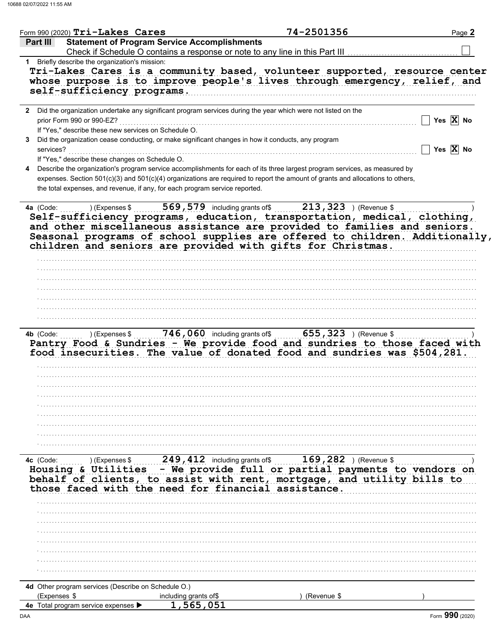|                           | Form 990 (2020) $\texttt{Tri-Lakes}$ Cares          |                                                                             | 74-2501356                                                                                                                                                                                                                                                                                      | Page 2                |
|---------------------------|-----------------------------------------------------|-----------------------------------------------------------------------------|-------------------------------------------------------------------------------------------------------------------------------------------------------------------------------------------------------------------------------------------------------------------------------------------------|-----------------------|
| Part III                  |                                                     | <b>Statement of Program Service Accomplishments</b>                         |                                                                                                                                                                                                                                                                                                 |                       |
| 1.                        |                                                     |                                                                             | Check if Schedule O contains a response or note to any line in this Part III [11] [11] [11] [11] [11] [11] [1                                                                                                                                                                                   |                       |
|                           | Briefly describe the organization's mission:        |                                                                             | Tri-Lakes Cares is a community based, volunteer supported, resource center                                                                                                                                                                                                                      |                       |
|                           |                                                     |                                                                             | whose purpose is to improve people's lives through emergency, relief, and                                                                                                                                                                                                                       |                       |
|                           | self-sufficiency programs.                          |                                                                             |                                                                                                                                                                                                                                                                                                 |                       |
|                           |                                                     |                                                                             |                                                                                                                                                                                                                                                                                                 |                       |
|                           |                                                     |                                                                             | Did the organization undertake any significant program services during the year which were not listed on the                                                                                                                                                                                    |                       |
|                           | prior Form 990 or 990-EZ?                           |                                                                             |                                                                                                                                                                                                                                                                                                 | Yes $\overline{X}$ No |
|                           |                                                     | If "Yes," describe these new services on Schedule O.                        |                                                                                                                                                                                                                                                                                                 |                       |
|                           |                                                     |                                                                             | Did the organization cease conducting, or make significant changes in how it conducts, any program                                                                                                                                                                                              | Yes $\overline{X}$ No |
| services?                 | If "Yes," describe these changes on Schedule O.     |                                                                             |                                                                                                                                                                                                                                                                                                 |                       |
|                           |                                                     |                                                                             | Describe the organization's program service accomplishments for each of its three largest program services, as measured by                                                                                                                                                                      |                       |
|                           |                                                     |                                                                             | expenses. Section 501(c)(3) and 501(c)(4) organizations are required to report the amount of grants and allocations to others,                                                                                                                                                                  |                       |
|                           |                                                     | the total expenses, and revenue, if any, for each program service reported. |                                                                                                                                                                                                                                                                                                 |                       |
|                           |                                                     |                                                                             |                                                                                                                                                                                                                                                                                                 |                       |
| 4a (Code:                 | ) (Expenses \$                                      | 569, 579 including grants of\$                                              | 213, 323 ) (Revenue \$<br>Self-sufficiency programs, education, transportation, medical, clothing,                                                                                                                                                                                              |                       |
|                           |                                                     |                                                                             | and other miscellaneous assistance are provided to families and seniors.<br>Seasonal programs of school supplies are offered to children. Additionally,<br>children and seniors are provided with gifts for Christmas.                                                                          |                       |
|                           |                                                     |                                                                             |                                                                                                                                                                                                                                                                                                 |                       |
|                           |                                                     |                                                                             |                                                                                                                                                                                                                                                                                                 |                       |
|                           |                                                     |                                                                             |                                                                                                                                                                                                                                                                                                 |                       |
|                           |                                                     |                                                                             |                                                                                                                                                                                                                                                                                                 |                       |
|                           |                                                     |                                                                             |                                                                                                                                                                                                                                                                                                 |                       |
|                           |                                                     |                                                                             |                                                                                                                                                                                                                                                                                                 |                       |
| 4b (Code:                 | ) (Expenses \$                                      | 746, 060 including grants of\$                                              | $655,323$ ) (Revenue \$<br>Pantry Food & Sundries - We provide food and sundries to those faced with                                                                                                                                                                                            |                       |
|                           |                                                     |                                                                             | food insecurities. The value of donated food and sundries was \$504,281.                                                                                                                                                                                                                        |                       |
|                           |                                                     |                                                                             |                                                                                                                                                                                                                                                                                                 |                       |
|                           |                                                     |                                                                             |                                                                                                                                                                                                                                                                                                 |                       |
|                           |                                                     |                                                                             |                                                                                                                                                                                                                                                                                                 |                       |
|                           |                                                     |                                                                             |                                                                                                                                                                                                                                                                                                 |                       |
|                           |                                                     |                                                                             |                                                                                                                                                                                                                                                                                                 |                       |
|                           |                                                     |                                                                             |                                                                                                                                                                                                                                                                                                 |                       |
|                           |                                                     |                                                                             | 4c (Code: )(Expenses\$ 249,412 including grants of\$ 169,282 ) (Revenue \$ 169,282 ) (Revenue \$ 169,282 ) (Revenue \$ 169,282 ) (Revenue \$ 169,282 ) (Revenue \$ 169,282 ) (Revenue \$ 169,282 ) (Revenue \$ 169,282 ) (Revenue \$ 169<br>those faced with the need for financial assistance. |                       |
|                           |                                                     |                                                                             |                                                                                                                                                                                                                                                                                                 |                       |
|                           |                                                     |                                                                             |                                                                                                                                                                                                                                                                                                 |                       |
|                           |                                                     |                                                                             |                                                                                                                                                                                                                                                                                                 |                       |
|                           |                                                     |                                                                             |                                                                                                                                                                                                                                                                                                 |                       |
|                           |                                                     |                                                                             |                                                                                                                                                                                                                                                                                                 |                       |
|                           |                                                     |                                                                             |                                                                                                                                                                                                                                                                                                 |                       |
|                           |                                                     |                                                                             |                                                                                                                                                                                                                                                                                                 |                       |
|                           |                                                     |                                                                             |                                                                                                                                                                                                                                                                                                 |                       |
| 4c (Code:<br>(Expenses \$ | 4d Other program services (Describe on Schedule O.) | including grants of\$                                                       | (Revenue \$                                                                                                                                                                                                                                                                                     |                       |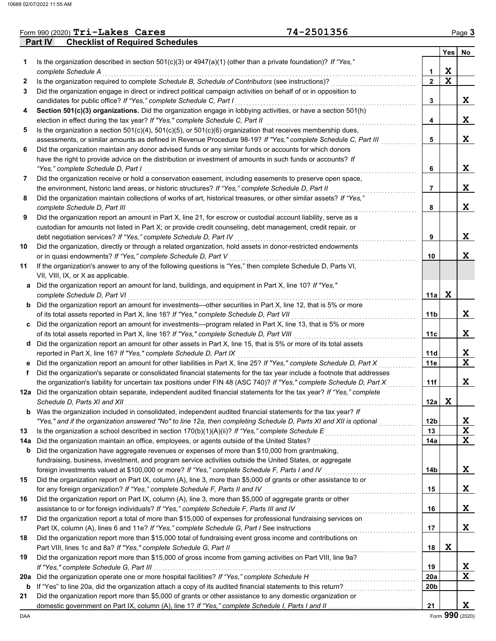|                 | Part IV<br><b>Checklist of Required Schedules</b>                                                                                                                                                           |                 | <b>Yes</b>  | No          |
|-----------------|-------------------------------------------------------------------------------------------------------------------------------------------------------------------------------------------------------------|-----------------|-------------|-------------|
| 1.              | Is the organization described in section 501(c)(3) or $4947(a)(1)$ (other than a private foundation)? If "Yes,"                                                                                             |                 |             |             |
|                 | complete Schedule A                                                                                                                                                                                         | 1               | X           |             |
| 2               | Is the organization required to complete Schedule B, Schedule of Contributors (see instructions)?                                                                                                           | $\mathbf{2}$    | $\mathbf x$ |             |
| 3               | Did the organization engage in direct or indirect political campaign activities on behalf of or in opposition to                                                                                            |                 |             |             |
|                 | candidates for public office? If "Yes," complete Schedule C, Part I                                                                                                                                         | 3               |             | X           |
| 4               | Section 501(c)(3) organizations. Did the organization engage in lobbying activities, or have a section 501(h)                                                                                               |                 |             |             |
|                 | election in effect during the tax year? If "Yes," complete Schedule C, Part II                                                                                                                              | 4               |             | X           |
| 5               | Is the organization a section $501(c)(4)$ , $501(c)(5)$ , or $501(c)(6)$ organization that receives membership dues,                                                                                        |                 |             |             |
|                 | assessments, or similar amounts as defined in Revenue Procedure 98-19? If "Yes," complete Schedule C, Part III                                                                                              | 5               |             | X           |
| 6               | Did the organization maintain any donor advised funds or any similar funds or accounts for which donors                                                                                                     |                 |             |             |
|                 | have the right to provide advice on the distribution or investment of amounts in such funds or accounts? If                                                                                                 |                 |             |             |
|                 | "Yes," complete Schedule D, Part I                                                                                                                                                                          | 6               |             | X           |
| 7               | Did the organization receive or hold a conservation easement, including easements to preserve open space,                                                                                                   |                 |             |             |
|                 | the environment, historic land areas, or historic structures? If "Yes," complete Schedule D, Part II                                                                                                        | 7               |             | X           |
| 8               | Did the organization maintain collections of works of art, historical treasures, or other similar assets? If "Yes,"                                                                                         |                 |             |             |
|                 | complete Schedule D, Part III                                                                                                                                                                               | 8               |             | X           |
| 9               | Did the organization report an amount in Part X, line 21, for escrow or custodial account liability, serve as a                                                                                             |                 |             |             |
|                 | custodian for amounts not listed in Part X; or provide credit counseling, debt management, credit repair, or                                                                                                |                 |             |             |
|                 | debt negotiation services? If "Yes," complete Schedule D, Part IV                                                                                                                                           | 9               |             | X           |
| 10              | Did the organization, directly or through a related organization, hold assets in donor-restricted endowments                                                                                                |                 |             |             |
|                 | or in quasi endowments? If "Yes," complete Schedule D, Part V                                                                                                                                               | 10              |             | X           |
| 11              | If the organization's answer to any of the following questions is "Yes," then complete Schedule D, Parts VI,                                                                                                |                 |             |             |
|                 | VII, VIII, IX, or X as applicable.                                                                                                                                                                          |                 |             |             |
| a               | Did the organization report an amount for land, buildings, and equipment in Part X, line 10? If "Yes,"                                                                                                      |                 |             |             |
|                 | complete Schedule D, Part VI                                                                                                                                                                                | 11a l           | X           |             |
|                 | <b>b</b> Did the organization report an amount for investments—other securities in Part X, line 12, that is 5% or more                                                                                      |                 |             |             |
|                 | of its total assets reported in Part X, line 16? If "Yes," complete Schedule D, Part VII                                                                                                                    | 11 <sub>b</sub> |             | X           |
| C               | Did the organization report an amount for investments—program related in Part X, line 13, that is 5% or more                                                                                                |                 |             |             |
|                 | of its total assets reported in Part X, line 16? If "Yes," complete Schedule D, Part VIII                                                                                                                   | 11c             |             | X           |
| d               | Did the organization report an amount for other assets in Part X, line 15, that is 5% or more of its total assets                                                                                           |                 |             |             |
|                 | reported in Part X, line 16? If "Yes," complete Schedule D, Part IX                                                                                                                                         | 11d             |             | X           |
| е               | Did the organization report an amount for other liabilities in Part X, line 25? If "Yes," complete Schedule D, Part X                                                                                       | <b>11e</b>      |             | X           |
| f               | Did the organization's separate or consolidated financial statements for the tax year include a footnote that addresses                                                                                     |                 |             |             |
|                 | the organization's liability for uncertain tax positions under FIN 48 (ASC 740)? If "Yes," complete Schedule D, Part X                                                                                      | 11f             |             | X           |
|                 | 12a Did the organization obtain separate, independent audited financial statements for the tax year? If "Yes," complete                                                                                     |                 |             |             |
|                 |                                                                                                                                                                                                             | 12a             | X           |             |
| b               | Was the organization included in consolidated, independent audited financial statements for the tax year? If                                                                                                |                 |             |             |
|                 | "Yes," and if the organization answered "No" to line 12a, then completing Schedule D, Parts XI and XII is optional                                                                                          | 12b             |             | X           |
| 13              | Is the organization a school described in section 170(b)(1)(A)(ii)? If "Yes," complete Schedule E                                                                                                           | 13              |             | X           |
| 14a             | Did the organization maintain an office, employees, or agents outside of the United States?                                                                                                                 | 14a             |             | X           |
| b               | Did the organization have aggregate revenues or expenses of more than \$10,000 from grantmaking,                                                                                                            |                 |             |             |
|                 | fundraising, business, investment, and program service activities outside the United States, or aggregate                                                                                                   |                 |             |             |
|                 | foreign investments valued at \$100,000 or more? If "Yes," complete Schedule F, Parts I and IV                                                                                                              | 14b             |             | X           |
| 15              | Did the organization report on Part IX, column (A), line 3, more than \$5,000 of grants or other assistance to or                                                                                           |                 |             |             |
|                 | for any foreign organization? If "Yes," complete Schedule F, Parts II and IV                                                                                                                                | 15              |             | X           |
| 16              | Did the organization report on Part IX, column (A), line 3, more than \$5,000 of aggregate grants or other                                                                                                  |                 |             |             |
|                 | assistance to or for foreign individuals? If "Yes," complete Schedule F, Parts III and IV                                                                                                                   | 16              |             | X           |
| 17              | Did the organization report a total of more than \$15,000 of expenses for professional fundraising services on                                                                                              |                 |             |             |
|                 | Part IX, column (A), lines 6 and 11e? If "Yes," complete Schedule G, Part I See instructions                                                                                                                | 17              |             | X           |
| 18              | Did the organization report more than \$15,000 total of fundraising event gross income and contributions on                                                                                                 |                 |             |             |
|                 | Part VIII, lines 1c and 8a? If "Yes," complete Schedule G, Part II                                                                                                                                          | 18              | X           |             |
|                 | Did the organization report more than \$15,000 of gross income from gaming activities on Part VIII, line 9a?                                                                                                |                 |             |             |
|                 |                                                                                                                                                                                                             | 19              |             | X           |
|                 |                                                                                                                                                                                                             |                 |             |             |
|                 |                                                                                                                                                                                                             | 20a             |             |             |
| b               | Did the organization operate one or more hospital facilities? If "Yes," complete Schedule H<br>If "Yes" to line 20a, did the organization attach a copy of its audited financial statements to this return? | 20 <sub>b</sub> |             |             |
| 19<br>20a<br>21 | Did the organization report more than \$5,000 of grants or other assistance to any domestic organization or                                                                                                 |                 |             | $\mathbf x$ |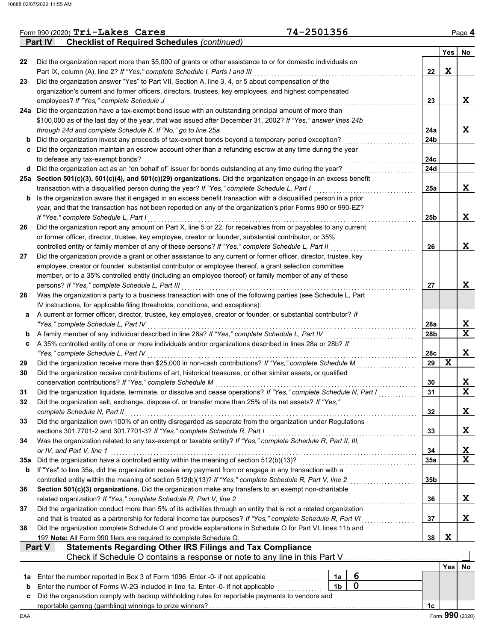|     | Part IV<br><b>Checklist of Required Schedules (continued)</b>                                                      |     |                 |             |
|-----|--------------------------------------------------------------------------------------------------------------------|-----|-----------------|-------------|
|     |                                                                                                                    |     | Yes             | No          |
| 22  | Did the organization report more than \$5,000 of grants or other assistance to or for domestic individuals on      |     |                 |             |
|     | Part IX, column (A), line 2? If "Yes," complete Schedule I, Parts I and III                                        | 22  | X               |             |
| 23  | Did the organization answer "Yes" to Part VII, Section A, line 3, 4, or 5 about compensation of the                |     |                 |             |
|     | organization's current and former officers, directors, trustees, key employees, and highest compensated            |     |                 |             |
|     | employees? If "Yes," complete Schedule J                                                                           | 23  |                 | X           |
|     | 24a Did the organization have a tax-exempt bond issue with an outstanding principal amount of more than            |     |                 |             |
|     | \$100,000 as of the last day of the year, that was issued after December 31, 2002? If "Yes," answer lines 24b      |     |                 |             |
|     | through 24d and complete Schedule K. If "No," go to line 25a                                                       | 24a |                 | X           |
| b   | Did the organization invest any proceeds of tax-exempt bonds beyond a temporary period exception?                  | 24b |                 |             |
| c   | Did the organization maintain an escrow account other than a refunding escrow at any time during the year          |     |                 |             |
|     | to defease any tax-exempt bonds?                                                                                   | 24c |                 |             |
| d   | Did the organization act as an "on behalf of" issuer for bonds outstanding at any time during the year?            | 24d |                 |             |
|     | 25a Section 501(c)(3), 501(c)(4), and 501(c)(29) organizations. Did the organization engage in an excess benefit   |     |                 |             |
|     |                                                                                                                    |     |                 | X           |
|     | transaction with a disqualified person during the year? If "Yes," complete Schedule L, Part I                      | 25a |                 |             |
| b   | Is the organization aware that it engaged in an excess benefit transaction with a disqualified person in a prior   |     |                 |             |
|     | year, and that the transaction has not been reported on any of the organization's prior Forms 990 or 990-EZ?       |     |                 |             |
|     | If "Yes," complete Schedule L, Part I                                                                              | 25b |                 | X           |
| 26  | Did the organization report any amount on Part X, line 5 or 22, for receivables from or payables to any current    |     |                 |             |
|     | or former officer, director, trustee, key employee, creator or founder, substantial contributor, or 35%            |     |                 |             |
|     | controlled entity or family member of any of these persons? If "Yes," complete Schedule L, Part II                 | 26  |                 | X           |
| 27  | Did the organization provide a grant or other assistance to any current or former officer, director, trustee, key  |     |                 |             |
|     | employee, creator or founder, substantial contributor or employee thereof, a grant selection committee             |     |                 |             |
|     | member, or to a 35% controlled entity (including an employee thereof) or family member of any of these             |     |                 |             |
|     | persons? If "Yes," complete Schedule L, Part III                                                                   | 27  |                 | X           |
| 28  | Was the organization a party to a business transaction with one of the following parties (see Schedule L, Part     |     |                 |             |
|     | IV instructions, for applicable filing thresholds, conditions, and exceptions):                                    |     |                 |             |
| a   | A current or former officer, director, trustee, key employee, creator or founder, or substantial contributor? If   |     |                 |             |
|     | "Yes," complete Schedule L, Part IV                                                                                | 28a |                 | X           |
| b   | A family member of any individual described in line 28a? If "Yes," complete Schedule L, Part IV                    | 28b |                 | $\mathbf x$ |
| с   | A 35% controlled entity of one or more individuals and/or organizations described in lines 28a or 28b? If          |     |                 |             |
|     | "Yes," complete Schedule L, Part IV                                                                                | 28c |                 | X           |
| 29  | Did the organization receive more than \$25,000 in non-cash contributions? If "Yes," complete Schedule M           | 29  | $\mathbf x$     |             |
| 30  | Did the organization receive contributions of art, historical treasures, or other similar assets, or qualified     |     |                 |             |
|     | conservation contributions? If "Yes," complete Schedule M                                                          | 30  |                 | X           |
| 31  | Did the organization liquidate, terminate, or dissolve and cease operations? If "Yes," complete Schedule N, Part I | 31  |                 | $\mathbf x$ |
| 32  | Did the organization sell, exchange, dispose of, or transfer more than 25% of its net assets? If "Yes,"            |     |                 |             |
|     | complete Schedule N, Part II                                                                                       | 32  |                 | X           |
| 33  | Did the organization own 100% of an entity disregarded as separate from the organization under Regulations         |     |                 |             |
|     | sections 301.7701-2 and 301.7701-3? If "Yes," complete Schedule R, Part I                                          | 33  |                 | X           |
|     | Was the organization related to any tax-exempt or taxable entity? If "Yes," complete Schedule R, Part II, III,     |     |                 |             |
| 34  | or IV, and Part V, line 1                                                                                          |     |                 | X           |
|     |                                                                                                                    | 34  |                 | $\mathbf x$ |
|     | 35a Did the organization have a controlled entity within the meaning of section 512(b)(13)?                        | 35a |                 |             |
| b   | If "Yes" to line 35a, did the organization receive any payment from or engage in any transaction with a            |     |                 |             |
|     | controlled entity within the meaning of section 512(b)(13)? If "Yes," complete Schedule R, Part V, line 2          | 35b |                 |             |
| 36  | Section 501(c)(3) organizations. Did the organization make any transfers to an exempt non-charitable               |     |                 |             |
|     | related organization? If "Yes," complete Schedule R, Part V, line 2                                                | 36  |                 | X           |
| 37  | Did the organization conduct more than 5% of its activities through an entity that is not a related organization   |     |                 |             |
|     | and that is treated as a partnership for federal income tax purposes? If "Yes," complete Schedule R, Part VI       | 37  |                 | X           |
| 38  | Did the organization complete Schedule O and provide explanations in Schedule O for Part VI, lines 11b and         |     |                 |             |
|     | 19? Note: All Form 990 filers are required to complete Schedule O.                                                 | 38  | X               |             |
|     | <b>Statements Regarding Other IRS Filings and Tax Compliance</b><br>Part V                                         |     |                 |             |
|     | Check if Schedule O contains a response or note to any line in this Part V                                         |     |                 |             |
|     |                                                                                                                    |     | Yes             | No          |
| 1a  | 6<br>Enter the number reported in Box 3 of Form 1096. Enter -0- if not applicable<br>1a                            |     |                 |             |
| b   | $\mathbf 0$<br>1 <sub>b</sub><br>Enter the number of Forms W-2G included in line 1a. Enter -0- if not applicable   |     |                 |             |
| c   | Did the organization comply with backup withholding rules for reportable payments to vendors and                   |     |                 |             |
|     |                                                                                                                    | 1c  |                 |             |
| DAA |                                                                                                                    |     | Form 990 (2020) |             |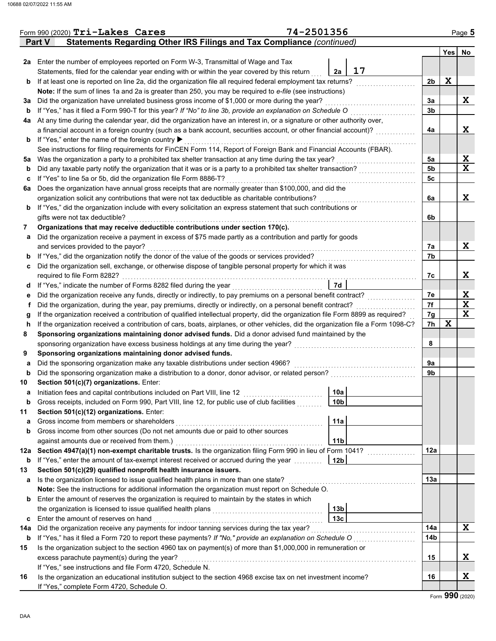|     | Form 990 $(2020)$ Tri-Lakes Cares                                                                                                  | 74-2501356      |                |   | Page 5      |
|-----|------------------------------------------------------------------------------------------------------------------------------------|-----------------|----------------|---|-------------|
|     | Statements Regarding Other IRS Filings and Tax Compliance (continued)<br><b>Part V</b>                                             |                 |                |   |             |
|     |                                                                                                                                    |                 |                |   | Yes No      |
| 2a  | Enter the number of employees reported on Form W-3, Transmittal of Wage and Tax                                                    |                 |                |   |             |
|     | Statements, filed for the calendar year ending with or within the year covered by this return                                      | 17<br>2a        |                |   |             |
| b   | If at least one is reported on line 2a, did the organization file all required federal employment tax returns?                     |                 | 2 <sub>b</sub> | X |             |
|     | Note: If the sum of lines 1a and 2a is greater than 250, you may be required to e-file (see instructions)                          |                 |                |   |             |
| За  | Did the organization have unrelated business gross income of \$1,000 or more during the year?                                      |                 | За             |   | X           |
| b   | If "Yes," has it filed a Form 990-T for this year? If "No" to line 3b, provide an explanation on Schedule O                        |                 | 3 <sub>b</sub> |   |             |
| 4a  | At any time during the calendar year, did the organization have an interest in, or a signature or other authority over,            |                 |                |   |             |
|     | a financial account in a foreign country (such as a bank account, securities account, or other financial account)?                 |                 | 4a             |   | X           |
| b   | If "Yes," enter the name of the foreign country ▶                                                                                  |                 |                |   |             |
|     | See instructions for filing requirements for FinCEN Form 114, Report of Foreign Bank and Financial Accounts (FBAR).                |                 |                |   |             |
| 5a  | Was the organization a party to a prohibited tax shelter transaction at any time during the tax year?                              |                 | 5a             |   | X           |
| b   | Did any taxable party notify the organization that it was or is a party to a prohibited tax shelter transaction?                   |                 | <b>5b</b>      |   | $\mathbf x$ |
| c   | If "Yes" to line 5a or 5b, did the organization file Form 8886-T?                                                                  |                 | 5c             |   |             |
| 6а  | Does the organization have annual gross receipts that are normally greater than \$100,000, and did the                             |                 |                |   |             |
|     | organization solicit any contributions that were not tax deductible as charitable contributions?                                   |                 | 6a             |   | X           |
| b   | If "Yes," did the organization include with every solicitation an express statement that such contributions or                     |                 |                |   |             |
|     | gifts were not tax deductible?                                                                                                     |                 | 6b             |   |             |
| 7   | Organizations that may receive deductible contributions under section 170(c).                                                      |                 |                |   |             |
| а   | Did the organization receive a payment in excess of \$75 made partly as a contribution and partly for goods                        |                 |                |   |             |
|     | and services provided to the payor?                                                                                                |                 | 7a             |   | X           |
| b   | If "Yes," did the organization notify the donor of the value of the goods or services provided?                                    |                 | 7b             |   |             |
| с   | Did the organization sell, exchange, or otherwise dispose of tangible personal property for which it was                           |                 |                |   |             |
|     | required to file Form 8282?                                                                                                        |                 | 7c             |   | X           |
| d   | If "Yes," indicate the number of Forms 8282 filed during the year                                                                  | 7d<br>.         |                |   |             |
| е   | Did the organization receive any funds, directly or indirectly, to pay premiums on a personal benefit contract?                    |                 | 7e             |   | X           |
| f   | Did the organization, during the year, pay premiums, directly or indirectly, on a personal benefit contract?                       |                 | 7f             |   | X           |
| g   | If the organization received a contribution of qualified intellectual property, did the organization file Form 8899 as required?   |                 | 7g             |   | $\mathbf x$ |
| h   | If the organization received a contribution of cars, boats, airplanes, or other vehicles, did the organization file a Form 1098-C? |                 | 7h             | X |             |
| 8   | Sponsoring organizations maintaining donor advised funds. Did a donor advised fund maintained by the                               |                 |                |   |             |
|     | sponsoring organization have excess business holdings at any time during the year?                                                 |                 | 8              |   |             |
| 9   | Sponsoring organizations maintaining donor advised funds.                                                                          |                 |                |   |             |
| а   | Did the sponsoring organization make any taxable distributions under section 4966?                                                 |                 | 9a             |   |             |
| b   | Did the sponsoring organization make a distribution to a donor, donor advisor, or related person?                                  |                 | 9b             |   |             |
| 10  | Section 501(c)(7) organizations. Enter:                                                                                            |                 |                |   |             |
|     | Initiation fees and capital contributions included on Part VIII, line 12                                                           | 10a             |                |   |             |
| b   | Gross receipts, included on Form 990, Part VIII, line 12, for public use of club facilities                                        | 10 <sub>b</sub> |                |   |             |
| 11  | Section 501(c)(12) organizations. Enter:                                                                                           |                 |                |   |             |
| а   | Gross income from members or shareholders                                                                                          | 11a             |                |   |             |
| b   | Gross income from other sources (Do not net amounts due or paid to other sources                                                   |                 |                |   |             |
|     | against amounts due or received from them.)                                                                                        | 11 <sub>b</sub> |                |   |             |
| 12a | Section 4947(a)(1) non-exempt charitable trusts. Is the organization filing Form 990 in lieu of Form 1041?                         |                 | 12a            |   |             |
| b   | If "Yes," enter the amount of tax-exempt interest received or accrued during the year                                              | 12 <sub>b</sub> |                |   |             |
| 13  | Section 501(c)(29) qualified nonprofit health insurance issuers.                                                                   |                 |                |   |             |
|     |                                                                                                                                    |                 | 13a            |   |             |
| а   | Is the organization licensed to issue qualified health plans in more than one state?                                               |                 |                |   |             |
|     | Note: See the instructions for additional information the organization must report on Schedule O.                                  |                 |                |   |             |
| b   | Enter the amount of reserves the organization is required to maintain by the states in which                                       |                 |                |   |             |
|     | the organization is licensed to issue qualified health plans                                                                       | 13 <sub>b</sub> |                |   |             |
| c   | Enter the amount of reserves on hand                                                                                               | 13 <sub>c</sub> |                |   |             |
| 14a | Did the organization receive any payments for indoor tanning services during the tax year?                                         |                 | 14a            |   | X           |
| b   | If "Yes," has it filed a Form 720 to report these payments? If "No," provide an explanation on Schedule O                          |                 | 14b            |   |             |
| 15  | Is the organization subject to the section 4960 tax on payment(s) of more than \$1,000,000 in remuneration or                      |                 |                |   |             |
|     | excess parachute payment(s) during the year?                                                                                       |                 | 15             |   | X           |
|     | If "Yes," see instructions and file Form 4720, Schedule N.                                                                         |                 |                |   |             |
| 16  | Is the organization an educational institution subject to the section 4968 excise tax on net investment income?                    |                 | 16             |   | X           |
|     | If "Yes," complete Form 4720, Schedule O.                                                                                          |                 |                |   |             |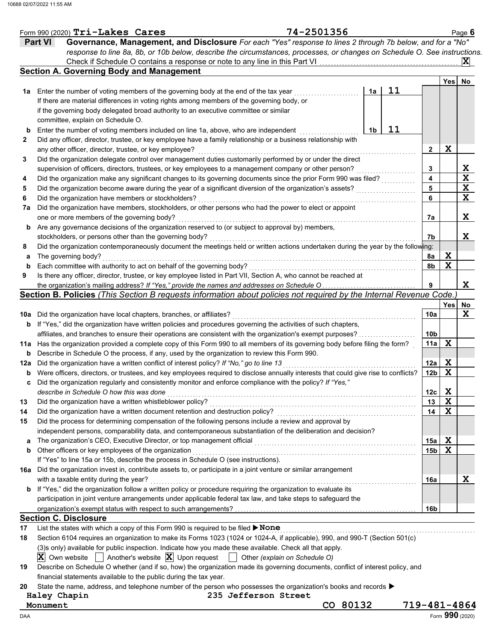|     | 74-2501356<br>Form 990 (2020) Tri-Lakes Cares                                                                                        |                 |            | Page $6$    |
|-----|--------------------------------------------------------------------------------------------------------------------------------------|-----------------|------------|-------------|
|     | Governance, Management, and Disclosure For each "Yes" response to lines 2 through 7b below, and for a "No"<br><b>Part VI</b>         |                 |            |             |
|     | response to line 8a, 8b, or 10b below, describe the circumstances, processes, or changes on Schedule O. See instructions.            |                 |            |             |
|     | Check if Schedule O contains a response or note to any line in this Part VI                                                          |                 |            | $ {\bf X} $ |
|     | <b>Section A. Governing Body and Management</b>                                                                                      |                 |            |             |
|     |                                                                                                                                      |                 | Yes        | No          |
|     | 11<br><b>1a</b> Enter the number of voting members of the governing body at the end of the tax year<br>1a                            |                 |            |             |
|     | If there are material differences in voting rights among members of the governing body, or                                           |                 |            |             |
|     | if the governing body delegated broad authority to an executive committee or similar                                                 |                 |            |             |
|     | committee, explain on Schedule O.                                                                                                    |                 |            |             |
| b   | 11<br>Enter the number of voting members included on line 1a, above, who are independent<br>1b                                       |                 |            |             |
| 2   | Did any officer, director, trustee, or key employee have a family relationship or a business relationship with                       |                 |            |             |
|     | any other officer, director, trustee, or key employee?                                                                               | 2               | X          |             |
| 3   | Did the organization delegate control over management duties customarily performed by or under the direct                            |                 |            |             |
|     | supervision of officers, directors, trustees, or key employees to a management company or other person?                              | 3               |            | <u>x</u>    |
| 4   | Did the organization make any significant changes to its governing documents since the prior Form 990 was filed?                     | 4               |            | X           |
| 5   | Did the organization become aware during the year of a significant diversion of the organization's assets?                           | 5               |            | $\mathbf X$ |
| 6   | Did the organization have members or stockholders?                                                                                   | 6               |            | X           |
| 7а  | Did the organization have members, stockholders, or other persons who had the power to elect or appoint                              |                 |            |             |
|     | one or more members of the governing body?                                                                                           | 7а              |            | X           |
| b   | Are any governance decisions of the organization reserved to (or subject to approval by) members,                                    |                 |            |             |
|     | stockholders, or persons other than the governing body?                                                                              | 7b              |            | X           |
| 8   | Did the organization contemporaneously document the meetings held or written actions undertaken during the year by the following:    |                 |            |             |
| а   | The governing body?                                                                                                                  | 8a              | X          |             |
| b   | Each committee with authority to act on behalf of the governing body?                                                                | 8b              | X          |             |
| 9   | Is there any officer, director, trustee, or key employee listed in Part VII, Section A, who cannot be reached at                     |                 |            |             |
|     | the organization's mailing address? If "Yes," provide the names and addresses on Schedule O                                          | 9               |            | X           |
|     | Section B. Policies (This Section B requests information about policies not required by the Internal Revenue Code.                   |                 |            |             |
|     |                                                                                                                                      |                 | <b>Yes</b> | No          |
|     | 10a Did the organization have local chapters, branches, or affiliates?                                                               | 10a             |            | X           |
|     | <b>b</b> If "Yes," did the organization have written policies and procedures governing the activities of such chapters,              |                 |            |             |
|     | affiliates, and branches to ensure their operations are consistent with the organization's exempt purposes?                          | 10 <sub>b</sub> |            |             |
|     | 11a Has the organization provided a complete copy of this Form 990 to all members of its governing body before filing the form?      | 11a             | X          |             |
| b   | Describe in Schedule O the process, if any, used by the organization to review this Form 990.                                        |                 |            |             |
| 12a | Did the organization have a written conflict of interest policy? If "No," go to line 13                                              | 12a             | X          |             |
| b   | Were officers, directors, or trustees, and key employees required to disclose annually interests that could give rise to conflicts?  | 12 <sub>b</sub> | X          |             |
|     | Did the organization regularly and consistently monitor and enforce compliance with the policy? If "Yes,"                            |                 |            |             |
|     | describe in Schedule O how this was done                                                                                             | 12c             | X          |             |
| 13  | Did the organization have a written whistleblower policy?                                                                            | 13              | X          |             |
| 14  | Did the organization have a written document retention and destruction policy?                                                       | 14              | X          |             |
| 15  | Did the process for determining compensation of the following persons include a review and approval by                               |                 |            |             |
|     | independent persons, comparability data, and contemporaneous substantiation of the deliberation and decision?                        |                 |            |             |
| a   | The organization's CEO, Executive Director, or top management official                                                               | 15a             | X          |             |
| b   | Other officers or key employees of the organization                                                                                  | 15 <sub>b</sub> | X          |             |
|     | If "Yes" to line 15a or 15b, describe the process in Schedule O (see instructions).                                                  |                 |            |             |
|     | 16a Did the organization invest in, contribute assets to, or participate in a joint venture or similar arrangement                   |                 |            |             |
|     | with a taxable entity during the year?                                                                                               | 16a             |            | Χ           |
|     | <b>b</b> If "Yes," did the organization follow a written policy or procedure requiring the organization to evaluate its              |                 |            |             |
|     | participation in joint venture arrangements under applicable federal tax law, and take steps to safeguard the                        |                 |            |             |
|     |                                                                                                                                      | 16b             |            |             |
|     | <b>Section C. Disclosure</b>                                                                                                         |                 |            |             |
| 17  | List the states with which a copy of this Form 990 is required to be filed > None                                                    |                 |            |             |
| 18  | Section 6104 requires an organization to make its Forms 1023 (1024 or 1024-A, if applicable), 990, and 990-T (Section 501(c)         |                 |            |             |
|     | (3)s only) available for public inspection. Indicate how you made these available. Check all that apply.                             |                 |            |             |
|     | $ X $ Own website<br>Another's website $ \mathbf{X} $ Upon request<br>Other (explain on Schedule O)                                  |                 |            |             |
| 19  | Describe on Schedule O whether (and if so, how) the organization made its governing documents, conflict of interest policy, and      |                 |            |             |
|     | financial statements available to the public during the tax year.                                                                    |                 |            |             |
| 20  | State the name, address, and telephone number of the person who possesses the organization's books and records $\blacktriangleright$ |                 |            |             |
|     | 235 Jefferson Street<br>Haley Chapin                                                                                                 |                 |            |             |
|     | CO 80132<br>Monument                                                                                                                 | 719-481-4864    |            |             |

DAA Form **990** (2020)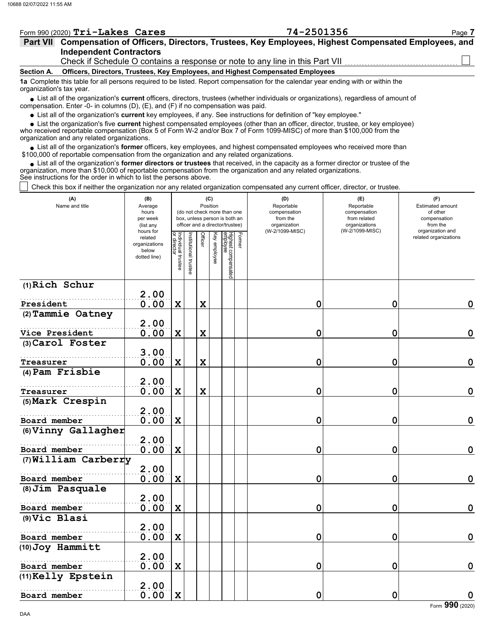|                          | Form 990 (2020) Tri-Lakes Cares | 74-2501356                                                                                                                        | Page 7 |
|--------------------------|---------------------------------|-----------------------------------------------------------------------------------------------------------------------------------|--------|
| <b>Part VII</b>          |                                 | Compensation of Officers, Directors, Trustees, Key Employees, Highest Compensated Employees, and                                  |        |
|                          | <b>Independent Contractors</b>  |                                                                                                                                   |        |
|                          |                                 | Check if Schedule O contains a response or note to any line in this Part VII                                                      |        |
| <b>Section A.</b>        |                                 | Officers, Directors, Trustees, Key Employees, and Highest Compensated Employees                                                   |        |
| organization's tax year. |                                 | 1a Complete this table for all persons required to be listed. Report compensation for the calendar year ending with or within the |        |

■ List all of the organization's **current** officers, directors, trustees (whether individuals or organizations), regardless of amount of compensation. Enter -0- in columns (D), (E), and (F) if no compensation was paid.

List all of the organization's **current** key employees, if any. See instructions for definition of "key employee."

■ List all of the organization's **current** key employees, if any. See instructions for definition of "key employee."<br>■ List the organization's five **current** highest compensated employees (other than an officer, director,

who received reportable compensation (Box 5 of Form W-2 and/or Box 7 of Form 1099-MISC) of more than \$100,000 from the organization and any related organizations.

• List all of the organization's **former** officers, key employees, and highest compensated employees who received more than<br>00,000 of reportable compensation from the organization and any related erganizations. \$100,000 of reportable compensation from the organization and any related organizations.

List all of the organization's **former directors or trustees** that received, in the capacity as a former director or trustee of the organization, more than \$10,000 of reportable compensation from the organization and any related organizations. See instructions for the order in which to list the persons above. **•**

Check this box if neither the organization nor any related organization compensated any current officer, director, or trustee.

| (A)<br>Name and title  | (B)<br>Average<br>hours<br>per week<br>(list any<br>hours for |                                   |                       |             | (C)<br>Position | (do not check more than one<br>box, unless person is both an<br>officer and a director/trustee) |        | (D)<br>Reportable<br>compensation<br>from the<br>organization<br>(W-2/1099-MISC) | (E)<br>Reportable<br>compensation<br>from related<br>organizations<br>(W-2/1099-MISC) | (F)<br><b>Estimated amount</b><br>of other<br>compensation<br>from the<br>organization and |
|------------------------|---------------------------------------------------------------|-----------------------------------|-----------------------|-------------|-----------------|-------------------------------------------------------------------------------------------------|--------|----------------------------------------------------------------------------------|---------------------------------------------------------------------------------------|--------------------------------------------------------------------------------------------|
|                        | related<br>organizations<br>below<br>dotted line)             | Individual trustee<br>or director | Institutional trustee | Officer     | Key employee    | Highest compensated<br>employee                                                                 | Former |                                                                                  |                                                                                       | related organizations                                                                      |
| (1) Rich Schur         | 2.00                                                          |                                   |                       |             |                 |                                                                                                 |        |                                                                                  |                                                                                       |                                                                                            |
| President              | 0.00                                                          | $\mathbf x$                       |                       | $\mathbf X$ |                 |                                                                                                 |        | 0                                                                                | $\mathbf 0$                                                                           | 0                                                                                          |
| (2) Tammie Oatney      | 2.00                                                          |                                   |                       |             |                 |                                                                                                 |        |                                                                                  |                                                                                       |                                                                                            |
| Vice President         | 0.00                                                          | $\mathbf x$                       |                       | $\mathbf x$ |                 |                                                                                                 |        | 0                                                                                | 0                                                                                     | $\mathbf 0$                                                                                |
| (3) Carol Foster       | 3.00                                                          |                                   |                       |             |                 |                                                                                                 |        |                                                                                  |                                                                                       |                                                                                            |
| Treasurer              | 0.00                                                          | $\mathbf x$                       |                       | $\mathbf x$ |                 |                                                                                                 |        | 0                                                                                | 0                                                                                     | $\mathbf 0$                                                                                |
| (4) Pam Frisbie        |                                                               |                                   |                       |             |                 |                                                                                                 |        |                                                                                  |                                                                                       |                                                                                            |
|                        | 2.00                                                          |                                   |                       |             |                 |                                                                                                 |        |                                                                                  |                                                                                       |                                                                                            |
| Treasurer              | 0.00                                                          | $\mathbf X$                       |                       | $\mathbf x$ |                 |                                                                                                 |        | 0                                                                                | $\mathbf 0$                                                                           | $\mathbf 0$                                                                                |
| (5) Mark Crespin       | 2.00                                                          |                                   |                       |             |                 |                                                                                                 |        |                                                                                  |                                                                                       |                                                                                            |
| Board member           | 0.00                                                          | $\mathbf x$                       |                       |             |                 |                                                                                                 |        | 0                                                                                | $\mathbf 0$                                                                           | $\mathbf 0$                                                                                |
| (6) Vinny Gallagher    | 2.00                                                          |                                   |                       |             |                 |                                                                                                 |        |                                                                                  |                                                                                       |                                                                                            |
| Board member           | 0.00                                                          | $\mathbf x$                       |                       |             |                 |                                                                                                 |        | 0                                                                                | 0                                                                                     | $\mathbf 0$                                                                                |
| $(7)$ William Carberry | 2.00                                                          |                                   |                       |             |                 |                                                                                                 |        |                                                                                  |                                                                                       |                                                                                            |
| Board member           | 0.00                                                          | $\mathbf x$                       |                       |             |                 |                                                                                                 |        | 0                                                                                | $\mathbf 0$                                                                           | $\mathbf 0$                                                                                |
| (8) Jim Pasquale       | 2.00                                                          |                                   |                       |             |                 |                                                                                                 |        |                                                                                  |                                                                                       |                                                                                            |
| Board member           | 0.00                                                          | $\mathbf x$                       |                       |             |                 |                                                                                                 |        | 0                                                                                | $\mathbf 0$                                                                           | $\mathbf 0$                                                                                |
| (9) Vic Blasi          | 2.00                                                          |                                   |                       |             |                 |                                                                                                 |        |                                                                                  |                                                                                       |                                                                                            |
| Board member           | 0.00                                                          | $\mathbf x$                       |                       |             |                 |                                                                                                 |        | 0                                                                                | 0                                                                                     | $\mathbf 0$                                                                                |
| (10) Joy Hammitt       | 2.00                                                          |                                   |                       |             |                 |                                                                                                 |        |                                                                                  |                                                                                       |                                                                                            |
| Board member           | 0.00                                                          | $\mathbf x$                       |                       |             |                 |                                                                                                 |        | 0                                                                                | $\mathbf 0$                                                                           | $\mathbf 0$                                                                                |
| (11) Kelly Epstein     | 2.00                                                          |                                   |                       |             |                 |                                                                                                 |        |                                                                                  |                                                                                       |                                                                                            |
| Board member           | 0.00                                                          | $\mathbf x$                       |                       |             |                 |                                                                                                 |        | 0                                                                                | 0                                                                                     | $\mathbf 0$                                                                                |
|                        |                                                               |                                   |                       |             |                 |                                                                                                 |        |                                                                                  |                                                                                       |                                                                                            |

Form **990** (2020)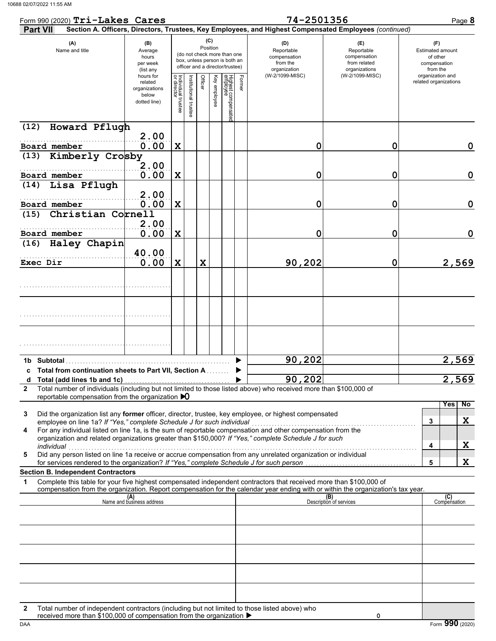| Form 990 (2020) Tri-Lakes Cares                                                                                                                                                                                                         |                                                                |                                   |                       |                 |              |                                                                                                 |        | 74-2501356                                                                                             |                                                                    | Page 8                                                                 |
|-----------------------------------------------------------------------------------------------------------------------------------------------------------------------------------------------------------------------------------------|----------------------------------------------------------------|-----------------------------------|-----------------------|-----------------|--------------|-------------------------------------------------------------------------------------------------|--------|--------------------------------------------------------------------------------------------------------|--------------------------------------------------------------------|------------------------------------------------------------------------|
| Part VII                                                                                                                                                                                                                                |                                                                |                                   |                       |                 |              |                                                                                                 |        | Section A. Officers, Directors, Trustees, Key Employees, and Highest Compensated Employees (continued) |                                                                    |                                                                        |
| (A)<br>Name and title                                                                                                                                                                                                                   | (B)<br>Average<br>hours<br>per week<br>(list any               |                                   |                       | (C)<br>Position |              | (do not check more than one<br>box, unless person is both an<br>officer and a director/trustee) |        | (D)<br>Reportable<br>compensation<br>from the<br>organization                                          | (E)<br>Reportable<br>compensation<br>from related<br>organizations | (F)<br><b>Estimated amount</b><br>of other<br>compensation<br>from the |
|                                                                                                                                                                                                                                         | hours for<br>related<br>organizations<br>below<br>dotted line) | Individual trustee<br>or director | Institutional trustee | Officer         | Key employee | Highest compensate<br>employee                                                                  | Former | (W-2/1099-MISC)                                                                                        | (W-2/1099-MISC)                                                    | organization and<br>related organizations                              |
| (12)<br>Howard Pflugh                                                                                                                                                                                                                   |                                                                |                                   |                       |                 |              |                                                                                                 |        |                                                                                                        |                                                                    |                                                                        |
| Board member                                                                                                                                                                                                                            | 2.00<br>0.00                                                   | $\mathbf x$                       |                       |                 |              |                                                                                                 |        | 0                                                                                                      | 0                                                                  | 0                                                                      |
| Kimberly Crosby<br>(13)                                                                                                                                                                                                                 |                                                                |                                   |                       |                 |              |                                                                                                 |        |                                                                                                        |                                                                    |                                                                        |
|                                                                                                                                                                                                                                         | 2.00                                                           |                                   |                       |                 |              |                                                                                                 |        |                                                                                                        |                                                                    |                                                                        |
| Board member                                                                                                                                                                                                                            | 0.00                                                           | $\mathbf x$                       |                       |                 |              |                                                                                                 |        | 0                                                                                                      | 0                                                                  | $\mathbf 0$                                                            |
| Lisa Pflugh<br>(14)                                                                                                                                                                                                                     | 2.00                                                           |                                   |                       |                 |              |                                                                                                 |        |                                                                                                        |                                                                    |                                                                        |
| Board member                                                                                                                                                                                                                            | 0.00                                                           | $\mathbf x$                       |                       |                 |              |                                                                                                 |        | 0                                                                                                      | 0                                                                  | $\mathbf 0$                                                            |
| Christian Cornell<br>(15)                                                                                                                                                                                                               |                                                                |                                   |                       |                 |              |                                                                                                 |        |                                                                                                        |                                                                    |                                                                        |
| Board member                                                                                                                                                                                                                            | 2.00<br>0.00                                                   | $\mathbf x$                       |                       |                 |              |                                                                                                 |        | 0                                                                                                      | 0                                                                  | 0                                                                      |
| (16) Haley Chapin                                                                                                                                                                                                                       |                                                                |                                   |                       |                 |              |                                                                                                 |        |                                                                                                        |                                                                    |                                                                        |
|                                                                                                                                                                                                                                         | 40.00                                                          |                                   |                       |                 |              |                                                                                                 |        |                                                                                                        |                                                                    |                                                                        |
| Exec Dir                                                                                                                                                                                                                                | 0.00                                                           | $\mathbf X$                       |                       | X               |              |                                                                                                 |        | 90,202                                                                                                 | 0                                                                  | 2,569                                                                  |
|                                                                                                                                                                                                                                         |                                                                |                                   |                       |                 |              |                                                                                                 |        |                                                                                                        |                                                                    |                                                                        |
|                                                                                                                                                                                                                                         |                                                                |                                   |                       |                 |              |                                                                                                 |        |                                                                                                        |                                                                    |                                                                        |
|                                                                                                                                                                                                                                         |                                                                |                                   |                       |                 |              |                                                                                                 |        |                                                                                                        |                                                                    |                                                                        |
| 1b Subtotal<br>c Total from continuation sheets to Part VII, Section A                                                                                                                                                                  |                                                                |                                   |                       |                 |              |                                                                                                 |        | 90,202                                                                                                 |                                                                    | 2,569                                                                  |
|                                                                                                                                                                                                                                         |                                                                |                                   |                       |                 |              |                                                                                                 |        | 90,202                                                                                                 |                                                                    | 2,569                                                                  |
| Total number of individuals (including but not limited to those listed above) who received more than \$100,000 of<br>$\mathbf{2}$<br>reportable compensation from the organization $\mathbf{D}$                                         |                                                                |                                   |                       |                 |              |                                                                                                 |        |                                                                                                        |                                                                    |                                                                        |
| Did the organization list any former officer, director, trustee, key employee, or highest compensated<br>3<br>employee on line 1a? If "Yes," complete Schedule J for such individual                                                    |                                                                |                                   |                       |                 |              |                                                                                                 |        |                                                                                                        |                                                                    | No<br>Yes<br>X<br>3                                                    |
| For any individual listed on line 1a, is the sum of reportable compensation and other compensation from the<br>4<br>organization and related organizations greater than \$150,000? If "Yes," complete Schedule J for such<br>individual |                                                                |                                   |                       |                 |              |                                                                                                 |        |                                                                                                        |                                                                    | X<br>4                                                                 |
| narviauar enter construction of the comparation of the component of the construction of individual political c<br>Did any person listed on line 1a receive or accrue compensation from any unrelated organization or individual<br>5    |                                                                |                                   |                       |                 |              |                                                                                                 |        |                                                                                                        |                                                                    |                                                                        |
| for services rendered to the organization? If "Yes," complete Schedule J for such person<br><b>Section B. Independent Contractors</b>                                                                                                   |                                                                |                                   |                       |                 |              |                                                                                                 |        |                                                                                                        |                                                                    | X<br>5                                                                 |
| Complete this table for your five highest compensated independent contractors that received more than \$100,000 of<br>1                                                                                                                 |                                                                |                                   |                       |                 |              |                                                                                                 |        |                                                                                                        |                                                                    |                                                                        |
| compensation from the organization. Report compensation for the calendar year ending with or within the organization's tax year.                                                                                                        | (A)<br>Name and business address                               |                                   |                       |                 |              |                                                                                                 |        |                                                                                                        | (B)<br>Description of services                                     | (C)<br>Compensation                                                    |
|                                                                                                                                                                                                                                         |                                                                |                                   |                       |                 |              |                                                                                                 |        |                                                                                                        |                                                                    |                                                                        |
|                                                                                                                                                                                                                                         |                                                                |                                   |                       |                 |              |                                                                                                 |        |                                                                                                        |                                                                    |                                                                        |
|                                                                                                                                                                                                                                         |                                                                |                                   |                       |                 |              |                                                                                                 |        |                                                                                                        |                                                                    |                                                                        |
|                                                                                                                                                                                                                                         |                                                                |                                   |                       |                 |              |                                                                                                 |        |                                                                                                        |                                                                    |                                                                        |
|                                                                                                                                                                                                                                         |                                                                |                                   |                       |                 |              |                                                                                                 |        |                                                                                                        |                                                                    |                                                                        |
|                                                                                                                                                                                                                                         |                                                                |                                   |                       |                 |              |                                                                                                 |        |                                                                                                        |                                                                    |                                                                        |
| Total number of independent contractors (including but not limited to those listed above) who<br>$\mathbf{2}$<br>received more than \$100,000 of compensation from the organization ▶                                                   |                                                                |                                   |                       |                 |              |                                                                                                 |        |                                                                                                        | 0                                                                  |                                                                        |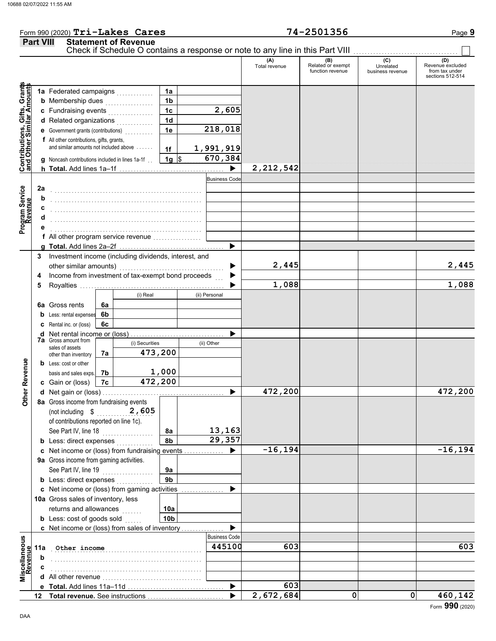#### Form 990 (2020) Page **9 Tri-Lakes Cares 74-2501356**

|                                                                  | <b>Part VIII</b> |                                                                                     |    | <b>Statement of Revenue</b> |                 |                      |                      |                                              |                                      |                                           |
|------------------------------------------------------------------|------------------|-------------------------------------------------------------------------------------|----|-----------------------------|-----------------|----------------------|----------------------|----------------------------------------------|--------------------------------------|-------------------------------------------|
|                                                                  |                  |                                                                                     |    |                             |                 |                      | (A)<br>Total revenue | (B)<br>Related or exempt<br>function revenue | (C)<br>Unrelated<br>business revenue | (D)<br>Revenue excluded<br>from tax under |
|                                                                  |                  |                                                                                     |    |                             |                 |                      |                      |                                              |                                      | sections 512-514                          |
| <b>Contributions, Gifts, Grants</b><br>and Other Similar Amounts |                  | 1a Federated campaigns                                                              |    |                             | 1a              |                      |                      |                                              |                                      |                                           |
|                                                                  |                  | <b>b</b> Membership dues                                                            |    | .                           | 1 <sub>b</sub>  |                      |                      |                                              |                                      |                                           |
|                                                                  |                  | c Fundraising events                                                                |    |                             | 1 <sub>c</sub>  | 2,605                |                      |                                              |                                      |                                           |
|                                                                  |                  | d Related organizations                                                             |    | .                           | 1 <sub>d</sub>  |                      |                      |                                              |                                      |                                           |
|                                                                  |                  | e Government grants (contributions)                                                 |    |                             | 1e              | 218,018              |                      |                                              |                                      |                                           |
|                                                                  |                  | f All other contributions, gifts, grants,<br>and similar amounts not included above |    |                             |                 |                      |                      |                                              |                                      |                                           |
|                                                                  |                  |                                                                                     |    |                             | 1f              | 1,991,919<br>670,384 |                      |                                              |                                      |                                           |
|                                                                  |                  | <b>g</b> Noncash contributions included in lines 1a-1f                              |    |                             | $1g$ \$         | ▶                    | 2, 212, 542          |                                              |                                      |                                           |
|                                                                  |                  |                                                                                     |    |                             |                 |                      |                      |                                              |                                      |                                           |
|                                                                  | 2a               |                                                                                     |    |                             |                 | <b>Business Code</b> |                      |                                              |                                      |                                           |
|                                                                  | b                |                                                                                     |    |                             |                 |                      |                      |                                              |                                      |                                           |
|                                                                  |                  |                                                                                     |    |                             |                 |                      |                      |                                              |                                      |                                           |
| Program Service<br>Revenue                                       |                  |                                                                                     |    |                             |                 |                      |                      |                                              |                                      |                                           |
|                                                                  |                  |                                                                                     |    |                             |                 |                      |                      |                                              |                                      |                                           |
|                                                                  |                  | f All other program service revenue                                                 |    |                             |                 |                      |                      |                                              |                                      |                                           |
|                                                                  |                  |                                                                                     |    |                             |                 |                      |                      |                                              |                                      |                                           |
|                                                                  | 3                | Investment income (including dividends, interest, and                               |    |                             |                 |                      |                      |                                              |                                      |                                           |
|                                                                  |                  |                                                                                     |    |                             |                 |                      | 2,445                |                                              |                                      | 2,445                                     |
|                                                                  | 4                | Income from investment of tax-exempt bond proceeds                                  |    |                             |                 |                      |                      |                                              |                                      |                                           |
|                                                                  | 5                |                                                                                     |    |                             |                 |                      | 1,088                |                                              |                                      | 1,088                                     |
|                                                                  |                  |                                                                                     |    | (i) Real                    |                 | (ii) Personal        |                      |                                              |                                      |                                           |
|                                                                  |                  | <b>6a</b> Gross rents                                                               | 6a |                             |                 |                      |                      |                                              |                                      |                                           |
|                                                                  |                  | <b>b</b> Less: rental expenses                                                      | 6b |                             |                 |                      |                      |                                              |                                      |                                           |
|                                                                  |                  | <b>C</b> Rental inc. or (loss)                                                      | 6c |                             |                 |                      |                      |                                              |                                      |                                           |
|                                                                  |                  |                                                                                     |    |                             |                 |                      |                      |                                              |                                      |                                           |
|                                                                  |                  | <b>7a</b> Gross amount from<br>sales of assets                                      |    | (i) Securities              |                 | (ii) Other           |                      |                                              |                                      |                                           |
|                                                                  |                  | other than inventory                                                                | 7a | 473,200                     |                 |                      |                      |                                              |                                      |                                           |
| ther Revenue                                                     |                  | <b>b</b> Less: cost or other                                                        |    |                             |                 |                      |                      |                                              |                                      |                                           |
|                                                                  |                  | basis and sales exps.                                                               | 7b |                             | 1,000           |                      |                      |                                              |                                      |                                           |
|                                                                  |                  | c Gain or (loss)                                                                    | 7c | $\overline{472,200}$        |                 |                      |                      |                                              |                                      |                                           |
|                                                                  |                  |                                                                                     |    |                             |                 |                      | 472,200              |                                              |                                      | 472,200                                   |
| O                                                                |                  | 8a Gross income from fundraising events                                             |    |                             |                 |                      |                      |                                              |                                      |                                           |
|                                                                  |                  | (not including $$$                                                                  |    | 2,605                       |                 |                      |                      |                                              |                                      |                                           |
|                                                                  |                  | of contributions reported on line 1c).                                              |    |                             |                 | 13,163               |                      |                                              |                                      |                                           |
|                                                                  |                  | See Part IV, line 18<br><b>b</b> Less: direct expenses                              |    | .                           | 8a<br>8b        | 29,357               |                      |                                              |                                      |                                           |
|                                                                  |                  | c Net income or (loss) from fundraising events                                      |    |                             |                 |                      | $-16, 194$           |                                              |                                      | $-16, 194$                                |
|                                                                  |                  | 9a Gross income from gaming activities.                                             |    |                             |                 |                      |                      |                                              |                                      |                                           |
|                                                                  |                  | See Part IV, line 19                                                                |    |                             | 9a              |                      |                      |                                              |                                      |                                           |
|                                                                  |                  | <b>b</b> Less: direct expenses                                                      |    | .                           | 9 <sub>b</sub>  |                      |                      |                                              |                                      |                                           |
|                                                                  |                  | c Net income or (loss) from gaming activities                                       |    |                             |                 |                      |                      |                                              |                                      |                                           |
|                                                                  |                  | 10a Gross sales of inventory, less                                                  |    |                             |                 |                      |                      |                                              |                                      |                                           |
|                                                                  |                  | returns and allowances                                                              |    | .                           | 10a             |                      |                      |                                              |                                      |                                           |
|                                                                  |                  | <b>b</b> Less: cost of goods sold                                                   |    |                             | 10 <sub>b</sub> |                      |                      |                                              |                                      |                                           |
|                                                                  |                  | c Net income or (loss) from sales of inventory                                      |    |                             |                 |                      |                      |                                              |                                      |                                           |
|                                                                  |                  |                                                                                     |    |                             |                 | <b>Business Code</b> |                      |                                              |                                      |                                           |
|                                                                  | 11a              | Other income                                                                        |    |                             |                 | 445100               | 603                  |                                              |                                      | 603                                       |
|                                                                  | b                |                                                                                     |    |                             |                 |                      |                      |                                              |                                      |                                           |
| Miscellaneous<br>Revenue                                         |                  |                                                                                     |    |                             |                 |                      |                      |                                              |                                      |                                           |
|                                                                  | d                |                                                                                     |    |                             |                 |                      |                      |                                              |                                      |                                           |
|                                                                  |                  |                                                                                     |    |                             |                 |                      | 603                  |                                              |                                      |                                           |
|                                                                  |                  |                                                                                     |    |                             |                 |                      | 2,672,684            | 0                                            | 0                                    | 460,142                                   |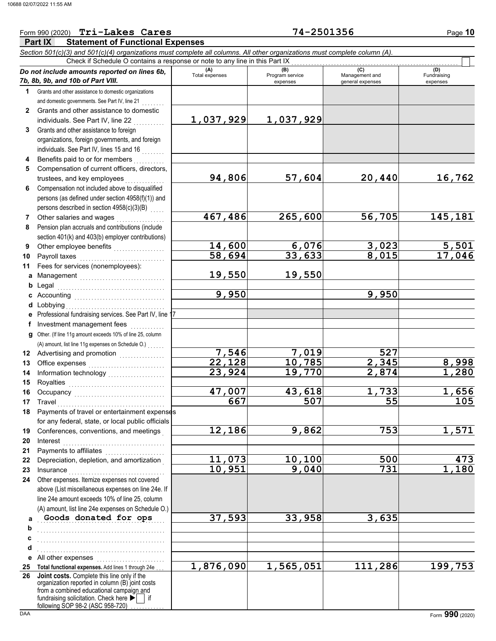#### **Part IX Statement of Functional Expenses** Form 990 (2020) Page **10 Tri-Lakes Cares 74-2501356** *Section 501(c)(3) and 501(c)(4) organizations must complete all columns. All other organizations must complete column (A). Do not include amounts reported on lines 6b, 7b, 8b, 9b, and 10b of Part VIII.* **1 2** Grants and other assistance to domestic organizations and domestic governments. See Part IV, line 21 Grants and other assistance to domestic **(A) (B) (C) (D)** Total expenses Program service Management and expenses general expenses (D)<br>Fundraising expenses Check if Schedule O contains a response or note to any line in this Part IX ....<br> **amounts reported on lines 6b**,  $\begin{array}{|c|c|c|c|c|c|}\n\hline\n\text{Total expenses} & \text{Program service}\n\end{array}$

|                | and domestic governments. See Fail IV, line 21                                                         |           |                  |                 |                        |
|----------------|--------------------------------------------------------------------------------------------------------|-----------|------------------|-----------------|------------------------|
| 2              | Grants and other assistance to domestic                                                                |           |                  |                 |                        |
|                | individuals. See Part IV, line 22                                                                      | 1,037,929 | 1,037,929        |                 |                        |
| 3              | Grants and other assistance to foreign                                                                 |           |                  |                 |                        |
|                | organizations, foreign governments, and foreign                                                        |           |                  |                 |                        |
|                | individuals. See Part IV, lines 15 and 16                                                              |           |                  |                 |                        |
| 4              | Benefits paid to or for members                                                                        |           |                  |                 |                        |
| 5              | Compensation of current officers, directors,                                                           |           |                  |                 |                        |
|                | trustees, and key employees                                                                            | 94,806    | 57,604           | 20,440          | 16,762                 |
| 6              | Compensation not included above to disqualified                                                        |           |                  |                 |                        |
|                | persons (as defined under section 4958(f)(1)) and                                                      |           |                  |                 |                        |
|                | persons described in section 4958(c)(3)(B)                                                             |           |                  |                 |                        |
| $\overline{7}$ | Other salaries and wages                                                                               | 467,486   | 265,600          | 56,705          | 145,181                |
| 8              | Pension plan accruals and contributions (include                                                       |           |                  |                 |                        |
|                | section 401(k) and 403(b) employer contributions)                                                      |           |                  |                 |                        |
| 9              | Other employee benefits <b>Constanting Community</b>                                                   | 14,600    | 6,076            | 3,023           | $\frac{5,501}{17,046}$ |
| 10             |                                                                                                        | 58,694    | 33,633           | 8,015           |                        |
| 11             | Fees for services (nonemployees):                                                                      |           |                  |                 |                        |
|                | a Management                                                                                           | 19,550    | 19,550           |                 |                        |
|                | <b>b</b> Legal                                                                                         |           |                  |                 |                        |
|                |                                                                                                        | 9,950     |                  | 9,950           |                        |
|                | d Lobbying                                                                                             |           |                  |                 |                        |
|                | e Professional fundraising services. See Part IV, line 17                                              |           |                  |                 |                        |
| f              | Investment management fees                                                                             |           |                  |                 |                        |
|                | g Other. (If line 11g amount exceeds 10% of line 25, column                                            |           |                  |                 |                        |
|                | (A) amount, list line 11g expenses on Schedule O.)                                                     |           |                  |                 |                        |
|                | 12 Advertising and promotion <i>[[[[[[[[[[[[[[[[[[[[[[[[[[[[]]]]]</i>                                  | 7,546     | 7,019            | 527             |                        |
|                | 13 Office expenses                                                                                     | 22,128    | 10,785           | 2,345           | $\frac{8,998}{1,280}$  |
| 14             |                                                                                                        | 23,924    | 19,770           | 2,874           |                        |
| 15             |                                                                                                        |           |                  |                 |                        |
| 16             |                                                                                                        | 47,007    | 43,618           | 1,733           | $\frac{1,656}{105}$    |
| 17             | Travel                                                                                                 | 667       | $\overline{50}7$ | $\overline{55}$ |                        |
| 18             | Payments of travel or entertainment expenses                                                           |           |                  |                 |                        |
|                | for any federal, state, or local public officials                                                      |           |                  |                 |                        |
|                | 19 Conferences, conventions, and meetings                                                              | 12,186    | 9,862            | 753             | 1,571                  |
| 20             | Interest                                                                                               |           |                  |                 |                        |
| 21             | Payments to affiliates                                                                                 |           |                  |                 |                        |
|                | 22 Depreciation, depletion, and amortization                                                           | 11,073    | 10,100           | 500             | $\overline{473}$       |
| 23             | Insurance                                                                                              | 10,951    | 9,040            | 731             | 1,180                  |
|                | 24 Other expenses. Itemize expenses not covered                                                        |           |                  |                 |                        |
|                | above (List miscellaneous expenses on line 24e. If                                                     |           |                  |                 |                        |
|                | line 24e amount exceeds 10% of line 25, column                                                         |           |                  |                 |                        |
|                | (A) amount, list line 24e expenses on Schedule O.)                                                     |           |                  |                 |                        |
| a              | Goods donated for ops                                                                                  | 37,593    | 33,958           | 3,635           |                        |
| b              |                                                                                                        |           |                  |                 |                        |
| с              |                                                                                                        |           |                  |                 |                        |
| d              |                                                                                                        |           |                  |                 |                        |
| е              | All other expenses                                                                                     |           |                  |                 |                        |
|                | 25 Total functional expenses. Add lines 1 through 24e                                                  | 1,876,090 | 1,565,051        | 111,286         | 199,753                |
| 26             | Joint costs. Complete this line only if the                                                            |           |                  |                 |                        |
|                | organization reported in column (B) joint costs                                                        |           |                  |                 |                        |
|                | from a combined educational campaign and<br>fundraising solicitation. Check here $\blacktriangleright$ |           |                  |                 |                        |
|                | following SOP 98-2 (ASC 958-720)                                                                       |           |                  |                 |                        |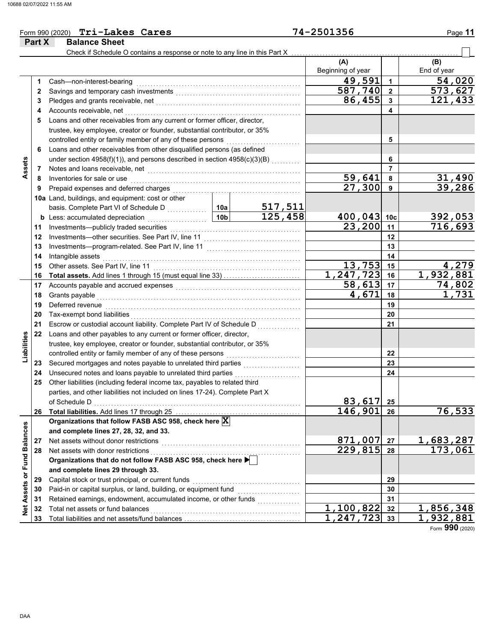#### Form 990 (2020) Page **11 Tri-Lakes Cares 74-2501356**

|                             | Part X   | <b>Balance Sheet</b>                                                         |                 |                                                                                                                           |                   |                      |                         |
|-----------------------------|----------|------------------------------------------------------------------------------|-----------------|---------------------------------------------------------------------------------------------------------------------------|-------------------|----------------------|-------------------------|
|                             |          | Check if Schedule O contains a response or note to any line in this Part X   |                 |                                                                                                                           |                   |                      |                         |
|                             |          |                                                                              |                 |                                                                                                                           | (A)               |                      | (B)                     |
|                             |          |                                                                              |                 |                                                                                                                           | Beginning of year |                      | End of year             |
|                             | 1        | Cash-non-interest-bearing                                                    |                 |                                                                                                                           | 49,591            | $\blacktriangleleft$ | 54,020                  |
|                             | 2        |                                                                              |                 | 587,740                                                                                                                   | $\overline{2}$    | 573,627              |                         |
|                             | 3        |                                                                              |                 |                                                                                                                           | 86,455            | 3                    | 121, 433                |
|                             | 4        | Accounts receivable, net                                                     |                 |                                                                                                                           |                   | 4                    |                         |
|                             | 5        | Loans and other receivables from any current or former officer, director,    |                 |                                                                                                                           |                   |                      |                         |
|                             |          | trustee, key employee, creator or founder, substantial contributor, or 35%   |                 |                                                                                                                           |                   |                      |                         |
|                             |          | controlled entity or family member of any of these persons                   |                 |                                                                                                                           |                   | 5                    |                         |
|                             | 6        | Loans and other receivables from other disqualified persons (as defined      |                 |                                                                                                                           |                   |                      |                         |
| Assets                      |          | under section 4958(f)(1)), and persons described in section 4958(c)(3)(B)    |                 |                                                                                                                           |                   | 6                    |                         |
|                             | 7        |                                                                              |                 |                                                                                                                           |                   | $\overline{7}$       |                         |
|                             | 8        | Inventories for sale or use                                                  |                 |                                                                                                                           | 59,641            | 8                    | $\frac{31,490}{39,286}$ |
|                             | 9        | Prepaid expenses and deferred charges                                        |                 |                                                                                                                           | 27,300            | 9                    |                         |
|                             |          | 10a Land, buildings, and equipment: cost or other                            |                 |                                                                                                                           |                   |                      |                         |
|                             |          | basis. Complete Part VI of Schedule D                                        | 10a             | 517,511<br>125,458                                                                                                        |                   |                      |                         |
|                             |          | <b>b</b> Less: accumulated depreciation<br>.                                 | 10 <sub>b</sub> |                                                                                                                           | 400,043<br>23,200 | 10 <sub>c</sub>      | 392,053<br>716,693      |
|                             | 11       | Investments-publicly traded securities                                       |                 |                                                                                                                           |                   | 11                   |                         |
|                             | 12       | Investments-other securities. See Part IV, line 11                           |                 |                                                                                                                           |                   | 12                   |                         |
|                             | 13       |                                                                              |                 |                                                                                                                           |                   | 13                   |                         |
|                             | 14       | Intangible assets<br>Other assets. See Part IV, line 11                      | 13,753          | 14                                                                                                                        |                   |                      |                         |
|                             | 15       |                                                                              |                 |                                                                                                                           | 1,247,723         | 15<br>16             | 4,279<br>1,932,881      |
|                             | 16<br>17 |                                                                              | 58,613          | 17                                                                                                                        | 74,802            |                      |                         |
|                             | 18       | Grants payable                                                               |                 |                                                                                                                           | 4,671             | 18                   | 1,731                   |
|                             | 19       | Deferred revenue                                                             |                 |                                                                                                                           |                   | 19                   |                         |
|                             | 20       | Tax-exempt bond liabilities                                                  |                 |                                                                                                                           |                   | 20                   |                         |
|                             | 21       | Escrow or custodial account liability. Complete Part IV of Schedule D        |                 |                                                                                                                           |                   | 21                   |                         |
|                             | 22       | Loans and other payables to any current or former officer, director,         |                 |                                                                                                                           |                   |                      |                         |
| Liabilities                 |          | trustee, key employee, creator or founder, substantial contributor, or 35%   |                 |                                                                                                                           |                   |                      |                         |
|                             |          | controlled entity or family member of any of these persons                   |                 |                                                                                                                           |                   | 22                   |                         |
|                             | 23       | Secured mortgages and notes payable to unrelated third parties               |                 |                                                                                                                           |                   | 23                   |                         |
|                             | 24       | Unsecured notes and loans payable to unrelated third parties                 |                 | .                                                                                                                         |                   | 24                   |                         |
|                             | 25       | Other liabilities (including federal income tax, payables to related third   |                 |                                                                                                                           |                   |                      |                         |
|                             |          | parties, and other liabilities not included on lines 17-24). Complete Part X |                 |                                                                                                                           |                   |                      |                         |
|                             |          | of Schedule D                                                                |                 |                                                                                                                           | 83,617            | 25                   |                         |
|                             | 26       |                                                                              |                 |                                                                                                                           | 146,901           | 26                   | 76,533                  |
|                             |          | Organizations that follow FASB ASC 958, check here X                         |                 |                                                                                                                           |                   |                      |                         |
|                             |          | and complete lines 27, 28, 32, and 33.                                       |                 |                                                                                                                           |                   |                      |                         |
|                             | 27       | Net assets without donor restrictions                                        |                 |                                                                                                                           | 871,007           | 27                   | 1,683,287               |
|                             | 28       | Net assets with donor restrictions                                           |                 |                                                                                                                           | 229,815           | 28                   | 173,061                 |
|                             |          | Organizations that do not follow FASB ASC 958, check here ▶                  |                 |                                                                                                                           |                   |                      |                         |
|                             |          | and complete lines 29 through 33.                                            |                 |                                                                                                                           |                   |                      |                         |
|                             | 29       | Capital stock or trust principal, or current funds                           |                 |                                                                                                                           |                   | 29                   |                         |
|                             | 30       | Paid-in or capital surplus, or land, building, or equipment fund             |                 | <u> 1999 - Johann Stoff, martin Stoff, martin Stoff, martin Stoff, martin Stoff, martin Stoff, martin Stoff, martin S</u> |                   | 30                   |                         |
|                             | 31       | Retained earnings, endowment, accumulated income, or other funds             |                 |                                                                                                                           |                   | 31                   |                         |
| Net Assets or Fund Balances | 32       | Total net assets or fund balances                                            |                 |                                                                                                                           | 1,100,822         | 32                   | 1,856,348               |
|                             | 33       |                                                                              |                 |                                                                                                                           | $1,247,723$ 33    |                      | 1,932,881               |

Form **990** (2020)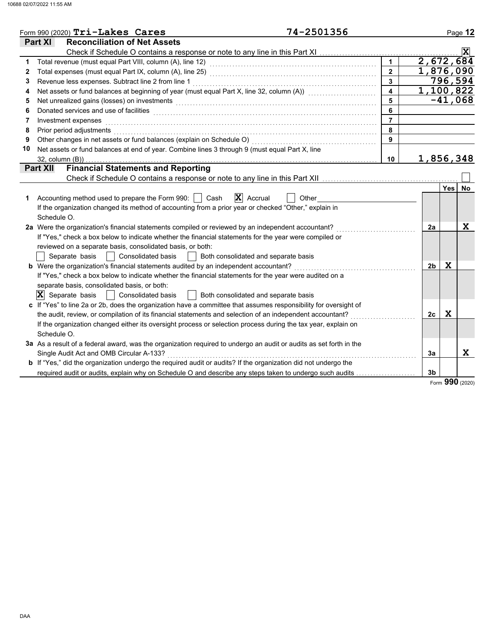|    | 74-2501356<br>Form 990 (2020) Tri-Lakes Cares                                                                                                                                                                                  |                         |                |       | Page 12              |
|----|--------------------------------------------------------------------------------------------------------------------------------------------------------------------------------------------------------------------------------|-------------------------|----------------|-------|----------------------|
|    | <b>Reconciliation of Net Assets</b><br>Part XI                                                                                                                                                                                 |                         |                |       |                      |
|    |                                                                                                                                                                                                                                |                         |                |       | $ \mathbf{X} $       |
| 1  |                                                                                                                                                                                                                                |                         | 2,672,684      |       |                      |
| 2  |                                                                                                                                                                                                                                | $\overline{2}$          | 1,876,090      |       |                      |
| 3  |                                                                                                                                                                                                                                | $\overline{\mathbf{3}}$ |                |       | $\overline{796,594}$ |
| 4  | Net assets or fund balances at beginning of year (must equal Part X, line 32, column (A)) [[[[[[[[[[[[[[[[[[[                                                                                                                  |                         | 1,100,822      |       |                      |
| 5  | Net unrealized gains (losses) on investments [11] with an intervention of the state of the state of the state of the state of the state of the state of the state of the state of the state of the state of the state of the s | 5                       |                |       | $-41,068$            |
| 6  | Donated services and use of facilities <b>constructs</b> and the service of the service of the services and use of facilities                                                                                                  | 6                       |                |       |                      |
| 7  | Investment expenses                                                                                                                                                                                                            | $\overline{7}$          |                |       |                      |
| 8  | Prior period adjustments                                                                                                                                                                                                       | 8                       |                |       |                      |
| 9  | Other changes in net assets or fund balances (explain on Schedule O)                                                                                                                                                           | 9                       |                |       |                      |
| 10 | Net assets or fund balances at end of year. Combine lines 3 through 9 (must equal Part X, line                                                                                                                                 |                         |                |       |                      |
|    | $32$ , column $(B)$ )                                                                                                                                                                                                          | 10                      | 1,856,348      |       |                      |
|    | <b>Financial Statements and Reporting</b><br><b>Part XII</b>                                                                                                                                                                   |                         |                |       |                      |
|    |                                                                                                                                                                                                                                |                         |                |       |                      |
|    |                                                                                                                                                                                                                                |                         |                | Yes I | No                   |
| 1. | $X$ Accrual<br>Accounting method used to prepare the Form 990:  <br>Cash<br>Other                                                                                                                                              |                         |                |       |                      |
|    | If the organization changed its method of accounting from a prior year or checked "Other," explain in                                                                                                                          |                         |                |       |                      |
|    | Schedule O.                                                                                                                                                                                                                    |                         |                |       |                      |
|    | 2a Were the organization's financial statements compiled or reviewed by an independent accountant?                                                                                                                             |                         | 2a             |       | x                    |
|    | If "Yes," check a box below to indicate whether the financial statements for the year were compiled or                                                                                                                         |                         |                |       |                      |
|    | reviewed on a separate basis, consolidated basis, or both:                                                                                                                                                                     |                         |                |       |                      |
|    | Consolidated basis<br>Both consolidated and separate basis<br>Separate basis<br>$\mathbf{1}$                                                                                                                                   |                         |                |       |                      |
|    | <b>b</b> Were the organization's financial statements audited by an independent accountant?                                                                                                                                    |                         | 2b             | X     |                      |
|    | If "Yes," check a box below to indicate whether the financial statements for the year were audited on a                                                                                                                        |                         |                |       |                      |
|    | separate basis, consolidated basis, or both:                                                                                                                                                                                   |                         |                |       |                      |
|    | $ \mathbf{X} $ Separate basis<br>  Consolidated basis<br>  Both consolidated and separate basis                                                                                                                                |                         |                |       |                      |
|    | c If "Yes" to line 2a or 2b, does the organization have a committee that assumes responsibility for oversight of                                                                                                               |                         |                |       |                      |
|    | the audit, review, or compilation of its financial statements and selection of an independent accountant?                                                                                                                      |                         | 2c             | X     |                      |
|    | If the organization changed either its oversight process or selection process during the tax year, explain on                                                                                                                  |                         |                |       |                      |
|    | Schedule O.                                                                                                                                                                                                                    |                         |                |       |                      |
|    | 3a As a result of a federal award, was the organization required to undergo an audit or audits as set forth in the                                                                                                             |                         |                |       |                      |
|    | Single Audit Act and OMB Circular A-133?                                                                                                                                                                                       |                         | 3a             |       | X                    |
|    | <b>b</b> If "Yes," did the organization undergo the required audit or audits? If the organization did not undergo the                                                                                                          |                         |                |       |                      |
|    | required audit or audits, explain why on Schedule O and describe any steps taken to undergo such audits                                                                                                                        |                         | 3 <sub>b</sub> |       |                      |

Form **990** (2020)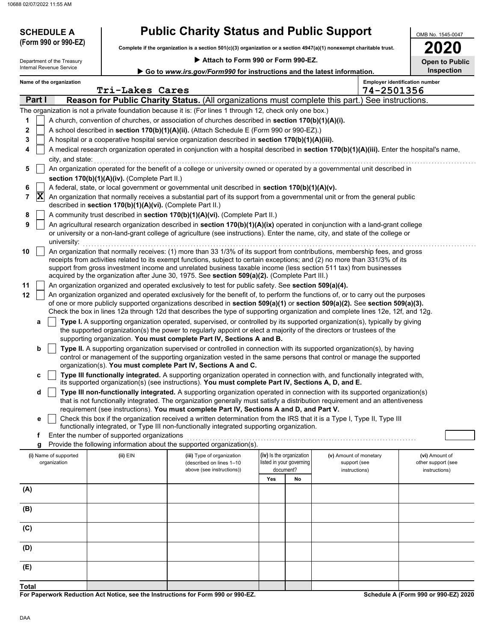Department of the Treasury<br>Internal Revenue Service

## **SCHEDULE A Public Charity Status and Public Support**

**Complete if the organization is a section 501(c)(3) organization or a section 4947(a)(1) nonexempt charitable trust. (Form 990 or 990-EZ)**

 **Attach to Form 990 or Form 990-EZ.**

| OMB No. 1545-0047 |
|-------------------|
| 70.<br>20         |
|                   |
|                   |

| <b>Open to Public</b> |  |  |
|-----------------------|--|--|
| <b>Inspection</b>     |  |  |

| Internal Revenue Service<br>Go to www.irs.gov/Form990 for instructions and the latest information. |             |                                       |  | Inspection                                    |                                                                                                                                                                                                                                                                                                                                                                                                                                                                                  |     |                                                                         |                                                         |                                                     |                                                       |
|----------------------------------------------------------------------------------------------------|-------------|---------------------------------------|--|-----------------------------------------------|----------------------------------------------------------------------------------------------------------------------------------------------------------------------------------------------------------------------------------------------------------------------------------------------------------------------------------------------------------------------------------------------------------------------------------------------------------------------------------|-----|-------------------------------------------------------------------------|---------------------------------------------------------|-----------------------------------------------------|-------------------------------------------------------|
|                                                                                                    |             | Name of the organization              |  | Tri-Lakes Cares                               |                                                                                                                                                                                                                                                                                                                                                                                                                                                                                  |     |                                                                         |                                                         | <b>Employer identification number</b><br>74-2501356 |                                                       |
| Part I                                                                                             |             |                                       |  |                                               | Reason for Public Charity Status. (All organizations must complete this part.) See instructions.                                                                                                                                                                                                                                                                                                                                                                                 |     |                                                                         |                                                         |                                                     |                                                       |
|                                                                                                    |             |                                       |  |                                               | The organization is not a private foundation because it is: (For lines 1 through 12, check only one box.)                                                                                                                                                                                                                                                                                                                                                                        |     |                                                                         |                                                         |                                                     |                                                       |
| 1                                                                                                  |             |                                       |  |                                               | A church, convention of churches, or association of churches described in section 170(b)(1)(A)(i).                                                                                                                                                                                                                                                                                                                                                                               |     |                                                                         |                                                         |                                                     |                                                       |
| 2                                                                                                  |             |                                       |  |                                               | A school described in section 170(b)(1)(A)(ii). (Attach Schedule E (Form 990 or 990-EZ).)                                                                                                                                                                                                                                                                                                                                                                                        |     |                                                                         |                                                         |                                                     |                                                       |
| 3                                                                                                  |             |                                       |  |                                               | A hospital or a cooperative hospital service organization described in section 170(b)(1)(A)(iii).                                                                                                                                                                                                                                                                                                                                                                                |     |                                                                         |                                                         |                                                     |                                                       |
| 4                                                                                                  |             | city, and state:                      |  |                                               | A medical research organization operated in conjunction with a hospital described in section 170(b)(1)(A)(iii). Enter the hospital's name,                                                                                                                                                                                                                                                                                                                                       |     |                                                                         |                                                         |                                                     |                                                       |
| 5                                                                                                  |             |                                       |  |                                               | An organization operated for the benefit of a college or university owned or operated by a governmental unit described in                                                                                                                                                                                                                                                                                                                                                        |     |                                                                         |                                                         |                                                     |                                                       |
|                                                                                                    |             |                                       |  | section 170(b)(1)(A)(iv). (Complete Part II.) |                                                                                                                                                                                                                                                                                                                                                                                                                                                                                  |     |                                                                         |                                                         |                                                     |                                                       |
| 6                                                                                                  |             |                                       |  |                                               | A federal, state, or local government or governmental unit described in section 170(b)(1)(A)(v).                                                                                                                                                                                                                                                                                                                                                                                 |     |                                                                         |                                                         |                                                     |                                                       |
| 7                                                                                                  | $ {\bf X} $ |                                       |  |                                               | An organization that normally receives a substantial part of its support from a governmental unit or from the general public<br>described in section 170(b)(1)(A)(vi). (Complete Part II.)                                                                                                                                                                                                                                                                                       |     |                                                                         |                                                         |                                                     |                                                       |
| 8                                                                                                  |             |                                       |  |                                               | A community trust described in section 170(b)(1)(A)(vi). (Complete Part II.)                                                                                                                                                                                                                                                                                                                                                                                                     |     |                                                                         |                                                         |                                                     |                                                       |
| 9                                                                                                  |             | university:                           |  |                                               | An agricultural research organization described in section 170(b)(1)(A)(ix) operated in conjunction with a land-grant college<br>or university or a non-land-grant college of agriculture (see instructions). Enter the name, city, and state of the college or                                                                                                                                                                                                                  |     |                                                                         |                                                         |                                                     |                                                       |
| 10                                                                                                 |             |                                       |  |                                               | An organization that normally receives: (1) more than 33 1/3% of its support from contributions, membership fees, and gross<br>receipts from activities related to its exempt functions, subject to certain exceptions; and (2) no more than 331/3% of its<br>support from gross investment income and unrelated business taxable income (less section 511 tax) from businesses<br>acquired by the organization after June 30, 1975. See section 509(a)(2). (Complete Part III.) |     |                                                                         |                                                         |                                                     |                                                       |
| 11                                                                                                 |             |                                       |  |                                               | An organization organized and operated exclusively to test for public safety. See section 509(a)(4).                                                                                                                                                                                                                                                                                                                                                                             |     |                                                                         |                                                         |                                                     |                                                       |
| 12                                                                                                 |             |                                       |  |                                               | An organization organized and operated exclusively for the benefit of, to perform the functions of, or to carry out the purposes<br>of one or more publicly supported organizations described in section 509(a)(1) or section 509(a)(2). See section 509(a)(3).<br>Check the box in lines 12a through 12d that describes the type of supporting organization and complete lines 12e, 12f, and 12g.                                                                               |     |                                                                         |                                                         |                                                     |                                                       |
| a                                                                                                  |             |                                       |  |                                               | Type I. A supporting organization operated, supervised, or controlled by its supported organization(s), typically by giving<br>the supported organization(s) the power to regularly appoint or elect a majority of the directors or trustees of the<br>supporting organization. You must complete Part IV, Sections A and B.                                                                                                                                                     |     |                                                                         |                                                         |                                                     |                                                       |
| $\mathbf b$                                                                                        |             |                                       |  |                                               | Type II. A supporting organization supervised or controlled in connection with its supported organization(s), by having                                                                                                                                                                                                                                                                                                                                                          |     |                                                                         |                                                         |                                                     |                                                       |
|                                                                                                    |             |                                       |  |                                               | control or management of the supporting organization vested in the same persons that control or manage the supported<br>organization(s). You must complete Part IV, Sections A and C.                                                                                                                                                                                                                                                                                            |     |                                                                         |                                                         |                                                     |                                                       |
| c                                                                                                  |             |                                       |  |                                               | Type III functionally integrated. A supporting organization operated in connection with, and functionally integrated with,<br>its supported organization(s) (see instructions). You must complete Part IV, Sections A, D, and E.                                                                                                                                                                                                                                                 |     |                                                                         |                                                         |                                                     |                                                       |
| d                                                                                                  |             |                                       |  |                                               | Type III non-functionally integrated. A supporting organization operated in connection with its supported organization(s)<br>that is not functionally integrated. The organization generally must satisfy a distribution requirement and an attentiveness<br>requirement (see instructions). You must complete Part IV, Sections A and D, and Part V.                                                                                                                            |     |                                                                         |                                                         |                                                     |                                                       |
| е                                                                                                  |             |                                       |  |                                               | Check this box if the organization received a written determination from the IRS that it is a Type I, Type II, Type III<br>functionally integrated, or Type III non-functionally integrated supporting organization.                                                                                                                                                                                                                                                             |     |                                                                         |                                                         |                                                     |                                                       |
| f                                                                                                  |             |                                       |  | Enter the number of supported organizations   |                                                                                                                                                                                                                                                                                                                                                                                                                                                                                  |     |                                                                         |                                                         |                                                     |                                                       |
|                                                                                                    |             |                                       |  |                                               | Provide the following information about the supported organization(s).                                                                                                                                                                                                                                                                                                                                                                                                           |     |                                                                         |                                                         |                                                     |                                                       |
|                                                                                                    |             | (i) Name of supported<br>organization |  | (ii) EIN                                      | (iii) Type of organization<br>(described on lines 1-10<br>above (see instructions))                                                                                                                                                                                                                                                                                                                                                                                              | Yes | (iv) Is the organization<br>listed in your governing<br>document?<br>No | (v) Amount of monetary<br>support (see<br>instructions) |                                                     | (vi) Amount of<br>other support (see<br>instructions) |
| (A)                                                                                                |             |                                       |  |                                               |                                                                                                                                                                                                                                                                                                                                                                                                                                                                                  |     |                                                                         |                                                         |                                                     |                                                       |
| (B)                                                                                                |             |                                       |  |                                               |                                                                                                                                                                                                                                                                                                                                                                                                                                                                                  |     |                                                                         |                                                         |                                                     |                                                       |
| (C)                                                                                                |             |                                       |  |                                               |                                                                                                                                                                                                                                                                                                                                                                                                                                                                                  |     |                                                                         |                                                         |                                                     |                                                       |
| (D)                                                                                                |             |                                       |  |                                               |                                                                                                                                                                                                                                                                                                                                                                                                                                                                                  |     |                                                                         |                                                         |                                                     |                                                       |
| (E)                                                                                                |             |                                       |  |                                               |                                                                                                                                                                                                                                                                                                                                                                                                                                                                                  |     |                                                                         |                                                         |                                                     |                                                       |
| <b>Total</b>                                                                                       |             |                                       |  |                                               |                                                                                                                                                                                                                                                                                                                                                                                                                                                                                  |     |                                                                         |                                                         |                                                     |                                                       |
|                                                                                                    |             |                                       |  |                                               | For Paperwork Reduction Act Notice, see the Instructions for Form 990 or 990-EZ.                                                                                                                                                                                                                                                                                                                                                                                                 |     |                                                                         |                                                         |                                                     | Schedule A (Form 990 or 990-EZ) 2020                  |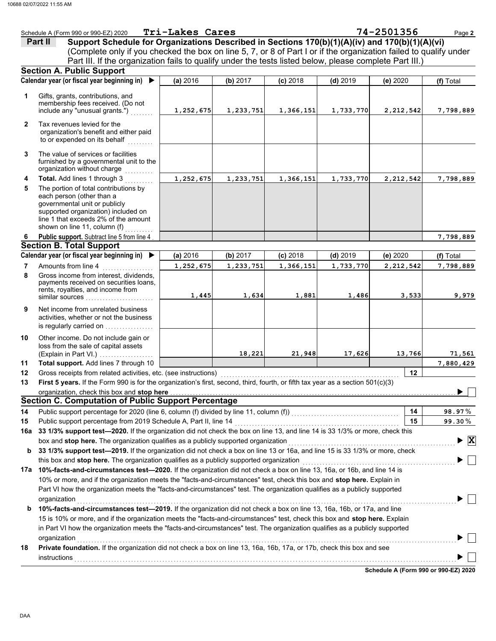|                                                                                                                   | Schedule A (Form 990 or 990-EZ) 2020                                                                                                                                              | Tri-Lakes Cares |           |            |            | 74-2501356  | Page 2                             |
|-------------------------------------------------------------------------------------------------------------------|-----------------------------------------------------------------------------------------------------------------------------------------------------------------------------------|-----------------|-----------|------------|------------|-------------|------------------------------------|
| Support Schedule for Organizations Described in Sections 170(b)(1)(A)(iv) and 170(b)(1)(A)(vi)<br>Part II         |                                                                                                                                                                                   |                 |           |            |            |             |                                    |
| (Complete only if you checked the box on line 5, 7, or 8 of Part I or if the organization failed to qualify under |                                                                                                                                                                                   |                 |           |            |            |             |                                    |
| Part III. If the organization fails to qualify under the tests listed below, please complete Part III.)           |                                                                                                                                                                                   |                 |           |            |            |             |                                    |
|                                                                                                                   | <b>Section A. Public Support</b>                                                                                                                                                  |                 |           |            |            |             |                                    |
|                                                                                                                   | Calendar year (or fiscal year beginning in) $\blacktriangleright$                                                                                                                 | (a) 2016        | (b) 2017  | $(c)$ 2018 | $(d)$ 2019 | (e) 2020    | (f) Total                          |
| 1                                                                                                                 | Gifts, grants, contributions, and                                                                                                                                                 |                 |           |            |            |             |                                    |
|                                                                                                                   | membership fees received. (Do not                                                                                                                                                 |                 |           |            |            |             |                                    |
|                                                                                                                   | include any "unusual grants.")                                                                                                                                                    | 1,252,675       | 1,233,751 | 1,366,151  | 1,733,770  | 2,212,542   | 7,798,889                          |
| $\mathbf{2}$                                                                                                      | Tax revenues levied for the<br>organization's benefit and either paid                                                                                                             |                 |           |            |            |             |                                    |
|                                                                                                                   | to or expended on its behalf                                                                                                                                                      |                 |           |            |            |             |                                    |
| 3                                                                                                                 | The value of services or facilities<br>furnished by a governmental unit to the<br>organization without charge                                                                     |                 |           |            |            |             |                                    |
| 4                                                                                                                 | Total. Add lines 1 through 3                                                                                                                                                      | 1,252,675       | 1,233,751 | 1,366,151  | 1,733,770  | 2, 212, 542 | 7,798,889                          |
| 5                                                                                                                 | The portion of total contributions by<br>each person (other than a<br>governmental unit or publicly<br>supported organization) included on                                        |                 |           |            |            |             |                                    |
|                                                                                                                   | line 1 that exceeds 2% of the amount                                                                                                                                              |                 |           |            |            |             |                                    |
|                                                                                                                   | shown on line 11, column (f)                                                                                                                                                      |                 |           |            |            |             |                                    |
| 6                                                                                                                 | Public support. Subtract line 5 from line 4                                                                                                                                       |                 |           |            |            |             | 7,798,889                          |
|                                                                                                                   | <b>Section B. Total Support</b><br>Calendar year (or fiscal year beginning in)                                                                                                    | (a) 2016        | (b) 2017  | $(c)$ 2018 | $(d)$ 2019 | (e) 2020    | (f) Total                          |
| 7                                                                                                                 | Amounts from line 4                                                                                                                                                               |                 | 1,233,751 | 1,366,151  | 1,733,770  | 2, 212, 542 |                                    |
| 8                                                                                                                 | Gross income from interest, dividends,                                                                                                                                            | 1,252,675       |           |            |            |             | 7,798,889                          |
|                                                                                                                   | payments received on securities loans,<br>rents, royalties, and income from<br>similar sources                                                                                    | 1,445           | 1,634     | 1,881      | 1,486      | 3,533       | 9,979                              |
| 9                                                                                                                 | Net income from unrelated business<br>activities, whether or not the business<br>is regularly carried on                                                                          |                 |           |            |            |             |                                    |
| 10                                                                                                                | Other income. Do not include gain or<br>loss from the sale of capital assets                                                                                                      |                 |           |            |            |             |                                    |
|                                                                                                                   | (Explain in Part VI.)                                                                                                                                                             |                 | 18,221    | 21,948     | 17,626     | 13,766      | 71,561                             |
| 11                                                                                                                | Total support. Add lines 7 through 10                                                                                                                                             |                 |           |            |            |             | 7,880,429                          |
| 12                                                                                                                | Gross receipts from related activities, etc. (see instructions)                                                                                                                   |                 |           |            |            | 12          |                                    |
| 13                                                                                                                | First 5 years. If the Form 990 is for the organization's first, second, third, fourth, or fifth tax year as a section 501(c)(3)                                                   |                 |           |            |            |             |                                    |
|                                                                                                                   | organization, check this box and stop here<br><b>Section C. Computation of Public Support Percentage</b>                                                                          |                 |           |            |            |             |                                    |
|                                                                                                                   |                                                                                                                                                                                   |                 |           |            |            |             |                                    |
| 14                                                                                                                | Public support percentage for 2020 (line 6, column (f) divided by line 11, column (f)) [[[[[[[[[[[[[[[[[[[[[[<br>Public support percentage from 2019 Schedule A, Part II, line 14 |                 |           |            |            | 14          | 98.97%                             |
| 15                                                                                                                | 33 1/3% support test-2020. If the organization did not check the box on line 13, and line 14 is 33 1/3% or more, check this                                                       |                 |           |            |            | 15          | 99.30%                             |
| 16a                                                                                                               | box and stop here. The organization qualifies as a publicly supported organization                                                                                                |                 |           |            |            |             | $\blacktriangleright$ $\mathbf{X}$ |
| b                                                                                                                 | 33 1/3% support test-2019. If the organization did not check a box on line 13 or 16a, and line 15 is 33 1/3% or more, check                                                       |                 |           |            |            |             |                                    |
|                                                                                                                   | this box and stop here. The organization qualifies as a publicly supported organization                                                                                           |                 |           |            |            |             |                                    |
|                                                                                                                   | 17a 10%-facts-and-circumstances test-2020. If the organization did not check a box on line 13, 16a, or 16b, and line 14 is                                                        |                 |           |            |            |             |                                    |
|                                                                                                                   | 10% or more, and if the organization meets the "facts-and-circumstances" test, check this box and stop here. Explain in                                                           |                 |           |            |            |             |                                    |
|                                                                                                                   | Part VI how the organization meets the "facts-and-circumstances" test. The organization qualifies as a publicly supported                                                         |                 |           |            |            |             |                                    |
|                                                                                                                   | organization                                                                                                                                                                      |                 |           |            |            |             |                                    |
| b                                                                                                                 | 10%-facts-and-circumstances test-2019. If the organization did not check a box on line 13, 16a, 16b, or 17a, and line                                                             |                 |           |            |            |             |                                    |
|                                                                                                                   | 15 is 10% or more, and if the organization meets the "facts-and-circumstances" test, check this box and stop here. Explain                                                        |                 |           |            |            |             |                                    |
|                                                                                                                   | in Part VI how the organization meets the "facts-and-circumstances" test. The organization qualifies as a publicly supported                                                      |                 |           |            |            |             |                                    |
|                                                                                                                   | organization                                                                                                                                                                      |                 |           |            |            |             |                                    |
| 18                                                                                                                | Private foundation. If the organization did not check a box on line 13, 16a, 16b, 17a, or 17b, check this box and see                                                             |                 |           |            |            |             |                                    |
|                                                                                                                   | instructions                                                                                                                                                                      |                 |           |            |            |             |                                    |

**Schedule A (Form 990 or 990-EZ) 2020**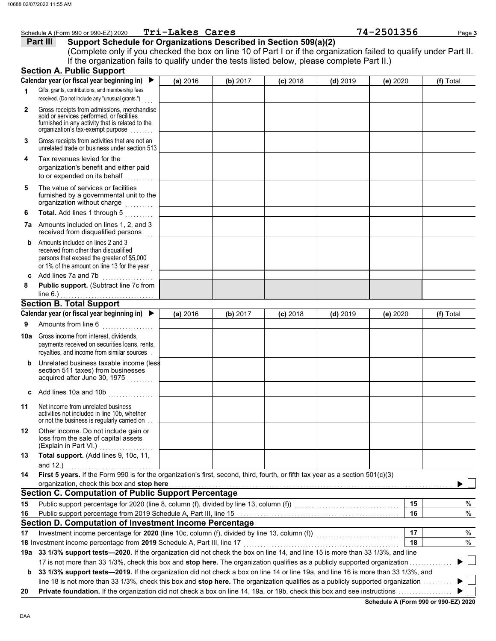|              | Schedule A (Form 990 or 990-EZ) 2020                                                                                                                                              | Tri-Lakes Cares |          |            |            | 74-2501356 | Page 3    |
|--------------|-----------------------------------------------------------------------------------------------------------------------------------------------------------------------------------|-----------------|----------|------------|------------|------------|-----------|
|              | Support Schedule for Organizations Described in Section 509(a)(2)<br>Part III                                                                                                     |                 |          |            |            |            |           |
|              | (Complete only if you checked the box on line 10 of Part I or if the organization failed to qualify under Part II.                                                                |                 |          |            |            |            |           |
|              | If the organization fails to qualify under the tests listed below, please complete Part II.)                                                                                      |                 |          |            |            |            |           |
|              | <b>Section A. Public Support</b>                                                                                                                                                  |                 |          |            |            |            |           |
|              | Calendar year (or fiscal year beginning in)                                                                                                                                       | (a) 2016        | (b) 2017 | $(c)$ 2018 | $(d)$ 2019 | (e) 2020   | (f) Total |
| 1            | Gifts, grants, contributions, and membership fees<br>received. (Do not include any "unusual grants.")                                                                             |                 |          |            |            |            |           |
| $\mathbf{2}$ | Gross receipts from admissions, merchandise<br>sold or services performed, or facilities<br>furnished in any activity that is related to the<br>organization's tax-exempt purpose |                 |          |            |            |            |           |
| 3            | Gross receipts from activities that are not an<br>unrelated trade or business under section 513                                                                                   |                 |          |            |            |            |           |
| 4            | Tax revenues levied for the<br>organization's benefit and either paid<br>to or expended on its behalf                                                                             |                 |          |            |            |            |           |
| 5            | The value of services or facilities<br>furnished by a governmental unit to the<br>organization without charge                                                                     |                 |          |            |            |            |           |
| 6            | Total. Add lines 1 through 5                                                                                                                                                      |                 |          |            |            |            |           |
|              | 7a Amounts included on lines 1, 2, and 3<br>received from disqualified persons                                                                                                    |                 |          |            |            |            |           |
| b            | Amounts included on lines 2 and 3<br>received from other than disqualified<br>persons that exceed the greater of \$5,000<br>or 1% of the amount on line 13 for the year           |                 |          |            |            |            |           |
| c            | Add lines 7a and 7b<br>.                                                                                                                                                          |                 |          |            |            |            |           |
| 8            | Public support. (Subtract line 7c from<br>line $6.$ )                                                                                                                             |                 |          |            |            |            |           |
|              | <b>Section B. Total Support</b>                                                                                                                                                   |                 |          |            |            |            |           |
|              | Calendar year (or fiscal year beginning in) $\blacktriangleright$                                                                                                                 | (a) 2016        | (b) 2017 | $(c)$ 2018 | $(d)$ 2019 | (e) 2020   | (f) Total |
| 9            | Amounts from line 6<br>.                                                                                                                                                          |                 |          |            |            |            |           |
|              | <b>10a</b> Gross income from interest, dividends,<br>payments received on securities loans, rents,<br>royalties, and income from similar sources                                  |                 |          |            |            |            |           |
| b            | Unrelated business taxable income (less<br>section 511 taxes) from businesses<br>acquired after June 30, 1975                                                                     |                 |          |            |            |            |           |
| c            | Add lines 10a and 10b                                                                                                                                                             |                 |          |            |            |            |           |
| 11           | Net income from unrelated business<br>activities not included in line 10b, whether<br>or not the business is regularly carried on                                                 |                 |          |            |            |            |           |
| 12           | Other income. Do not include gain or<br>loss from the sale of capital assets<br>(Explain in Part VI.)                                                                             |                 |          |            |            |            |           |
| 13           | Total support. (Add lines 9, 10c, 11,<br>and 12.) $\qquad \qquad$                                                                                                                 |                 |          |            |            |            |           |
| 14           | First 5 years. If the Form 990 is for the organization's first, second, third, fourth, or fifth tax year as a section 501(c)(3)<br>organization, check this box and stop here     |                 |          |            |            |            |           |
|              | <b>Section C. Computation of Public Support Percentage</b>                                                                                                                        |                 |          |            |            |            |           |
| 15           |                                                                                                                                                                                   |                 |          |            |            | 15         | %         |
| 16           |                                                                                                                                                                                   |                 |          |            |            | 16         | $\%$      |
|              | Section D. Computation of Investment Income Percentage                                                                                                                            |                 |          |            |            |            |           |
| 17           | Investment income percentage for 2020 (line 10c, column (f), divided by line 13, column (f)) [[[[[[[[[[[[[[[[                                                                     |                 |          |            |            | 17         | %         |
|              | 18 Investment income percentage from 2019 Schedule A, Part III, line 17                                                                                                           |                 |          |            |            | 18         | %         |
| 19а          | 33 1/3% support tests-2020. If the organization did not check the box on line 14, and line 15 is more than 33 1/3%, and line                                                      |                 |          |            |            |            |           |
|              | 17 is not more than 33 1/3%, check this box and stop here. The organization qualifies as a publicly supported organization                                                        |                 |          |            |            |            |           |
| b            | 33 1/3% support tests-2019. If the organization did not check a box on line 14 or line 19a, and line 16 is more than 33 1/3%, and                                                 |                 |          |            |            |            |           |
|              | line 18 is not more than 33 1/3%, check this box and stop here. The organization qualifies as a publicly supported organization                                                   |                 |          |            |            |            |           |
| 20           |                                                                                                                                                                                   |                 |          |            |            |            |           |

**Schedule A (Form 990 or 990-EZ) 2020**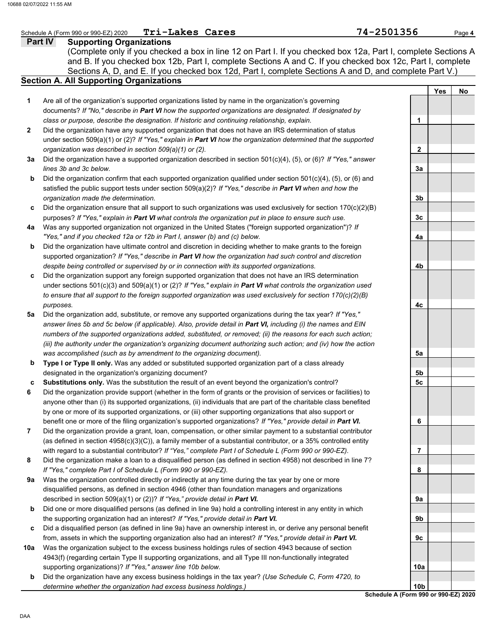#### **Part IV Supporting Organizations** Sections A, D, and E. If you checked box 12d, Part I, complete Sections A and D, and complete Part V.) Schedule A (Form 990 or 990-EZ) 2020 **Pri-Lakes Cares Page 4 Page 4 Page 4 Page 4 Section A. All Supporting Organizations** (Complete only if you checked a box in line 12 on Part I. If you checked box 12a, Part I, complete Sections A and B. If you checked box 12b, Part I, complete Sections A and C. If you checked box 12c, Part I, complete Are all of the organization's supported organizations listed by name in the organization's governing documents? *If "No," describe in Part VI how the supported organizations are designated. If designated by class or purpose, describe the designation. If historic and continuing relationship, explain.* Did the organization have any supported organization that does not have an IRS determination of status under section 509(a)(1) or (2)? *If "Yes," explain in Part VI how the organization determined that the supported organization was described in section 509(a)(1) or (2).* **1 2 3a** Did the organization have a supported organization described in section 501(c)(4), (5), or (6)? *If "Yes," answer* **b c** Did the organization ensure that all support to such organizations was used exclusively for section 170(c)(2)(B) **4a** Was any supported organization not organized in the United States ("foreign supported organization")? *If* **b c** Did the organization support any foreign supported organization that does not have an IRS determination **5a** Did the organization add, substitute, or remove any supported organizations during the tax year? *If "Yes,"* **b c 6 7 8 9a b c 10a** *lines 3b and 3c below.* Did the organization confirm that each supported organization qualified under section 501(c)(4), (5), or (6) and satisfied the public support tests under section 509(a)(2)? *If "Yes," describe in Part VI when and how the organization made the determination.* purposes? *If "Yes," explain in Part VI what controls the organization put in place to ensure such use. "Yes," and if you checked 12a or 12b in Part I, answer (b) and (c) below.* Did the organization have ultimate control and discretion in deciding whether to make grants to the foreign supported organization? *If "Yes," describe in Part VI how the organization had such control and discretion despite being controlled or supervised by or in connection with its supported organizations.* under sections 501(c)(3) and 509(a)(1) or (2)? *If "Yes," explain in Part VI what controls the organization used to ensure that all support to the foreign supported organization was used exclusively for section 170(c)(2)(B) purposes. answer lines 5b and 5c below (if applicable). Also, provide detail in Part VI, including (i) the names and EIN numbers of the supported organizations added, substituted, or removed; (ii) the reasons for each such action; (iii) the authority under the organization's organizing document authorizing such action; and (iv) how the action was accomplished (such as by amendment to the organizing document).* **Type I or Type II only.** Was any added or substituted supported organization part of a class already designated in the organization's organizing document? **Substitutions only.** Was the substitution the result of an event beyond the organization's control? Did the organization provide support (whether in the form of grants or the provision of services or facilities) to anyone other than (i) its supported organizations, (ii) individuals that are part of the charitable class benefited by one or more of its supported organizations, or (iii) other supporting organizations that also support or benefit one or more of the filing organization's supported organizations? *If "Yes," provide detail in Part VI.* Did the organization provide a grant, loan, compensation, or other similar payment to a substantial contributor (as defined in section 4958(c)(3)(C)), a family member of a substantial contributor, or a 35% controlled entity with regard to a substantial contributor? *If "Yes," complete Part I of Schedule L (Form 990 or 990-EZ).* Did the organization make a loan to a disqualified person (as defined in section 4958) not described in line 7? *If "Yes," complete Part I of Schedule L (Form 990 or 990-EZ).* Was the organization controlled directly or indirectly at any time during the tax year by one or more disqualified persons, as defined in section 4946 (other than foundation managers and organizations described in section 509(a)(1) or (2))? *If "Yes," provide detail in Part VI.* Did one or more disqualified persons (as defined in line 9a) hold a controlling interest in any entity in which the supporting organization had an interest? *If "Yes," provide detail in Part VI.* Did a disqualified person (as defined in line 9a) have an ownership interest in, or derive any personal benefit from, assets in which the supporting organization also had an interest? *If "Yes," provide detail in Part VI.* Was the organization subject to the excess business holdings rules of section 4943 because of section 4943(f) (regarding certain Type II supporting organizations, and all Type III non-functionally integrated supporting organizations)? *If "Yes," answer line 10b below.* **Yes No 1 2 3a 3b 3c 4a 4b 4c 5a 5b 5c 6 7 8 9a 9b 9c 10a** Tri-Lakes Cares

**b** Did the organization have any excess business holdings in the tax year? *(Use Schedule C, Form 4720, to determine whether the organization had excess business holdings.)*

**Schedule A (Form 990 or 990-EZ) 2020 10b**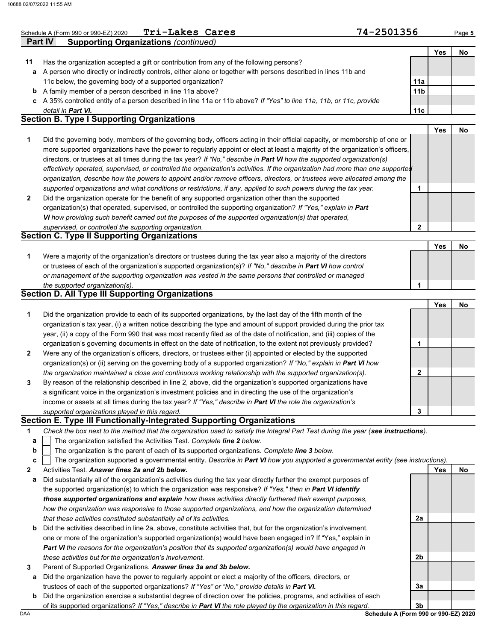|    | Tri-Lakes Cares<br>Schedule A (Form 990 or 990-EZ) 2020                                                              | 74-2501356      |     | Page 5 |
|----|----------------------------------------------------------------------------------------------------------------------|-----------------|-----|--------|
|    | <b>Part IV</b><br><b>Supporting Organizations (continued)</b>                                                        |                 |     |        |
|    |                                                                                                                      |                 | Yes | No     |
| 11 | Has the organization accepted a gift or contribution from any of the following persons?                              |                 |     |        |
| a  | A person who directly or indirectly controls, either alone or together with persons described in lines 11b and       |                 |     |        |
|    | 11c below, the governing body of a supported organization?                                                           | 11a             |     |        |
|    | <b>b</b> A family member of a person described in line 11a above?                                                    | 11 <sub>b</sub> |     |        |
|    | c A 35% controlled entity of a person described in line 11a or 11b above? If "Yes" to line 11a, 11b, or 11c, provide |                 |     |        |
|    | detail in <b>Part VI.</b>                                                                                            | 11 <sub>c</sub> |     |        |

### **Section B. Type I Supporting Organizations**

**2 1** *supported organizations and what conditions or restrictions, if any, applied to such powers during the tax year. organization, describe how the powers to appoint and/or remove officers, directors, or trustees were allocated among the effectively operated, supervised, or controlled the organization's activities. If the organization had more than one supported* directors, or trustees at all times during the tax year? *If "No," describe in Part VI how the supported organization(s)* more supported organizations have the power to regularly appoint or elect at least a majority of the organization's officers, Did the governing body, members of the governing body, officers acting in their official capacity, or membership of one or Did the organization operate for the benefit of any supported organization other than the supported organization(s) that operated, supervised, or controlled the supporting organization? *If "Yes," explain in Part*  **1 Yes No**

*VI how providing such benefit carried out the purposes of the supported organization(s) that operated, supervised, or controlled the supporting organization.*

### **Section C. Type II Supporting Organizations**

Were a majority of the organization's directors or trustees during the tax year also a majority of the directors or trustees of each of the organization's supported organization(s)? *If "No," describe in Part VI how control* **1** *or management of the supporting organization was vested in the same persons that controlled or managed the supported organization(s).* **Yes No 1**

### **Section D. All Type III Supporting Organizations**

|                |                                                                                                                        | Yes | No |
|----------------|------------------------------------------------------------------------------------------------------------------------|-----|----|
| 1              | Did the organization provide to each of its supported organizations, by the last day of the fifth month of the         |     |    |
|                | organization's tax year, (i) a written notice describing the type and amount of support provided during the prior tax  |     |    |
|                | year, (ii) a copy of the Form 990 that was most recently filed as of the date of notification, and (iii) copies of the |     |    |
|                | organization's governing documents in effect on the date of notification, to the extent not previously provided?       |     |    |
| $\overline{2}$ | Were any of the organization's officers, directors, or trustees either (i) appointed or elected by the supported       |     |    |
|                | organization(s) or (ii) serving on the governing body of a supported organization? If "No," explain in Part VI how     |     |    |
|                | the organization maintained a close and continuous working relationship with the supported organization(s).            |     |    |
| 3              | By reason of the relationship described in line 2, above, did the organization's supported organizations have          |     |    |
|                | a significant voice in the organization's investment policies and in directing the use of the organization's           |     |    |
|                | income or assets at all times during the tax year? If "Yes," describe in Part VI the role the organization's           |     |    |
|                | supported organizations played in this regard.                                                                         |     |    |

#### **Section E. Type III Functionally-Integrated Supporting Organizations**

| Check the box next to the method that the organization used to satisfy the Integral Part Test during the year (see instructions). |  |
|-----------------------------------------------------------------------------------------------------------------------------------|--|
|                                                                                                                                   |  |

- The organization satisfied the Activities Test. *Complete line 2 below.* **a**
- The organization is the parent of each of its supported organizations. *Complete line 3 below.* **b**

|  | c   The organization supported a governmental entity. Describe in Part VI how you supported a governmental entity (see instructions). |  |
|--|---------------------------------------------------------------------------------------------------------------------------------------|--|
|  |                                                                                                                                       |  |

- **2** Activities Test. *Answer lines 2a and 2b below.*
- **a** Did substantially all of the organization's activities during the tax year directly further the exempt purposes of the supported organization(s) to which the organization was responsive? *If "Yes," then in Part VI identify those supported organizations and explain how these activities directly furthered their exempt purposes,*  how the organization was responsive to those supported organizations, and how the organization determined *that these activities constituted substantially all of its activities.*
- **b** Did the activities described in line 2a, above, constitute activities that, but for the organization's involvement, one or more of the organization's supported organization(s) would have been engaged in? If "Yes," explain in *Part VI the reasons for the organization's position that its supported organization(s) would have engaged in these activities but for the organization's involvement.*
- **3** Parent of Supported Organizations. *Answer lines 3a and 3b below.*
	- **a** Did the organization have the power to regularly appoint or elect a majority of the officers, directors, or trustees of each of the supported organizations? *If "Yes" or "No," provide details in Part VI.*
	- **b** Did the organization exercise a substantial degree of direction over the policies, programs, and activities of each of its supported organizations? *If "Yes," describe in Part VI the role played by the organization in this regard.*

DAA **Schedule A (Form 990 or 990-EZ) 2020 3b**

**2a**

**2b**

**3a**

**Yes No**

**2**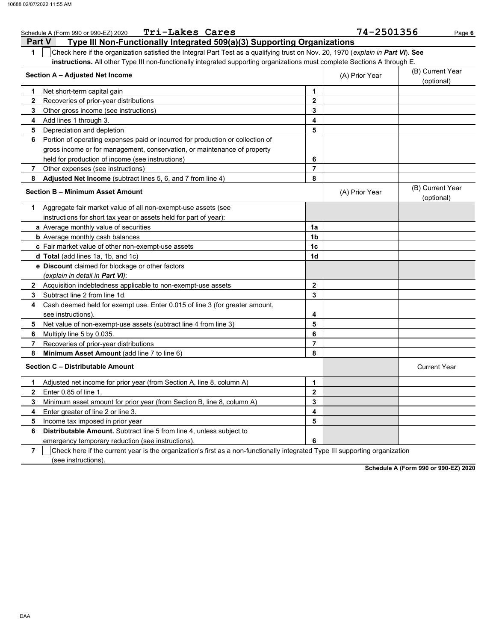|              | Tri-Lakes Cares<br>Schedule A (Form 990 or 990-EZ) 2020                                                                                                                                                                   |                | 74-2501356     | Page 6                         |
|--------------|---------------------------------------------------------------------------------------------------------------------------------------------------------------------------------------------------------------------------|----------------|----------------|--------------------------------|
|              | Type III Non-Functionally Integrated 509(a)(3) Supporting Organizations<br><b>Part V</b>                                                                                                                                  |                |                |                                |
| 1            | Check here if the organization satisfied the Integral Part Test as a qualifying trust on Nov. 20, 1970 (explain in Part VI). See                                                                                          |                |                |                                |
|              | <b>instructions.</b> All other Type III non-functionally integrated supporting organizations must complete Sections A through E.                                                                                          |                |                |                                |
|              | Section A - Adjusted Net Income                                                                                                                                                                                           |                | (A) Prior Year | (B) Current Year<br>(optional) |
| 1            | Net short-term capital gain                                                                                                                                                                                               | $\mathbf{1}$   |                |                                |
| 2            | Recoveries of prior-year distributions                                                                                                                                                                                    | $\mathbf 2$    |                |                                |
| 3            | Other gross income (see instructions)                                                                                                                                                                                     | 3              |                |                                |
| 4            | Add lines 1 through 3.                                                                                                                                                                                                    | 4              |                |                                |
| 5            | Depreciation and depletion                                                                                                                                                                                                | 5              |                |                                |
| 6            | Portion of operating expenses paid or incurred for production or collection of                                                                                                                                            |                |                |                                |
|              | gross income or for management, conservation, or maintenance of property                                                                                                                                                  |                |                |                                |
|              | held for production of income (see instructions)                                                                                                                                                                          | 6              |                |                                |
| 7            | Other expenses (see instructions)                                                                                                                                                                                         | $\overline{7}$ |                |                                |
| 8            | <b>Adjusted Net Income</b> (subtract lines 5, 6, and 7 from line 4)                                                                                                                                                       | 8              |                |                                |
|              | Section B - Minimum Asset Amount                                                                                                                                                                                          |                | (A) Prior Year | (B) Current Year<br>(optional) |
| 1.           | Aggregate fair market value of all non-exempt-use assets (see                                                                                                                                                             |                |                |                                |
|              | instructions for short tax year or assets held for part of year):                                                                                                                                                         |                |                |                                |
|              | a Average monthly value of securities                                                                                                                                                                                     | 1a             |                |                                |
|              | <b>b</b> Average monthly cash balances                                                                                                                                                                                    | 1b             |                |                                |
|              | c Fair market value of other non-exempt-use assets                                                                                                                                                                        | 1 <sub>c</sub> |                |                                |
|              | <b>d Total</b> (add lines 1a, 1b, and 1c)                                                                                                                                                                                 | 1d             |                |                                |
|              | <b>e Discount</b> claimed for blockage or other factors                                                                                                                                                                   |                |                |                                |
|              | (explain in detail in Part VI):                                                                                                                                                                                           |                |                |                                |
| $\mathbf{2}$ | Acquisition indebtedness applicable to non-exempt-use assets                                                                                                                                                              | $\mathbf{2}$   |                |                                |
| 3            | Subtract line 2 from line 1d.                                                                                                                                                                                             | 3              |                |                                |
| 4            | Cash deemed held for exempt use. Enter 0.015 of line 3 (for greater amount,                                                                                                                                               |                |                |                                |
|              | see instructions)                                                                                                                                                                                                         | 4              |                |                                |
| 5            | Net value of non-exempt-use assets (subtract line 4 from line 3)                                                                                                                                                          | 5              |                |                                |
| 6            | Multiply line 5 by 0.035.                                                                                                                                                                                                 | 6              |                |                                |
| 7            | Recoveries of prior-year distributions                                                                                                                                                                                    | $\overline{7}$ |                |                                |
| 8            | Minimum Asset Amount (add line 7 to line 6)                                                                                                                                                                               | 8              |                |                                |
|              | Section C - Distributable Amount                                                                                                                                                                                          |                |                | <b>Current Year</b>            |
| 1            | Adjusted net income for prior year (from Section A, line 8, column A)                                                                                                                                                     | 1              |                |                                |
| $\mathbf{2}$ | Enter 0.85 of line 1.                                                                                                                                                                                                     | $\mathbf{2}$   |                |                                |
| 3            | Minimum asset amount for prior year (from Section B, line 8, column A)                                                                                                                                                    | 3              |                |                                |
| 4            | Enter greater of line 2 or line 3.                                                                                                                                                                                        | 4              |                |                                |
| 5            | Income tax imposed in prior year                                                                                                                                                                                          | 5              |                |                                |
| 6            | <b>Distributable Amount.</b> Subtract line 5 from line 4, unless subject to                                                                                                                                               |                |                |                                |
|              | emergency temporary reduction (see instructions).                                                                                                                                                                         | 6              |                |                                |
|              | المعادين الما<br>$\mathbf{r}$ , $\mathbf{r}$ , $\mathbf{r}$ , $\mathbf{r}$ , $\mathbf{r}$ , $\mathbf{r}$ , $\mathbf{r}$ , $\mathbf{r}$<br>the contract of the contract of the contract of the contract of the contract of | $\sim$         |                |                                |

**7**  $\Box$  Check here if the current year is the organization's first as a non-functionally integrated Type III supporting organization (see instructions).

**Schedule A (Form 990 or 990-EZ) 2020**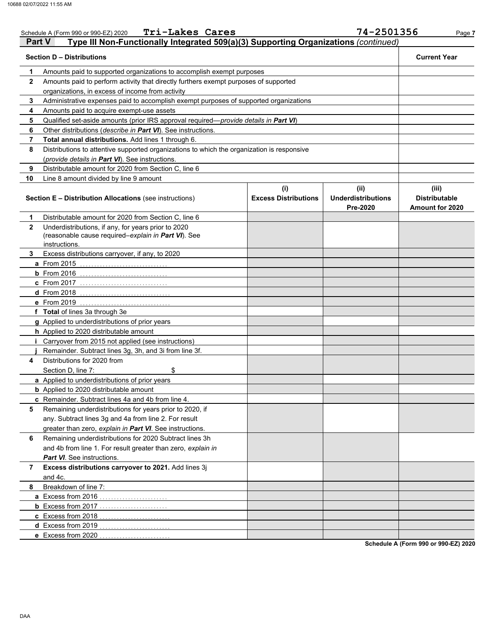|              | Tri-Lakes Cares<br>Schedule A (Form 990 or 990-EZ) 2020                                      |                                    | 74-2501356                                    | Page 7                                           |
|--------------|----------------------------------------------------------------------------------------------|------------------------------------|-----------------------------------------------|--------------------------------------------------|
| Part V       | Type III Non-Functionally Integrated 509(a)(3) Supporting Organizations (continued)          |                                    |                                               |                                                  |
|              | <b>Section D - Distributions</b>                                                             |                                    |                                               | <b>Current Year</b>                              |
| 1            | Amounts paid to supported organizations to accomplish exempt purposes                        |                                    |                                               |                                                  |
| $\mathbf{2}$ | Amounts paid to perform activity that directly furthers exempt purposes of supported         |                                    |                                               |                                                  |
|              | organizations, in excess of income from activity                                             |                                    |                                               |                                                  |
| 3            | Administrative expenses paid to accomplish exempt purposes of supported organizations        |                                    |                                               |                                                  |
| 4            | Amounts paid to acquire exempt-use assets                                                    |                                    |                                               |                                                  |
| 5            | Qualified set-aside amounts (prior IRS approval required-provide details in Part VI)         |                                    |                                               |                                                  |
| 6            | Other distributions (describe in Part VI). See instructions.                                 |                                    |                                               |                                                  |
| 7            | Total annual distributions. Add lines 1 through 6.                                           |                                    |                                               |                                                  |
| 8            | Distributions to attentive supported organizations to which the organization is responsive   |                                    |                                               |                                                  |
|              | (provide details in Part VI). See instructions.                                              |                                    |                                               |                                                  |
| 9            | Distributable amount for 2020 from Section C, line 6                                         |                                    |                                               |                                                  |
| 10           | Line 8 amount divided by line 9 amount                                                       |                                    |                                               |                                                  |
|              | <b>Section E - Distribution Allocations (see instructions)</b>                               | (i)<br><b>Excess Distributions</b> | (ii)<br><b>Underdistributions</b><br>Pre-2020 | (iii)<br><b>Distributable</b><br>Amount for 2020 |
| 1            | Distributable amount for 2020 from Section C, line 6                                         |                                    |                                               |                                                  |
| $\mathbf{2}$ | Underdistributions, if any, for years prior to 2020                                          |                                    |                                               |                                                  |
|              | (reasonable cause required-explain in Part VI). See                                          |                                    |                                               |                                                  |
|              | instructions.                                                                                |                                    |                                               |                                                  |
| 3            | Excess distributions carryover, if any, to 2020                                              |                                    |                                               |                                                  |
|              | a From 2015                                                                                  |                                    |                                               |                                                  |
|              | $b$ From 2016                                                                                |                                    |                                               |                                                  |
|              | c From 2017                                                                                  |                                    |                                               |                                                  |
|              | <b>d</b> From 2018                                                                           |                                    |                                               |                                                  |
|              | e From 2019                                                                                  |                                    |                                               |                                                  |
|              | f Total of lines 3a through 3e                                                               |                                    |                                               |                                                  |
|              | g Applied to underdistributions of prior years                                               |                                    |                                               |                                                  |
|              | h Applied to 2020 distributable amount<br>Carryover from 2015 not applied (see instructions) |                                    |                                               |                                                  |
| Ĩ.           | Remainder. Subtract lines 3g, 3h, and 3i from line 3f.                                       |                                    |                                               |                                                  |
| 4            | Distributions for 2020 from                                                                  |                                    |                                               |                                                  |
|              | Section D, line 7:<br>\$                                                                     |                                    |                                               |                                                  |
|              | a Applied to underdistributions of prior years                                               |                                    |                                               |                                                  |
|              | <b>b</b> Applied to 2020 distributable amount                                                |                                    |                                               |                                                  |
|              | c Remainder. Subtract lines 4a and 4b from line 4.                                           |                                    |                                               |                                                  |
| 5            | Remaining underdistributions for years prior to 2020, if                                     |                                    |                                               |                                                  |
|              | any. Subtract lines 3g and 4a from line 2. For result                                        |                                    |                                               |                                                  |
|              | greater than zero, explain in Part VI. See instructions.                                     |                                    |                                               |                                                  |
| 6            | Remaining underdistributions for 2020 Subtract lines 3h                                      |                                    |                                               |                                                  |
|              | and 4b from line 1. For result greater than zero, explain in                                 |                                    |                                               |                                                  |
|              | <b>Part VI</b> . See instructions.                                                           |                                    |                                               |                                                  |
| 7            | Excess distributions carryover to 2021. Add lines 3j                                         |                                    |                                               |                                                  |
|              | and 4c.                                                                                      |                                    |                                               |                                                  |
| 8            | Breakdown of line 7:                                                                         |                                    |                                               |                                                  |
|              | a Excess from 2016<br>.                                                                      |                                    |                                               |                                                  |
|              | <b>b</b> Excess from 2017                                                                    |                                    |                                               |                                                  |
|              | c Excess from 2018                                                                           |                                    |                                               |                                                  |
|              | d Excess from 2019                                                                           |                                    |                                               |                                                  |
|              | e Excess from 2020                                                                           |                                    |                                               |                                                  |
|              |                                                                                              |                                    |                                               | $-000F20000$                                     |

**Schedule A (Form 990 or 990-EZ) 2020**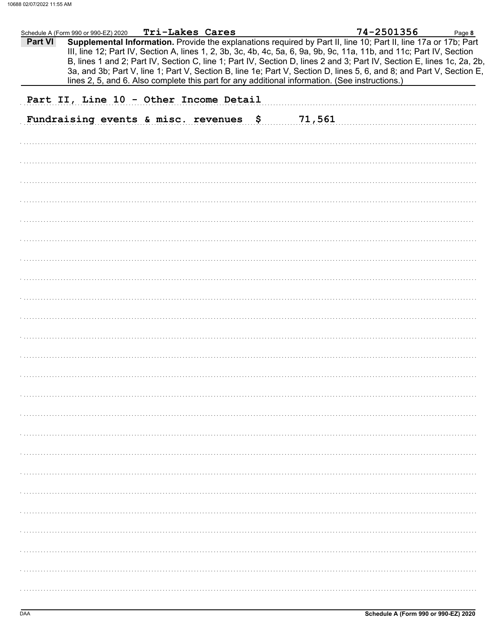|                | Schedule A (Form 990 or 990-EZ) 2020                                                           | Tri-Lakes Cares |  |        | 74-2501356                                                                                                                                                                                                                                                                                                                                                        | Page 8 |
|----------------|------------------------------------------------------------------------------------------------|-----------------|--|--------|-------------------------------------------------------------------------------------------------------------------------------------------------------------------------------------------------------------------------------------------------------------------------------------------------------------------------------------------------------------------|--------|
| <b>Part VI</b> |                                                                                                |                 |  |        | Supplemental Information. Provide the explanations required by Part II, line 10; Part II, line 17a or 17b; Part<br>III, line 12; Part IV, Section A, lines 1, 2, 3b, 3c, 4b, 4c, 5a, 6, 9a, 9b, 9c, 11a, 11b, and 11c; Part IV, Section<br>B, lines 1 and 2; Part IV, Section C, line 1; Part IV, Section D, lines 2 and 3; Part IV, Section E, lines 1c, 2a, 2b, |        |
|                | lines 2, 5, and 6. Also complete this part for any additional information. (See instructions.) |                 |  |        | 3a, and 3b; Part V, line 1; Part V, Section B, line 1e; Part V, Section D, lines 5, 6, and 8; and Part V, Section E,                                                                                                                                                                                                                                              |        |
|                | Part II, Line 10 - Other Income Detail                                                         |                 |  |        |                                                                                                                                                                                                                                                                                                                                                                   |        |
|                | Fundraising events & misc. revenues \$                                                         |                 |  | 71,561 |                                                                                                                                                                                                                                                                                                                                                                   |        |
|                |                                                                                                |                 |  |        |                                                                                                                                                                                                                                                                                                                                                                   |        |
|                |                                                                                                |                 |  |        |                                                                                                                                                                                                                                                                                                                                                                   |        |
|                |                                                                                                |                 |  |        |                                                                                                                                                                                                                                                                                                                                                                   |        |
|                |                                                                                                |                 |  |        |                                                                                                                                                                                                                                                                                                                                                                   |        |
|                |                                                                                                |                 |  |        |                                                                                                                                                                                                                                                                                                                                                                   |        |
|                |                                                                                                |                 |  |        |                                                                                                                                                                                                                                                                                                                                                                   |        |
|                |                                                                                                |                 |  |        |                                                                                                                                                                                                                                                                                                                                                                   |        |
|                |                                                                                                |                 |  |        |                                                                                                                                                                                                                                                                                                                                                                   |        |
|                |                                                                                                |                 |  |        |                                                                                                                                                                                                                                                                                                                                                                   |        |
|                |                                                                                                |                 |  |        |                                                                                                                                                                                                                                                                                                                                                                   |        |
|                |                                                                                                |                 |  |        |                                                                                                                                                                                                                                                                                                                                                                   |        |
|                |                                                                                                |                 |  |        |                                                                                                                                                                                                                                                                                                                                                                   |        |
|                |                                                                                                |                 |  |        |                                                                                                                                                                                                                                                                                                                                                                   |        |
|                |                                                                                                |                 |  |        |                                                                                                                                                                                                                                                                                                                                                                   |        |
|                |                                                                                                |                 |  |        |                                                                                                                                                                                                                                                                                                                                                                   |        |
|                |                                                                                                |                 |  |        |                                                                                                                                                                                                                                                                                                                                                                   |        |
|                |                                                                                                |                 |  |        |                                                                                                                                                                                                                                                                                                                                                                   |        |
|                |                                                                                                |                 |  |        |                                                                                                                                                                                                                                                                                                                                                                   |        |
|                |                                                                                                |                 |  |        |                                                                                                                                                                                                                                                                                                                                                                   |        |
|                |                                                                                                |                 |  |        |                                                                                                                                                                                                                                                                                                                                                                   |        |
|                |                                                                                                |                 |  |        |                                                                                                                                                                                                                                                                                                                                                                   |        |
|                |                                                                                                |                 |  |        |                                                                                                                                                                                                                                                                                                                                                                   |        |
|                |                                                                                                |                 |  |        |                                                                                                                                                                                                                                                                                                                                                                   |        |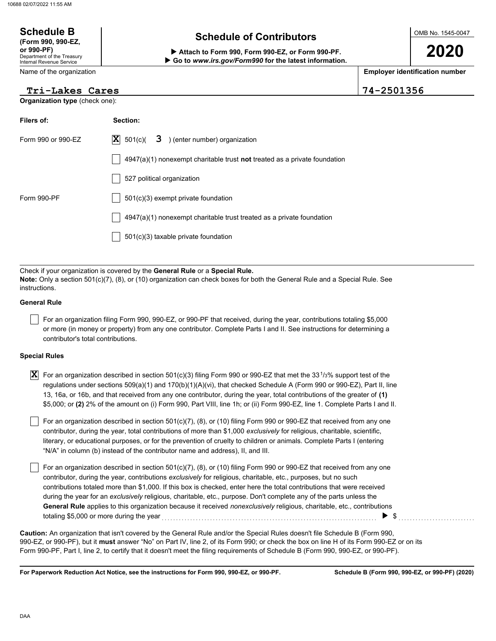| <b>Schedule B</b><br>(Form 990, 990-EZ,                              | <b>Schedule of Contributors</b>                                                                           |            | OMB No. 1545-0047                     |
|----------------------------------------------------------------------|-----------------------------------------------------------------------------------------------------------|------------|---------------------------------------|
| or 990-PF)<br>Department of the Treasury<br>Internal Revenue Service | Attach to Form 990, Form 990-EZ, or Form 990-PF.<br>Go to www.irs.gov/Form990 for the latest information. |            | 2020                                  |
| Name of the organization                                             |                                                                                                           |            | <b>Employer identification number</b> |
| Tri-Lakes Cares                                                      |                                                                                                           | 74-2501356 |                                       |
| Organization type (check one):                                       |                                                                                                           |            |                                       |
| Filers of:                                                           | Section:                                                                                                  |            |                                       |
| Form 990 or 990-EZ                                                   | 3 ) (enter number) organization<br>$ \mathbf{X} $ 501(c)(                                                 |            |                                       |
|                                                                      | $4947(a)(1)$ nonexempt charitable trust not treated as a private foundation                               |            |                                       |
|                                                                      | 527 political organization                                                                                |            |                                       |
| Form 990-PF                                                          | $501(c)(3)$ exempt private foundation                                                                     |            |                                       |
|                                                                      | 4947(a)(1) nonexempt charitable trust treated as a private foundation                                     |            |                                       |
|                                                                      | 501(c)(3) taxable private foundation                                                                      |            |                                       |
|                                                                      |                                                                                                           |            |                                       |

**Note:** Only a section 501(c)(7), (8), or (10) organization can check boxes for both the General Rule and a Special Rule. See instructions.

### **General Rule**

For an organization filing Form 990, 990-EZ, or 990-PF that received, during the year, contributions totaling \$5,000 or more (in money or property) from any one contributor. Complete Parts I and II. See instructions for determining a contributor's total contributions.

#### **Special Rules**

| $\vert \overline{\mathbf{X}} \vert$ For an organization described in section 501(c)(3) filing Form 990 or 990-EZ that met the 33 <sup>1</sup> /3% support test of the |
|-----------------------------------------------------------------------------------------------------------------------------------------------------------------------|
| regulations under sections 509(a)(1) and 170(b)(1)(A)(vi), that checked Schedule A (Form 990 or 990-EZ), Part II, line                                                |
| 13, 16a, or 16b, and that received from any one contributor, during the year, total contributions of the greater of (1)                                               |
| \$5,000; or (2) 2% of the amount on (i) Form 990, Part VIII, line 1h; or (ii) Form 990-EZ, line 1. Complete Parts I and II.                                           |

literary, or educational purposes, or for the prevention of cruelty to children or animals. Complete Parts I (entering For an organization described in section 501(c)(7), (8), or (10) filing Form 990 or 990-EZ that received from any one contributor, during the year, total contributions of more than \$1,000 *exclusively* for religious, charitable, scientific, "N/A" in column (b) instead of the contributor name and address), II, and III.

For an organization described in section 501(c)(7), (8), or (10) filing Form 990 or 990-EZ that received from any one contributor, during the year, contributions *exclusively* for religious, charitable, etc., purposes, but no such contributions totaled more than \$1,000. If this box is checked, enter here the total contributions that were received during the year for an *exclusively* religious, charitable, etc., purpose. Don't complete any of the parts unless the **General Rule** applies to this organization because it received *nonexclusively* religious, charitable, etc., contributions totaling \$5,000 or more during the year <sub>…………………………………………………………………………</sub> ▶ \$……………………

990-EZ, or 990-PF), but it **must** answer "No" on Part IV, line 2, of its Form 990; or check the box on line H of its Form 990-EZ or on its Form 990-PF, Part I, line 2, to certify that it doesn't meet the filing requirements of Schedule B (Form 990, 990-EZ, or 990-PF). **Caution:** An organization that isn't covered by the General Rule and/or the Special Rules doesn't file Schedule B (Form 990,

**For Paperwork Reduction Act Notice, see the instructions for Form 990, 990-EZ, or 990-PF.**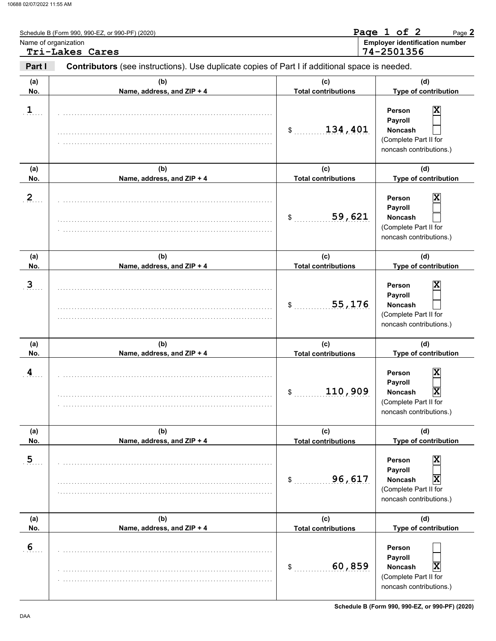| Name of organization | Schedule B (Form 990, 990-EZ, or 990-PF) (2020)<br>Tri-Lakes Cares                             |                                   | Page 1 of 2<br>Page 2<br><b>Employer identification number</b><br>74-2501356                                     |
|----------------------|------------------------------------------------------------------------------------------------|-----------------------------------|------------------------------------------------------------------------------------------------------------------|
| Part I               | Contributors (see instructions). Use duplicate copies of Part I if additional space is needed. |                                   |                                                                                                                  |
| (a)<br>No.           | (b)<br>Name, address, and ZIP + 4                                                              | (c)<br><b>Total contributions</b> | (d)<br>Type of contribution                                                                                      |
| 1                    |                                                                                                | 134,401<br>$\mathsf{\$}$          | Χ<br>Person<br>Payroll<br>Noncash<br>(Complete Part II for<br>noncash contributions.)                            |
| (a)<br>No.           | (b)<br>Name, address, and ZIP + 4                                                              | (c)<br><b>Total contributions</b> | (d)<br>Type of contribution                                                                                      |
| $\mathbf{2}$         |                                                                                                | 59,621<br>\$                      | Χ<br>Person<br>Payroll<br><b>Noncash</b><br>(Complete Part II for<br>noncash contributions.)                     |
| (a)<br>No.           | (b)<br>Name, address, and ZIP + 4                                                              | (c)<br><b>Total contributions</b> | (d)<br>Type of contribution                                                                                      |
| $\mathbf{3}$         |                                                                                                | 55,176<br>\$                      | Χ<br>Person<br>Payroll<br><b>Noncash</b><br>(Complete Part II for<br>noncash contributions.)                     |
| (a)<br>No.           | (b)<br>Name, address, and ZIP + 4                                                              | (c)<br><b>Total contributions</b> | (d)<br>Type of contribution                                                                                      |
| 4                    |                                                                                                | 110,909<br>\$                     | $\overline{\textbf{x}}$<br>Person<br>Payroll<br>X<br>Noncash<br>(Complete Part II for<br>noncash contributions.) |
| (a)<br>No.           | (b)<br>Name, address, and ZIP + 4                                                              | (c)<br><b>Total contributions</b> | (d)<br>Type of contribution                                                                                      |
| $\overline{5}$       |                                                                                                | 96,617<br>\$                      | x<br>Person<br>Payroll<br>Χ<br>Noncash<br>(Complete Part II for<br>noncash contributions.)                       |
| (a)<br>No.           | (b)<br>Name, address, and ZIP + 4                                                              | (c)<br><b>Total contributions</b> | (d)<br>Type of contribution                                                                                      |
| 6                    |                                                                                                | 60,859<br>\$                      | Person<br>Payroll<br>Χ<br>Noncash<br>(Complete Part II for<br>noncash contributions.)                            |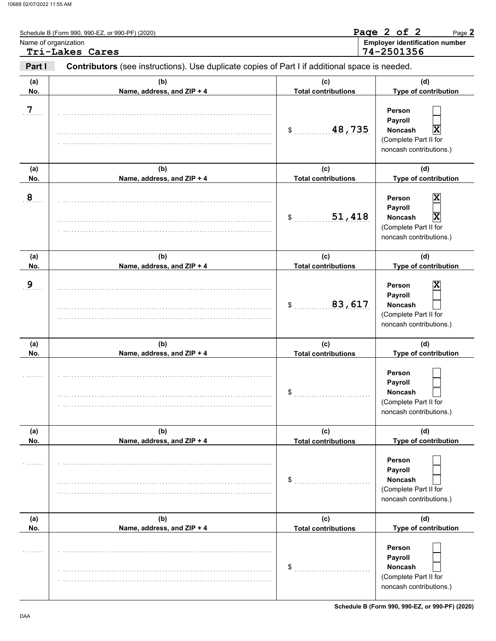| Name of organization | Schedule B (Form 990, 990-EZ, or 990-PF) (2020)<br>Tri-Lakes Cares                             |                                   | Page 2 of 2<br>Page 2<br><b>Employer identification number</b><br>74-2501356                                   |
|----------------------|------------------------------------------------------------------------------------------------|-----------------------------------|----------------------------------------------------------------------------------------------------------------|
| Part I               | Contributors (see instructions). Use duplicate copies of Part I if additional space is needed. |                                   |                                                                                                                |
| (a)<br>No.           | (b)<br>Name, address, and ZIP + 4                                                              | (c)<br><b>Total contributions</b> | (d)<br>Type of contribution                                                                                    |
| 7                    |                                                                                                | 48,735<br>\$                      | Person<br>Payroll<br>$ \mathbf{x} $<br><b>Noncash</b><br>(Complete Part II for<br>noncash contributions.)      |
| (a)<br>No.           | (b)<br>Name, address, and ZIP + 4                                                              | (c)<br><b>Total contributions</b> | (d)<br>Type of contribution                                                                                    |
| $\overline{8}$       |                                                                                                | 51,418<br>\$                      | X<br>Person<br>Payroll<br>$ \mathbf{x} $<br><b>Noncash</b><br>(Complete Part II for<br>noncash contributions.) |
| (a)<br>No.           | (b)<br>Name, address, and ZIP + 4                                                              | (c)<br><b>Total contributions</b> | (d)<br>Type of contribution                                                                                    |
| 9                    |                                                                                                | 83,617<br>\$                      | X<br>Person<br>Payroll<br><b>Noncash</b><br>(Complete Part II for<br>noncash contributions.)                   |
| (a)<br>No.           | (b)<br>Name, address, and ZIP + 4                                                              | (c)<br><b>Total contributions</b> | (d)<br>Type of contribution                                                                                    |
|                      |                                                                                                | \$                                | Person<br>Payroll<br>Noncash<br>(Complete Part II for<br>noncash contributions.)                               |
| (a)<br>No.           | (b)<br>Name, address, and ZIP + 4                                                              | (c)<br><b>Total contributions</b> | (d)<br>Type of contribution                                                                                    |
|                      |                                                                                                | \$                                | Person<br>Payroll<br>Noncash<br>(Complete Part II for<br>noncash contributions.)                               |
| (a)<br>No.           | (b)<br>Name, address, and ZIP + 4                                                              | (c)<br><b>Total contributions</b> | (d)<br>Type of contribution                                                                                    |
|                      |                                                                                                | \$                                | Person<br><b>Payroll</b><br>Noncash<br>(Complete Part II for<br>noncash contributions.)                        |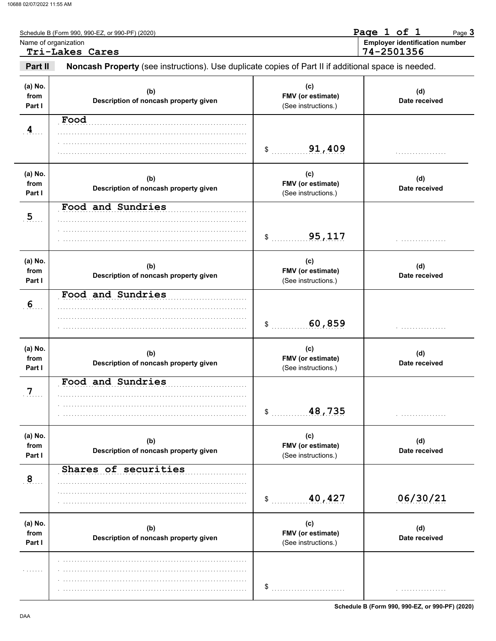| Name of organization      | Schedule B (Form 990, 990-EZ, or 990-PF) (2020)<br>Tri-Lakes Cares                                  |                                                 | Page 1 of 1<br>Page 3<br><b>Employer identification number</b><br>74-2501356 |
|---------------------------|-----------------------------------------------------------------------------------------------------|-------------------------------------------------|------------------------------------------------------------------------------|
| Part II                   | Noncash Property (see instructions). Use duplicate copies of Part II if additional space is needed. |                                                 |                                                                              |
| (a) No.<br>from<br>Part I | (b)<br>Description of noncash property given                                                        | (c)<br>FMV (or estimate)<br>(See instructions.) | (d)<br>Date received                                                         |
| 4                         | Food                                                                                                | 91,409<br>$\mathsf{\$}$                         | .                                                                            |
| (a) No.<br>from<br>Part I | (b)<br>Description of noncash property given                                                        | (c)<br>FMV (or estimate)<br>(See instructions.) | (d)<br>Date received                                                         |
| $\overline{5}$            | Food and Sundries                                                                                   | 95,117<br>$\mathsf{\$}$                         | .                                                                            |
| (a) No.<br>from<br>Part I | (b)<br>Description of noncash property given                                                        | (c)<br>FMV (or estimate)<br>(See instructions.) | (d)<br>Date received                                                         |
| 6                         | Food and Sundries                                                                                   | 60,859<br>$\mathsf{\$}$                         | .                                                                            |
| (a) No.<br>from<br>Part I | (b)<br>Description of noncash property given                                                        | (c)<br>FMV (or estimate)<br>(See instructions.) | (d)<br>Date received                                                         |
| $\overline{L}$            | Food and Sundries                                                                                   | \$ 48,735                                       | .                                                                            |
| (a) No.<br>from<br>Part I | (b)<br>Description of noncash property given                                                        | (c)<br>FMV (or estimate)<br>(See instructions.) | (d)<br>Date received                                                         |
| $\frac{8}{1}$             | Shares of securities                                                                                | \$ 40,427                                       | 06/30/21                                                                     |
| (a) No.<br>from<br>Part I | (b)<br>Description of noncash property given                                                        | (c)<br>FMV (or estimate)<br>(See instructions.) | (d)<br>Date received                                                         |
| .                         |                                                                                                     |                                                 | .                                                                            |

**Schedule B (Form 990, 990-EZ, or 990-PF) (2020)**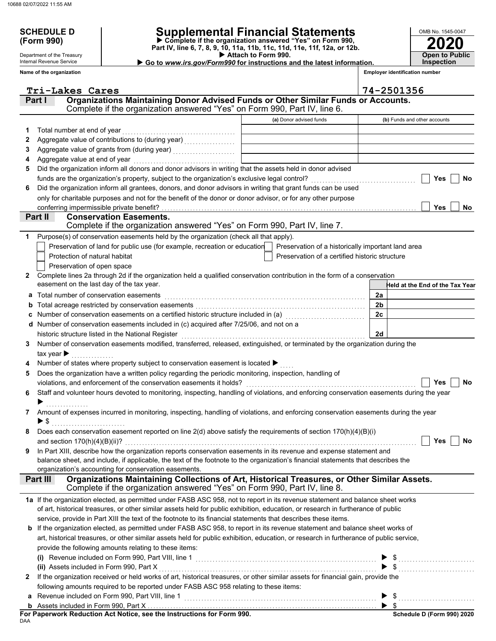Department of the Treasury Internal Revenue Service

### **SCHEDULE D Supplemental Financial Statements**

 **Attach to Form 990. (Form 990) Part IV, line 6, 7, 8, 9, 10, 11a, 11b, 11c, 11d, 11e, 11f, 12a, or 12b. Complete if the organization answered "Yes" on Form 990,**

▶ Go to *www.irs.gov/Form990* for instructions and the latest information.

**Inspection**

**2020**

**Open to Public**

OMB No. 1545-0047

|              | Name of the organization                                                                                                                                                                                                       |                         | <b>Employer identification number</b>               |
|--------------|--------------------------------------------------------------------------------------------------------------------------------------------------------------------------------------------------------------------------------|-------------------------|-----------------------------------------------------|
|              | Tri-Lakes Cares                                                                                                                                                                                                                |                         | 74-2501356                                          |
|              | Organizations Maintaining Donor Advised Funds or Other Similar Funds or Accounts.<br>Part I<br>Complete if the organization answered "Yes" on Form 990, Part IV, line 6.                                                       |                         |                                                     |
|              |                                                                                                                                                                                                                                | (a) Donor advised funds | (b) Funds and other accounts                        |
| 1            | Total number at end of year                                                                                                                                                                                                    |                         |                                                     |
| 2            | Aggregate value of contributions to (during year) [11] Aggregate value of contributions of the state of the state of the state of the state of the state of the state of the state of the state of the state of the state of t |                         |                                                     |
| 3            |                                                                                                                                                                                                                                |                         |                                                     |
| 4            | Aggregate value at end of year                                                                                                                                                                                                 |                         |                                                     |
| 5            | Did the organization inform all donors and donor advisors in writing that the assets held in donor advised                                                                                                                     |                         |                                                     |
|              |                                                                                                                                                                                                                                |                         | Yes<br>No                                           |
| 6            | Did the organization inform all grantees, donors, and donor advisors in writing that grant funds can be used                                                                                                                   |                         |                                                     |
|              | only for charitable purposes and not for the benefit of the donor or donor advisor, or for any other purpose                                                                                                                   |                         |                                                     |
|              | conferring impermissible private benefit?                                                                                                                                                                                      |                         | Yes<br>No                                           |
|              | Part II<br><b>Conservation Easements.</b><br>Complete if the organization answered "Yes" on Form 990, Part IV, line 7.                                                                                                         |                         |                                                     |
| 1            | Purpose(s) of conservation easements held by the organization (check all that apply).                                                                                                                                          |                         |                                                     |
|              | Preservation of land for public use (for example, recreation or education                                                                                                                                                      |                         | Preservation of a historically important land area  |
|              | Protection of natural habitat                                                                                                                                                                                                  |                         | Preservation of a certified historic structure      |
|              | Preservation of open space                                                                                                                                                                                                     |                         |                                                     |
| $\mathbf{2}$ | Complete lines 2a through 2d if the organization held a qualified conservation contribution in the form of a conservation                                                                                                      |                         |                                                     |
|              | easement on the last day of the tax year.                                                                                                                                                                                      |                         | Held at the End of the Tax Year                     |
| a            | Total number of conservation easements                                                                                                                                                                                         |                         | 2a                                                  |
| b            |                                                                                                                                                                                                                                |                         | 2b                                                  |
| c            | Number of conservation easements on a certified historic structure included in (a) [11] Number of conservation                                                                                                                 |                         | 2c                                                  |
|              | d Number of conservation easements included in (c) acquired after 7/25/06, and not on a                                                                                                                                        |                         |                                                     |
|              | historic structure listed in the National Register                                                                                                                                                                             |                         | 2d                                                  |
| 3            | Number of conservation easements modified, transferred, released, extinguished, or terminated by the organization during the                                                                                                   |                         |                                                     |
|              | tax year $\blacktriangleright$                                                                                                                                                                                                 |                         |                                                     |
|              | Number of states where property subject to conservation easement is located ▶                                                                                                                                                  |                         |                                                     |
| 5            | Does the organization have a written policy regarding the periodic monitoring, inspection, handling of                                                                                                                         |                         |                                                     |
|              | violations, and enforcement of the conservation easements it holds?                                                                                                                                                            |                         | No<br><b>Yes</b>                                    |
| 6            | Staff and volunteer hours devoted to monitoring, inspecting, handling of violations, and enforcing conservation easements during the year                                                                                      |                         |                                                     |
|              |                                                                                                                                                                                                                                |                         |                                                     |
|              | 7 Amount of expenses incurred in monitoring, inspecting, handling of violations, and enforcing conservation easements during the year<br>$\blacktriangleright$ \$                                                              |                         |                                                     |
|              | Does each conservation easement reported on line $2(d)$ above satisfy the requirements of section $170(h)(4)(B)(i)$                                                                                                            |                         |                                                     |
|              |                                                                                                                                                                                                                                |                         | Yes<br>No                                           |
| 9            | In Part XIII, describe how the organization reports conservation easements in its revenue and expense statement and                                                                                                            |                         |                                                     |
|              | balance sheet, and include, if applicable, the text of the footnote to the organization's financial statements that describes the                                                                                              |                         |                                                     |
|              | organization's accounting for conservation easements.                                                                                                                                                                          |                         |                                                     |
|              | Organizations Maintaining Collections of Art, Historical Treasures, or Other Similar Assets.<br>Part III                                                                                                                       |                         |                                                     |
|              | Complete if the organization answered "Yes" on Form 990, Part IV, line 8.                                                                                                                                                      |                         |                                                     |
|              | 1a If the organization elected, as permitted under FASB ASC 958, not to report in its revenue statement and balance sheet works                                                                                                |                         |                                                     |
|              | of art, historical treasures, or other similar assets held for public exhibition, education, or research in furtherance of public                                                                                              |                         |                                                     |
|              | service, provide in Part XIII the text of the footnote to its financial statements that describes these items.                                                                                                                 |                         |                                                     |
|              | b If the organization elected, as permitted under FASB ASC 958, to report in its revenue statement and balance sheet works of                                                                                                  |                         |                                                     |
|              | art, historical treasures, or other similar assets held for public exhibition, education, or research in furtherance of public service,                                                                                        |                         |                                                     |
|              | provide the following amounts relating to these items:                                                                                                                                                                         |                         |                                                     |
|              |                                                                                                                                                                                                                                |                         | $\triangleright$ \$                                 |
|              | (ii) Assets included in Form 990, Part X<br>If the organization received or held works of art, historical treasures, or other similar assets for financial gain, provide the                                                   |                         |                                                     |
| $\mathbf{2}$ | following amounts required to be reported under FASB ASC 958 relating to these items:                                                                                                                                          |                         |                                                     |
| a            |                                                                                                                                                                                                                                |                         |                                                     |
|              |                                                                                                                                                                                                                                |                         | $\blacktriangleright$ \$<br>$\blacktriangleright$ s |

DAA **For Paperwork Reduction Act Notice, see the Instructions for Form 990.**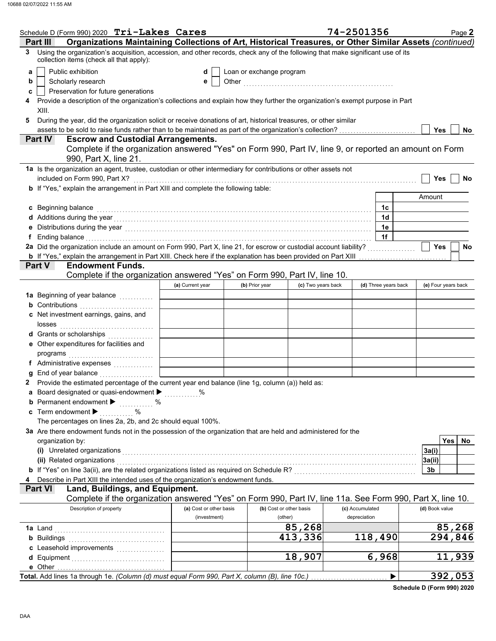| Schedule D (Form 990) 2020 Tri-Lakes Cares                                                                                                                                                                                     |                         |                          |                         | 74-2501356      |                      |                | Page 2              |
|--------------------------------------------------------------------------------------------------------------------------------------------------------------------------------------------------------------------------------|-------------------------|--------------------------|-------------------------|-----------------|----------------------|----------------|---------------------|
| Organizations Maintaining Collections of Art, Historical Treasures, or Other Similar Assets (continued)<br>Part III                                                                                                            |                         |                          |                         |                 |                      |                |                     |
| Using the organization's acquisition, accession, and other records, check any of the following that make significant use of its<br>3<br>collection items (check all that apply):                                               |                         |                          |                         |                 |                      |                |                     |
| Public exhibition<br>а                                                                                                                                                                                                         | d                       | Loan or exchange program |                         |                 |                      |                |                     |
| Scholarly research<br>b                                                                                                                                                                                                        | е                       |                          |                         |                 |                      |                |                     |
| Preservation for future generations<br>c                                                                                                                                                                                       |                         |                          |                         |                 |                      |                |                     |
| Provide a description of the organization's collections and explain how they further the organization's exempt purpose in Part<br>4                                                                                            |                         |                          |                         |                 |                      |                |                     |
| XIII.                                                                                                                                                                                                                          |                         |                          |                         |                 |                      |                |                     |
| During the year, did the organization solicit or receive donations of art, historical treasures, or other similar<br>5                                                                                                         |                         |                          |                         |                 |                      |                |                     |
| assets to be sold to raise funds rather than to be maintained as part of the organization's collection?                                                                                                                        |                         |                          |                         |                 |                      | Yes            | <b>No</b>           |
| <b>Part IV</b><br><b>Escrow and Custodial Arrangements.</b>                                                                                                                                                                    |                         |                          |                         |                 |                      |                |                     |
| Complete if the organization answered "Yes" on Form 990, Part IV, line 9, or reported an amount on Form<br>990, Part X, line 21.                                                                                               |                         |                          |                         |                 |                      |                |                     |
| 1a Is the organization an agent, trustee, custodian or other intermediary for contributions or other assets not                                                                                                                |                         |                          |                         |                 |                      |                |                     |
| included on Form 990, Part X?                                                                                                                                                                                                  |                         |                          |                         |                 |                      | Yes            | No                  |
| b If "Yes," explain the arrangement in Part XIII and complete the following table:                                                                                                                                             |                         |                          |                         |                 |                      |                |                     |
|                                                                                                                                                                                                                                |                         |                          |                         |                 |                      | Amount         |                     |
| c Beginning balance                                                                                                                                                                                                            |                         |                          |                         |                 | 1c                   |                |                     |
|                                                                                                                                                                                                                                |                         |                          |                         |                 | 1d                   |                |                     |
|                                                                                                                                                                                                                                |                         |                          |                         |                 | 1e                   |                |                     |
| f Ending balance encourance and a series of the contract of the contract of the contract of the contract of the contract of the contract of the contract of the contract of the contract of the contract of the contract of th |                         |                          |                         |                 | 1f                   |                |                     |
| 2a Did the organization include an amount on Form 990, Part X, line 21, for escrow or custodial account liability?                                                                                                             |                         |                          |                         |                 |                      | Yes            | No                  |
| <b>b</b> If "Yes," explain the arrangement in Part XIII. Check here if the explanation has been provided on Part XIII                                                                                                          |                         |                          |                         |                 |                      |                |                     |
| <b>Endowment Funds.</b><br>Part V                                                                                                                                                                                              |                         |                          |                         |                 |                      |                |                     |
| Complete if the organization answered "Yes" on Form 990, Part IV, line 10.                                                                                                                                                     |                         |                          |                         |                 |                      |                |                     |
|                                                                                                                                                                                                                                | (a) Current year        | (b) Prior year           | (c) Two years back      |                 | (d) Three years back |                | (e) Four years back |
| 1a Beginning of year balance                                                                                                                                                                                                   |                         |                          |                         |                 |                      |                |                     |
| <b>b</b> Contributions <b>contributions</b>                                                                                                                                                                                    |                         |                          |                         |                 |                      |                |                     |
| c Net investment earnings, gains, and                                                                                                                                                                                          |                         |                          |                         |                 |                      |                |                     |
|                                                                                                                                                                                                                                |                         |                          |                         |                 |                      |                |                     |
| d Grants or scholarships                                                                                                                                                                                                       |                         |                          |                         |                 |                      |                |                     |
| e Other expenditures for facilities and                                                                                                                                                                                        |                         |                          |                         |                 |                      |                |                     |
|                                                                                                                                                                                                                                |                         |                          |                         |                 |                      |                |                     |
| f Administrative expenses                                                                                                                                                                                                      |                         |                          |                         |                 |                      |                |                     |
|                                                                                                                                                                                                                                |                         |                          |                         |                 |                      |                |                     |
| 2 Provide the estimated percentage of the current year end balance (line 1g, column (a)) held as:                                                                                                                              |                         |                          |                         |                 |                      |                |                     |
| a Board designated or quasi-endowment >                                                                                                                                                                                        |                         |                          |                         |                 |                      |                |                     |
| <b>b</b> Permanent endowment $\blacktriangleright$<br>$\%$                                                                                                                                                                     |                         |                          |                         |                 |                      |                |                     |
| c Term endowment $\blacktriangleright$<br>$\%$                                                                                                                                                                                 |                         |                          |                         |                 |                      |                |                     |
| The percentages on lines 2a, 2b, and 2c should equal 100%.                                                                                                                                                                     |                         |                          |                         |                 |                      |                |                     |
| 3a Are there endowment funds not in the possession of the organization that are held and administered for the                                                                                                                  |                         |                          |                         |                 |                      |                |                     |
| organization by:                                                                                                                                                                                                               |                         |                          |                         |                 |                      |                | Yes  <br>No.        |
| (i) Unrelated organizations entertainment and all the contract of the contract of the contract of the contract of the contract of the contract of the contract of the contract of the contract of the contract of the contract |                         |                          |                         |                 |                      | 3a(i)          |                     |
| (ii) Related organizations                                                                                                                                                                                                     |                         |                          |                         |                 |                      | 3a(ii)         |                     |
| <b>b</b> If "Yes" on line 3a(ii), are the related organizations listed as required on Schedule R?<br><sub>1</sub>                                                                                                              |                         |                          |                         |                 |                      | 3b             |                     |
| Describe in Part XIII the intended uses of the organization's endowment funds.<br>4                                                                                                                                            |                         |                          |                         |                 |                      |                |                     |
| Land, Buildings, and Equipment.<br><b>Part VI</b>                                                                                                                                                                              |                         |                          |                         |                 |                      |                |                     |
| Complete if the organization answered "Yes" on Form 990, Part IV, line 11a. See Form 990, Part X, line 10.                                                                                                                     |                         |                          |                         |                 |                      |                |                     |
| Description of property                                                                                                                                                                                                        | (a) Cost or other basis |                          | (b) Cost or other basis | (c) Accumulated |                      | (d) Book value |                     |
|                                                                                                                                                                                                                                | (investment)            |                          | (other)                 | depreciation    |                      |                |                     |
|                                                                                                                                                                                                                                |                         |                          | 85,268                  |                 |                      |                | 85,268              |
|                                                                                                                                                                                                                                |                         |                          | 413,336                 | 118,490         |                      |                | 294,846             |
| c Leasehold improvements                                                                                                                                                                                                       |                         |                          |                         |                 |                      |                |                     |
|                                                                                                                                                                                                                                |                         |                          | 18,907                  | 6,968           |                      |                | 11,939              |
|                                                                                                                                                                                                                                |                         |                          |                         |                 |                      |                |                     |
| Total. Add lines 1a through 1e. (Column (d) must equal Form 990, Part X, column (B), line 10c.)                                                                                                                                |                         |                          |                         |                 | ▶                    |                | 392,053             |

**Schedule D (Form 990) 2020**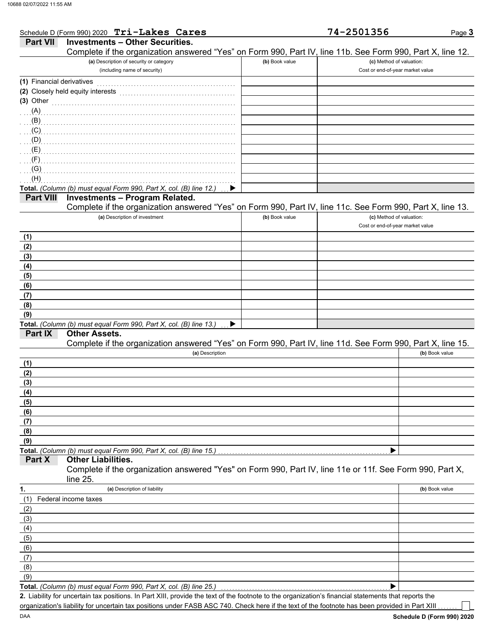| <b>Investments - Other Securities.</b><br><b>Part VII</b><br>Complete if the organization answered "Yes" on Form 990, Part IV, line 11b. See Form 990, Part X, line 12.<br>(a) Description of security or category<br>(b) Book value<br>(including name of security)<br>(1) Financial derivatives<br>(2) Closely held equity interests<br>$(3)$ Other<br>(A)<br>(B)<br>(C)<br>(D)<br>(E)<br>(F)<br>(G)<br>(H)<br>Total. (Column (b) must equal Form 990, Part X, col. (B) line 12.)<br><b>Investments - Program Related.</b><br><b>Part VIII</b><br>Complete if the organization answered "Yes" on Form 990, Part IV, line 11c. See Form 990, Part X, line 13.<br>(a) Description of investment<br>(b) Book value<br>(1)<br>(2)<br>(3)<br>(4)<br>(5)<br>(6)<br>(7)<br>(8)<br>(9)<br>Total. (Column (b) must equal Form 990, Part X, col. (B) line 13.)<br><b>Other Assets.</b><br>Part IX | Page 3<br>(c) Method of valuation:<br>Cost or end-of-year market value<br>(c) Method of valuation: |
|-------------------------------------------------------------------------------------------------------------------------------------------------------------------------------------------------------------------------------------------------------------------------------------------------------------------------------------------------------------------------------------------------------------------------------------------------------------------------------------------------------------------------------------------------------------------------------------------------------------------------------------------------------------------------------------------------------------------------------------------------------------------------------------------------------------------------------------------------------------------------------------------|----------------------------------------------------------------------------------------------------|
|                                                                                                                                                                                                                                                                                                                                                                                                                                                                                                                                                                                                                                                                                                                                                                                                                                                                                           |                                                                                                    |
|                                                                                                                                                                                                                                                                                                                                                                                                                                                                                                                                                                                                                                                                                                                                                                                                                                                                                           |                                                                                                    |
|                                                                                                                                                                                                                                                                                                                                                                                                                                                                                                                                                                                                                                                                                                                                                                                                                                                                                           |                                                                                                    |
|                                                                                                                                                                                                                                                                                                                                                                                                                                                                                                                                                                                                                                                                                                                                                                                                                                                                                           |                                                                                                    |
|                                                                                                                                                                                                                                                                                                                                                                                                                                                                                                                                                                                                                                                                                                                                                                                                                                                                                           |                                                                                                    |
|                                                                                                                                                                                                                                                                                                                                                                                                                                                                                                                                                                                                                                                                                                                                                                                                                                                                                           |                                                                                                    |
|                                                                                                                                                                                                                                                                                                                                                                                                                                                                                                                                                                                                                                                                                                                                                                                                                                                                                           |                                                                                                    |
|                                                                                                                                                                                                                                                                                                                                                                                                                                                                                                                                                                                                                                                                                                                                                                                                                                                                                           |                                                                                                    |
|                                                                                                                                                                                                                                                                                                                                                                                                                                                                                                                                                                                                                                                                                                                                                                                                                                                                                           |                                                                                                    |
|                                                                                                                                                                                                                                                                                                                                                                                                                                                                                                                                                                                                                                                                                                                                                                                                                                                                                           |                                                                                                    |
|                                                                                                                                                                                                                                                                                                                                                                                                                                                                                                                                                                                                                                                                                                                                                                                                                                                                                           |                                                                                                    |
|                                                                                                                                                                                                                                                                                                                                                                                                                                                                                                                                                                                                                                                                                                                                                                                                                                                                                           |                                                                                                    |
|                                                                                                                                                                                                                                                                                                                                                                                                                                                                                                                                                                                                                                                                                                                                                                                                                                                                                           |                                                                                                    |
|                                                                                                                                                                                                                                                                                                                                                                                                                                                                                                                                                                                                                                                                                                                                                                                                                                                                                           |                                                                                                    |
|                                                                                                                                                                                                                                                                                                                                                                                                                                                                                                                                                                                                                                                                                                                                                                                                                                                                                           |                                                                                                    |
|                                                                                                                                                                                                                                                                                                                                                                                                                                                                                                                                                                                                                                                                                                                                                                                                                                                                                           |                                                                                                    |
|                                                                                                                                                                                                                                                                                                                                                                                                                                                                                                                                                                                                                                                                                                                                                                                                                                                                                           |                                                                                                    |
|                                                                                                                                                                                                                                                                                                                                                                                                                                                                                                                                                                                                                                                                                                                                                                                                                                                                                           |                                                                                                    |
|                                                                                                                                                                                                                                                                                                                                                                                                                                                                                                                                                                                                                                                                                                                                                                                                                                                                                           |                                                                                                    |
|                                                                                                                                                                                                                                                                                                                                                                                                                                                                                                                                                                                                                                                                                                                                                                                                                                                                                           | Cost or end-of-year market value                                                                   |
|                                                                                                                                                                                                                                                                                                                                                                                                                                                                                                                                                                                                                                                                                                                                                                                                                                                                                           |                                                                                                    |
|                                                                                                                                                                                                                                                                                                                                                                                                                                                                                                                                                                                                                                                                                                                                                                                                                                                                                           |                                                                                                    |
|                                                                                                                                                                                                                                                                                                                                                                                                                                                                                                                                                                                                                                                                                                                                                                                                                                                                                           |                                                                                                    |
|                                                                                                                                                                                                                                                                                                                                                                                                                                                                                                                                                                                                                                                                                                                                                                                                                                                                                           |                                                                                                    |
|                                                                                                                                                                                                                                                                                                                                                                                                                                                                                                                                                                                                                                                                                                                                                                                                                                                                                           |                                                                                                    |
|                                                                                                                                                                                                                                                                                                                                                                                                                                                                                                                                                                                                                                                                                                                                                                                                                                                                                           |                                                                                                    |
|                                                                                                                                                                                                                                                                                                                                                                                                                                                                                                                                                                                                                                                                                                                                                                                                                                                                                           |                                                                                                    |
|                                                                                                                                                                                                                                                                                                                                                                                                                                                                                                                                                                                                                                                                                                                                                                                                                                                                                           |                                                                                                    |
|                                                                                                                                                                                                                                                                                                                                                                                                                                                                                                                                                                                                                                                                                                                                                                                                                                                                                           |                                                                                                    |
|                                                                                                                                                                                                                                                                                                                                                                                                                                                                                                                                                                                                                                                                                                                                                                                                                                                                                           |                                                                                                    |
|                                                                                                                                                                                                                                                                                                                                                                                                                                                                                                                                                                                                                                                                                                                                                                                                                                                                                           |                                                                                                    |
| Complete if the organization answered "Yes" on Form 990, Part IV, line 11d. See Form 990, Part X, line 15.                                                                                                                                                                                                                                                                                                                                                                                                                                                                                                                                                                                                                                                                                                                                                                                |                                                                                                    |
| (a) Description                                                                                                                                                                                                                                                                                                                                                                                                                                                                                                                                                                                                                                                                                                                                                                                                                                                                           | (b) Book value                                                                                     |
|                                                                                                                                                                                                                                                                                                                                                                                                                                                                                                                                                                                                                                                                                                                                                                                                                                                                                           |                                                                                                    |
| (1)                                                                                                                                                                                                                                                                                                                                                                                                                                                                                                                                                                                                                                                                                                                                                                                                                                                                                       |                                                                                                    |
| (2)                                                                                                                                                                                                                                                                                                                                                                                                                                                                                                                                                                                                                                                                                                                                                                                                                                                                                       |                                                                                                    |
| (3)                                                                                                                                                                                                                                                                                                                                                                                                                                                                                                                                                                                                                                                                                                                                                                                                                                                                                       |                                                                                                    |
| (4)                                                                                                                                                                                                                                                                                                                                                                                                                                                                                                                                                                                                                                                                                                                                                                                                                                                                                       |                                                                                                    |
| (5)                                                                                                                                                                                                                                                                                                                                                                                                                                                                                                                                                                                                                                                                                                                                                                                                                                                                                       |                                                                                                    |
| (6)                                                                                                                                                                                                                                                                                                                                                                                                                                                                                                                                                                                                                                                                                                                                                                                                                                                                                       |                                                                                                    |
| (7)                                                                                                                                                                                                                                                                                                                                                                                                                                                                                                                                                                                                                                                                                                                                                                                                                                                                                       |                                                                                                    |
| (8)                                                                                                                                                                                                                                                                                                                                                                                                                                                                                                                                                                                                                                                                                                                                                                                                                                                                                       |                                                                                                    |
| (9)                                                                                                                                                                                                                                                                                                                                                                                                                                                                                                                                                                                                                                                                                                                                                                                                                                                                                       |                                                                                                    |
| Total. (Column (b) must equal Form 990, Part X, col. (B) line 15.)                                                                                                                                                                                                                                                                                                                                                                                                                                                                                                                                                                                                                                                                                                                                                                                                                        |                                                                                                    |
| <b>Other Liabilities.</b><br>Part X                                                                                                                                                                                                                                                                                                                                                                                                                                                                                                                                                                                                                                                                                                                                                                                                                                                       |                                                                                                    |
| Complete if the organization answered "Yes" on Form 990, Part IV, line 11e or 11f. See Form 990, Part X,<br>line 25.                                                                                                                                                                                                                                                                                                                                                                                                                                                                                                                                                                                                                                                                                                                                                                      |                                                                                                    |
| 1.<br>(a) Description of liability                                                                                                                                                                                                                                                                                                                                                                                                                                                                                                                                                                                                                                                                                                                                                                                                                                                        | (b) Book value                                                                                     |
| (1)<br>Federal income taxes                                                                                                                                                                                                                                                                                                                                                                                                                                                                                                                                                                                                                                                                                                                                                                                                                                                               |                                                                                                    |
| (2)                                                                                                                                                                                                                                                                                                                                                                                                                                                                                                                                                                                                                                                                                                                                                                                                                                                                                       |                                                                                                    |
| (3)                                                                                                                                                                                                                                                                                                                                                                                                                                                                                                                                                                                                                                                                                                                                                                                                                                                                                       |                                                                                                    |
| (4)                                                                                                                                                                                                                                                                                                                                                                                                                                                                                                                                                                                                                                                                                                                                                                                                                                                                                       |                                                                                                    |
| (5)                                                                                                                                                                                                                                                                                                                                                                                                                                                                                                                                                                                                                                                                                                                                                                                                                                                                                       |                                                                                                    |
| (6)                                                                                                                                                                                                                                                                                                                                                                                                                                                                                                                                                                                                                                                                                                                                                                                                                                                                                       |                                                                                                    |
| (7)                                                                                                                                                                                                                                                                                                                                                                                                                                                                                                                                                                                                                                                                                                                                                                                                                                                                                       |                                                                                                    |
| (8)                                                                                                                                                                                                                                                                                                                                                                                                                                                                                                                                                                                                                                                                                                                                                                                                                                                                                       |                                                                                                    |
| (9)                                                                                                                                                                                                                                                                                                                                                                                                                                                                                                                                                                                                                                                                                                                                                                                                                                                                                       |                                                                                                    |
| Total. (Column (b) must equal Form 990, Part X, col. (B) line 25.)                                                                                                                                                                                                                                                                                                                                                                                                                                                                                                                                                                                                                                                                                                                                                                                                                        |                                                                                                    |
| 2. Liability for uncertain tax positions. In Part XIII, provide the text of the footnote to the organization's financial statements that reports the                                                                                                                                                                                                                                                                                                                                                                                                                                                                                                                                                                                                                                                                                                                                      |                                                                                                    |

organization's liability for uncertain tax positions under FASB ASC 740. Check here if the text of the footnote has been provided in Part XIII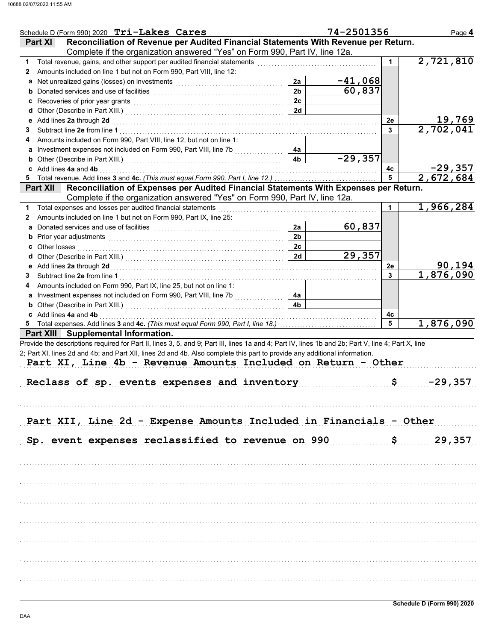| Schedule D (Form 990) 2020 Tri-Lakes Cares                                                                                                                                                                                          |                | 74-2501356 |              | Page 4        |
|-------------------------------------------------------------------------------------------------------------------------------------------------------------------------------------------------------------------------------------|----------------|------------|--------------|---------------|
| Reconciliation of Revenue per Audited Financial Statements With Revenue per Return.<br><b>Part XI</b>                                                                                                                               |                |            |              |               |
| Complete if the organization answered "Yes" on Form 990, Part IV, line 12a.                                                                                                                                                         |                |            |              |               |
| Total revenue, gains, and other support per audited financial statements<br>1                                                                                                                                                       |                |            | 1            | 2,721,810     |
| Amounts included on line 1 but not on Form 990, Part VIII, line 12:<br>2                                                                                                                                                            |                |            |              |               |
| Net unrealized gains (losses) on investments [11] with the uncontracted state of the state of the uncontracted state of the uncontracted state of the uncontracted state of the uncontracted state of the uncontracted state o<br>а | 2a             | $-41,068$  |              |               |
|                                                                                                                                                                                                                                     | 2 <sub>b</sub> | 60,837     |              |               |
| c Recoveries of prior year grants [11] Recovering the Recoveries of prior year grants [11] Recoveries of prior                                                                                                                      | 2c             |            |              |               |
|                                                                                                                                                                                                                                     | 2d             |            |              |               |
|                                                                                                                                                                                                                                     |                |            | 2e           | <u>19,769</u> |
| 3                                                                                                                                                                                                                                   |                |            | 3            | 2,702,041     |
| Amounts included on Form 990, Part VIII, line 12, but not on line 1:<br>4                                                                                                                                                           |                |            |              |               |
|                                                                                                                                                                                                                                     | 4а             |            |              |               |
| <b>b</b> Other (Describe in Part XIII.) <b>CONSIDENT DESCRIPTION DESCRIPTION DESCRIPTION DESCRIPTION DESCRIPTION DESCRIPTION DESCRIPTION DESCRIPTION DESCRIPTION DESCRIPTION DESCRIPTION DESCRIPTION DESCRI</b>                     | 4b             | $-29,357$  |              |               |
| c Add lines 4a and 4b                                                                                                                                                                                                               |                |            | 4с           | $-29,357$     |
|                                                                                                                                                                                                                                     |                |            | 5            | 2,672,684     |
| Reconciliation of Expenses per Audited Financial Statements With Expenses per Return.<br><b>Part XII</b>                                                                                                                            |                |            |              |               |
| Complete if the organization answered "Yes" on Form 990, Part IV, line 12a.                                                                                                                                                         |                |            |              |               |
| Total expenses and losses per audited financial statements                                                                                                                                                                          |                |            | $\mathbf{1}$ | 1,966,284     |
| 1.                                                                                                                                                                                                                                  |                |            |              |               |
| Amounts included on line 1 but not on Form 990, Part IX, line 25:<br>2                                                                                                                                                              |                |            |              |               |
| a                                                                                                                                                                                                                                   | 2a             | 60,837     |              |               |
| b Prior year adjustments <b>constructed</b> and construction of the construction of the construction of the construction of the construction of the construction of the construction of the construction of the construction of the | 2 <sub>b</sub> |            |              |               |
| <b>c</b> Other losses                                                                                                                                                                                                               | 2c             |            |              |               |
|                                                                                                                                                                                                                                     | 2d             | 29,357     |              |               |
|                                                                                                                                                                                                                                     |                |            | 2е           | 90,194        |
| 3                                                                                                                                                                                                                                   |                |            | 3            | 1,876,090     |
| Amounts included on Form 990, Part IX, line 25, but not on line 1:<br>4                                                                                                                                                             |                |            |              |               |
| a Investment expenses not included on Form 990, Part VIII, line 7b                                                                                                                                                                  | 4a             |            |              |               |
|                                                                                                                                                                                                                                     | 4b             |            |              |               |
| c Add lines 4a and 4b                                                                                                                                                                                                               |                |            | 4c           |               |
|                                                                                                                                                                                                                                     |                |            | 5            | 1,876,090     |
| <b>Part XIII</b> Supplemental Information.                                                                                                                                                                                          |                |            |              |               |
| Provide the descriptions required for Part II, lines 3, 5, and 9; Part III, lines 1a and 4; Part IV, lines 1b and 2b; Part V, line 4; Part X, line                                                                                  |                |            |              |               |
| 2; Part XI, lines 2d and 4b; and Part XII, lines 2d and 4b. Also complete this part to provide any additional information.                                                                                                          |                |            |              |               |
| Part XI, Line 4b - Revenue Amounts Included on Return - Other                                                                                                                                                                       |                |            |              |               |
|                                                                                                                                                                                                                                     |                |            |              |               |
| Reclass of sp. events expenses and inventory                                                                                                                                                                                        |                |            | \$           | $-29,357$     |
|                                                                                                                                                                                                                                     |                |            |              |               |
|                                                                                                                                                                                                                                     |                |            |              |               |
|                                                                                                                                                                                                                                     |                |            |              |               |
|                                                                                                                                                                                                                                     |                |            |              |               |
| Part XII, Line 2d - Expense Amounts Included in Financials - Other                                                                                                                                                                  |                |            |              |               |
|                                                                                                                                                                                                                                     |                |            |              |               |
|                                                                                                                                                                                                                                     |                |            |              |               |
| Sp. event expenses reclassified to revenue on 990                                                                                                                                                                                   |                |            | Ş.           | 29,357        |
|                                                                                                                                                                                                                                     |                |            |              |               |
|                                                                                                                                                                                                                                     |                |            |              |               |
|                                                                                                                                                                                                                                     |                |            |              |               |
|                                                                                                                                                                                                                                     |                |            |              |               |
|                                                                                                                                                                                                                                     |                |            |              |               |
|                                                                                                                                                                                                                                     |                |            |              |               |
|                                                                                                                                                                                                                                     |                |            |              |               |
|                                                                                                                                                                                                                                     |                |            |              |               |
|                                                                                                                                                                                                                                     |                |            |              |               |
|                                                                                                                                                                                                                                     |                |            |              |               |
|                                                                                                                                                                                                                                     |                |            |              |               |
|                                                                                                                                                                                                                                     |                |            |              |               |
|                                                                                                                                                                                                                                     |                |            |              |               |
|                                                                                                                                                                                                                                     |                |            |              |               |
|                                                                                                                                                                                                                                     |                |            |              |               |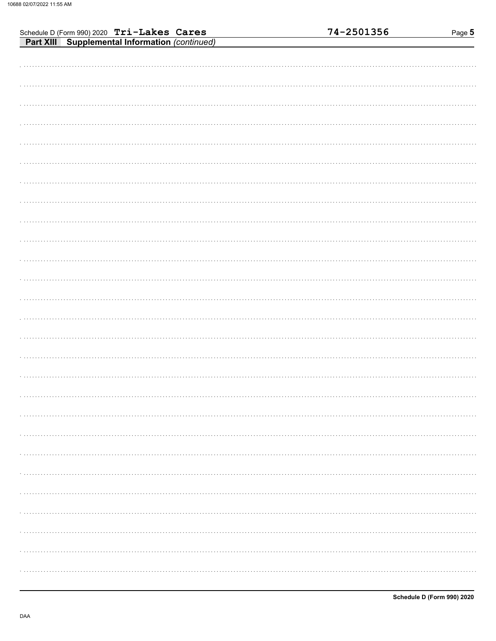| Schedule D (Form 990) 2020 Tri-Lakes Cares<br>Part XIII Supplemental Information (continued) | 74-2501356 | Page 5 |
|----------------------------------------------------------------------------------------------|------------|--------|
|                                                                                              |            |        |
|                                                                                              |            |        |
|                                                                                              |            |        |
|                                                                                              |            |        |
|                                                                                              |            |        |
|                                                                                              |            |        |
|                                                                                              |            |        |
|                                                                                              |            |        |
|                                                                                              |            |        |
|                                                                                              |            |        |
|                                                                                              |            |        |
|                                                                                              |            |        |
|                                                                                              |            |        |
|                                                                                              |            |        |
|                                                                                              |            |        |
|                                                                                              |            |        |
|                                                                                              |            |        |
|                                                                                              |            |        |
|                                                                                              |            |        |
|                                                                                              |            |        |
|                                                                                              |            |        |
|                                                                                              |            |        |
|                                                                                              |            |        |
|                                                                                              |            |        |
|                                                                                              |            |        |
|                                                                                              |            |        |
|                                                                                              |            |        |
|                                                                                              |            |        |
|                                                                                              |            |        |
|                                                                                              |            |        |
|                                                                                              |            |        |
|                                                                                              |            |        |
|                                                                                              |            |        |
|                                                                                              |            |        |
|                                                                                              |            |        |
|                                                                                              |            |        |
|                                                                                              |            |        |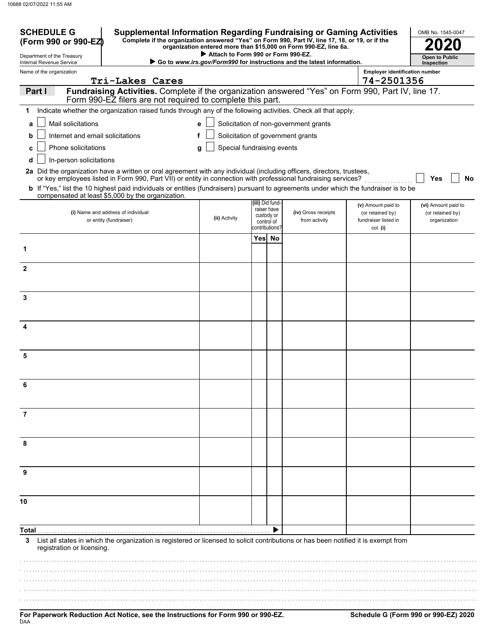| <b>SCHEDULE G</b><br><b>Supplemental Information Regarding Fundraising or Gaming Activities</b><br>Complete if the organization answered "Yes" on Form 990, Part IV, line 17, 18, or 19, or if the<br>(Form 990 or 990-EZ)               |                                    |                              | organization entered more than \$15,000 on Form 990-EZ, line 6a.       |                                       | OMB No. 1545-0047                   |
|------------------------------------------------------------------------------------------------------------------------------------------------------------------------------------------------------------------------------------------|------------------------------------|------------------------------|------------------------------------------------------------------------|---------------------------------------|-------------------------------------|
| Department of the Treasury<br>Internal Revenue Service                                                                                                                                                                                   | Attach to Form 990 or Form 990-EZ. |                              | Go to www.irs.gov/Form990 for instructions and the latest information. |                                       | <b>Open to Public</b><br>Inspection |
| Name of the organization                                                                                                                                                                                                                 |                                    |                              |                                                                        | <b>Emplover identification number</b> |                                     |
| Tri-Lakes Cares                                                                                                                                                                                                                          |                                    |                              |                                                                        | 74-2501356                            |                                     |
| Fundraising Activities. Complete if the organization answered "Yes" on Form 990, Part IV, line 17.<br>Part I<br>Form 990-EZ filers are not required to complete this part.                                                               |                                    |                              |                                                                        |                                       |                                     |
| Indicate whether the organization raised funds through any of the following activities. Check all that apply.<br>1.                                                                                                                      |                                    |                              |                                                                        |                                       |                                     |
| Mail solicitations<br>a                                                                                                                                                                                                                  | e                                  |                              | Solicitation of non-government grants                                  |                                       |                                     |
| Internet and email solicitations<br>b                                                                                                                                                                                                    | f                                  |                              | Solicitation of government grants                                      |                                       |                                     |
| Phone solicitations<br>c                                                                                                                                                                                                                 | Special fundraising events<br>g    |                              |                                                                        |                                       |                                     |
| In-person solicitations<br>d                                                                                                                                                                                                             |                                    |                              |                                                                        |                                       |                                     |
| 2a Did the organization have a written or oral agreement with any individual (including officers, directors, trustees,<br>or key employees listed in Form 990, Part VII) or entity in connection with professional fundraising services? |                                    |                              |                                                                        |                                       | Yes<br>No                           |
| b If "Yes," list the 10 highest paid individuals or entities (fundraisers) pursuant to agreements under which the fundraiser is to be                                                                                                    |                                    |                              |                                                                        |                                       |                                     |
| compensated at least \$5,000 by the organization.                                                                                                                                                                                        |                                    | (iii) Did fund-              |                                                                        | (v) Amount paid to                    | (vi) Amount paid to                 |
| (i) Name and address of individual                                                                                                                                                                                                       | (ii) Activity                      | raiser have<br>custody or    | (iv) Gross receipts                                                    | (or retained by)                      | (or retained by)                    |
| or entity (fundraiser)                                                                                                                                                                                                                   |                                    | control of<br>contributions? | from activity                                                          | fundraiser listed in<br>col. (i)      | organization                        |
|                                                                                                                                                                                                                                          |                                    | Yes No                       |                                                                        |                                       |                                     |
| 1                                                                                                                                                                                                                                        |                                    |                              |                                                                        |                                       |                                     |
| $\mathbf{2}$                                                                                                                                                                                                                             |                                    |                              |                                                                        |                                       |                                     |
|                                                                                                                                                                                                                                          |                                    |                              |                                                                        |                                       |                                     |
|                                                                                                                                                                                                                                          |                                    |                              |                                                                        |                                       |                                     |
| 3                                                                                                                                                                                                                                        |                                    |                              |                                                                        |                                       |                                     |
|                                                                                                                                                                                                                                          |                                    |                              |                                                                        |                                       |                                     |
| 4                                                                                                                                                                                                                                        |                                    |                              |                                                                        |                                       |                                     |
|                                                                                                                                                                                                                                          |                                    |                              |                                                                        |                                       |                                     |
| 5                                                                                                                                                                                                                                        |                                    |                              |                                                                        |                                       |                                     |
|                                                                                                                                                                                                                                          |                                    |                              |                                                                        |                                       |                                     |
| 6                                                                                                                                                                                                                                        |                                    |                              |                                                                        |                                       |                                     |
|                                                                                                                                                                                                                                          |                                    |                              |                                                                        |                                       |                                     |
|                                                                                                                                                                                                                                          |                                    |                              |                                                                        |                                       |                                     |
| 7                                                                                                                                                                                                                                        |                                    |                              |                                                                        |                                       |                                     |
|                                                                                                                                                                                                                                          |                                    |                              |                                                                        |                                       |                                     |
| 8                                                                                                                                                                                                                                        |                                    |                              |                                                                        |                                       |                                     |
|                                                                                                                                                                                                                                          |                                    |                              |                                                                        |                                       |                                     |
| 9                                                                                                                                                                                                                                        |                                    |                              |                                                                        |                                       |                                     |
|                                                                                                                                                                                                                                          |                                    |                              |                                                                        |                                       |                                     |
| 10                                                                                                                                                                                                                                       |                                    |                              |                                                                        |                                       |                                     |
|                                                                                                                                                                                                                                          |                                    |                              |                                                                        |                                       |                                     |
|                                                                                                                                                                                                                                          |                                    |                              |                                                                        |                                       |                                     |
| Total,<br>List all states in which the organization is registered or licensed to solicit contributions or has been notified it is exempt from<br>3                                                                                       |                                    |                              |                                                                        |                                       |                                     |
| registration or licensing.                                                                                                                                                                                                               |                                    |                              |                                                                        |                                       |                                     |
|                                                                                                                                                                                                                                          |                                    |                              |                                                                        |                                       |                                     |
|                                                                                                                                                                                                                                          |                                    |                              |                                                                        |                                       |                                     |
|                                                                                                                                                                                                                                          |                                    |                              |                                                                        |                                       |                                     |
|                                                                                                                                                                                                                                          |                                    |                              |                                                                        |                                       |                                     |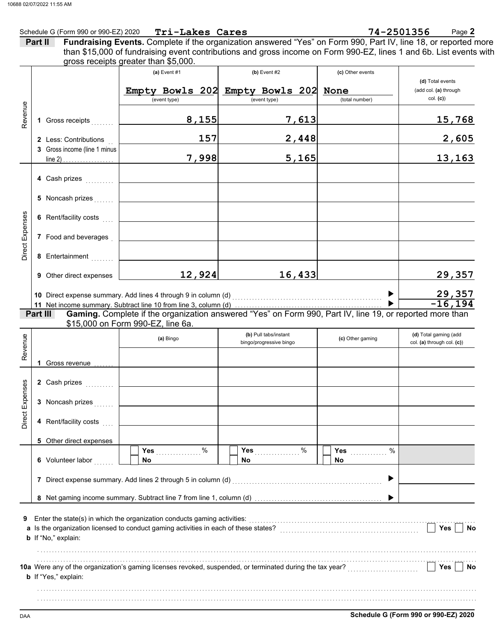| 5 Other direct expenses<br>6 Volunteer labor<br>b If "No," explain:<br><b>b</b> If "Yes," explain: | %<br>Yes<br>No<br>a Is the organization licensed to conduct gaming activities in each of these states? | Yes<br>℅<br>No<br>7 Direct expense summary. Add lines 2 through 5 in column (d) [11] content content content content content content of the Direct Content of Direct Content of Direct Content of Direct Content of Direct Content of Direct Con | No<br>▶<br>▶          | Yes<br>No<br><b>Yes</b><br>No                         |
|----------------------------------------------------------------------------------------------------|--------------------------------------------------------------------------------------------------------|--------------------------------------------------------------------------------------------------------------------------------------------------------------------------------------------------------------------------------------------------|-----------------------|-------------------------------------------------------|
|                                                                                                    |                                                                                                        |                                                                                                                                                                                                                                                  |                       |                                                       |
|                                                                                                    |                                                                                                        |                                                                                                                                                                                                                                                  |                       |                                                       |
|                                                                                                    |                                                                                                        |                                                                                                                                                                                                                                                  |                       |                                                       |
|                                                                                                    |                                                                                                        |                                                                                                                                                                                                                                                  |                       |                                                       |
|                                                                                                    |                                                                                                        |                                                                                                                                                                                                                                                  |                       |                                                       |
|                                                                                                    |                                                                                                        |                                                                                                                                                                                                                                                  | %<br>Yes              |                                                       |
|                                                                                                    |                                                                                                        |                                                                                                                                                                                                                                                  |                       |                                                       |
| 4 Rent/facility costs                                                                              |                                                                                                        |                                                                                                                                                                                                                                                  |                       |                                                       |
| 3 Noncash prizes                                                                                   |                                                                                                        |                                                                                                                                                                                                                                                  |                       |                                                       |
| 2 Cash prizes                                                                                      |                                                                                                        |                                                                                                                                                                                                                                                  |                       |                                                       |
| 1 Gross revenue                                                                                    |                                                                                                        |                                                                                                                                                                                                                                                  |                       |                                                       |
|                                                                                                    | (a) Bingo                                                                                              | (b) Pull tabs/instant<br>bingo/progressive bingo                                                                                                                                                                                                 | (c) Other gaming      | (d) Total gaming (add<br>col. (a) through col. (c))   |
|                                                                                                    | \$15,000 on Form 990-EZ, line 6a.                                                                      |                                                                                                                                                                                                                                                  |                       |                                                       |
| Part III                                                                                           |                                                                                                        | Gaming. Complete if the organization answered "Yes" on Form 990, Part IV, line 19, or reported more than                                                                                                                                         | $\blacktriangleright$ | $-16, 194$                                            |
|                                                                                                    |                                                                                                        |                                                                                                                                                                                                                                                  |                       | 29,357                                                |
| <b>9</b> Other direct expenses                                                                     | 12,924                                                                                                 | 16,433                                                                                                                                                                                                                                           |                       | 29,357                                                |
| 8 Entertainment                                                                                    |                                                                                                        |                                                                                                                                                                                                                                                  |                       |                                                       |
| 7 Food and beverages                                                                               | the control of the control of the control of the control of the control of the control of              |                                                                                                                                                                                                                                                  |                       |                                                       |
| 6 Rent/facility costs [11]                                                                         | the contract of the contract of the contract of the contract of the contract of                        |                                                                                                                                                                                                                                                  |                       |                                                       |
| 5 Noncash prizes                                                                                   |                                                                                                        |                                                                                                                                                                                                                                                  |                       |                                                       |
| 4 Cash prizes                                                                                      |                                                                                                        |                                                                                                                                                                                                                                                  |                       |                                                       |
| 2 Less: Contributions<br>3 Gross income (line 1 minus                                              | 7,998                                                                                                  | 5,165                                                                                                                                                                                                                                            |                       | 2,605<br>13,163                                       |
| 1 Gross receipts                                                                                   | 8,155<br>157                                                                                           | 7,613<br>2,448                                                                                                                                                                                                                                   |                       | 15,768                                                |
|                                                                                                    |                                                                                                        |                                                                                                                                                                                                                                                  |                       |                                                       |
|                                                                                                    | Empty Bowls 202<br>(event type)                                                                        | Empty Bowls 202 None<br>(event type)                                                                                                                                                                                                             | (total number)        | (d) Total events<br>(add col. (a) through<br>col. (c) |
|                                                                                                    | (a) Event $#1$                                                                                         | $(b)$ Event #2                                                                                                                                                                                                                                   | (c) Other events      |                                                       |

Schedule G (Form 990 or 990-EZ) 2020 Tri-Lakes Cares 2012 12:30 12:4-2501356 Page 2

**Tri-Lakes Cares**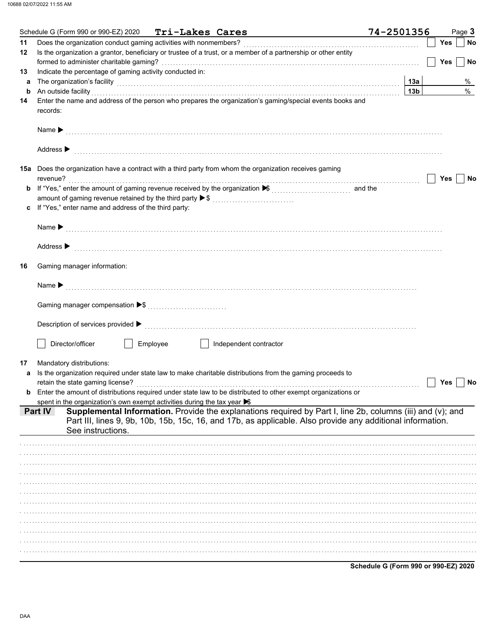|        |                               | Tri-Lakes Cares<br>Schedule G (Form 990 or 990-EZ) 2020                                                                                                                                                                                                                                                                                    | 74-2501356                           |            | Page 3 |
|--------|-------------------------------|--------------------------------------------------------------------------------------------------------------------------------------------------------------------------------------------------------------------------------------------------------------------------------------------------------------------------------------------|--------------------------------------|------------|--------|
| 11     |                               |                                                                                                                                                                                                                                                                                                                                            |                                      | Yes        | No     |
| 12     |                               | Is the organization a grantor, beneficiary or trustee of a trust, or a member of a partnership or other entity                                                                                                                                                                                                                             |                                      |            |        |
| 13     |                               | Indicate the percentage of gaming activity conducted in:                                                                                                                                                                                                                                                                                   |                                      | <b>Yes</b> | No     |
|        |                               |                                                                                                                                                                                                                                                                                                                                            |                                      |            | %      |
| а<br>b |                               | The organization's facility [13a] 13a [135] The organization's facility [13a] 13a [13a] 13a [13a] [13a] [13a] [13a] [13a] [13a] [13a] [13a] [13a] [13a] [13a] [13a] [13a] [13a] [13a] [13a] [13a] [13a] [13a] [13a] [13a] [13a                                                                                                             | 13 <sub>b</sub>                      |            | $\%$   |
| 14     |                               | An outside facility entertainment and the facility of the facility of the set of the set of the set of the set of the set of the set of the set of the set of the set of the set of the set of the set of the set of the set o<br>Enter the name and address of the person who prepares the organization's gaming/special events books and |                                      |            |        |
|        | records:                      |                                                                                                                                                                                                                                                                                                                                            |                                      |            |        |
|        |                               | Name > 2000 compared to the contract of the contract of the contract of the contract of the contract of the contract of the contract of the contract of the contract of the contract of the contract of the contract of the co                                                                                                             |                                      |            |        |
|        | Address $\blacktriangleright$ |                                                                                                                                                                                                                                                                                                                                            |                                      |            |        |
|        |                               | <b>15a</b> Does the organization have a contract with a third party from whom the organization receives gaming                                                                                                                                                                                                                             |                                      |            |        |
|        | revenue?                      |                                                                                                                                                                                                                                                                                                                                            |                                      | Yes        | No     |
| b      |                               |                                                                                                                                                                                                                                                                                                                                            |                                      |            |        |
|        |                               | amount of gaming revenue retained by the third party ▶ \$                                                                                                                                                                                                                                                                                  |                                      |            |        |
| c      |                               | If "Yes," enter name and address of the third party:                                                                                                                                                                                                                                                                                       |                                      |            |        |
|        |                               |                                                                                                                                                                                                                                                                                                                                            |                                      |            |        |
|        | Address $\blacktriangleright$ |                                                                                                                                                                                                                                                                                                                                            |                                      |            |        |
| 16     |                               | Gaming manager information:                                                                                                                                                                                                                                                                                                                |                                      |            |        |
|        |                               | Name > 2000 compared to the contract of the contract of the contract of the contract of the contract of the contract of the contract of the contract of the contract of the contract of the contract of the contract of the co                                                                                                             |                                      |            |        |
|        |                               |                                                                                                                                                                                                                                                                                                                                            |                                      |            |        |
|        |                               |                                                                                                                                                                                                                                                                                                                                            |                                      |            |        |
|        |                               | Director/officer<br>Employee<br>Independent contractor                                                                                                                                                                                                                                                                                     |                                      |            |        |
|        |                               |                                                                                                                                                                                                                                                                                                                                            |                                      |            |        |
| 17     |                               | Mandatory distributions:                                                                                                                                                                                                                                                                                                                   |                                      |            |        |
| a      |                               | Is the organization required under state law to make charitable distributions from the gaming proceeds to                                                                                                                                                                                                                                  |                                      |            |        |
|        |                               |                                                                                                                                                                                                                                                                                                                                            |                                      | Yes        | No     |
| b      |                               | Enter the amount of distributions required under state law to be distributed to other exempt organizations or                                                                                                                                                                                                                              |                                      |            |        |
|        | <b>Part IV</b>                | spent in the organization's own exempt activities during the tax year $\blacktriangleright$<br>Supplemental Information. Provide the explanations required by Part I, line 2b, columns (iii) and (v); and                                                                                                                                  |                                      |            |        |
|        |                               | Part III, lines 9, 9b, 10b, 15b, 15c, 16, and 17b, as applicable. Also provide any additional information.                                                                                                                                                                                                                                 |                                      |            |        |
|        |                               | See instructions.                                                                                                                                                                                                                                                                                                                          |                                      |            |        |
|        |                               |                                                                                                                                                                                                                                                                                                                                            |                                      |            |        |
|        |                               |                                                                                                                                                                                                                                                                                                                                            |                                      |            |        |
|        |                               |                                                                                                                                                                                                                                                                                                                                            |                                      |            |        |
|        |                               |                                                                                                                                                                                                                                                                                                                                            |                                      |            |        |
|        |                               |                                                                                                                                                                                                                                                                                                                                            |                                      |            |        |
|        |                               |                                                                                                                                                                                                                                                                                                                                            |                                      |            |        |
|        |                               |                                                                                                                                                                                                                                                                                                                                            |                                      |            |        |
|        |                               |                                                                                                                                                                                                                                                                                                                                            |                                      |            |        |
|        |                               |                                                                                                                                                                                                                                                                                                                                            |                                      |            |        |
|        |                               |                                                                                                                                                                                                                                                                                                                                            |                                      |            |        |
|        |                               |                                                                                                                                                                                                                                                                                                                                            |                                      |            |        |
|        |                               |                                                                                                                                                                                                                                                                                                                                            |                                      |            |        |
|        |                               |                                                                                                                                                                                                                                                                                                                                            | Schedule G (Form 990 or 990-EZ) 2020 |            |        |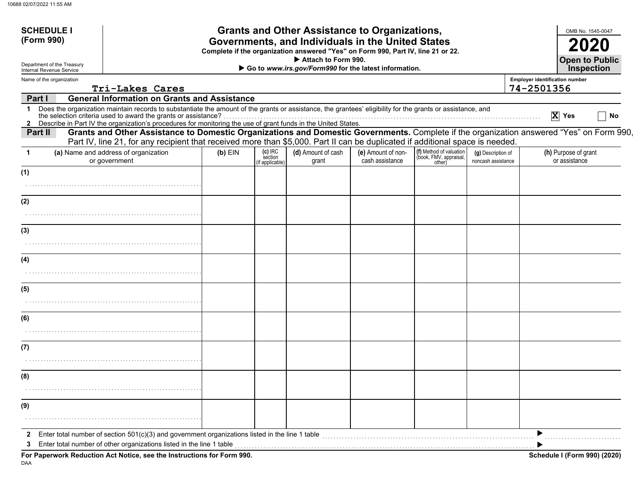| <b>SCHEDULE I</b><br>(Form 990)                        |                                                                                                                                                                                                                                                             |           |                                       | <b>Grants and Other Assistance to Organizations,</b><br>Governments, and Individuals in the United States |                    |                                                             |                    |                                       | OMB No. 1545-0047                          |    |
|--------------------------------------------------------|-------------------------------------------------------------------------------------------------------------------------------------------------------------------------------------------------------------------------------------------------------------|-----------|---------------------------------------|-----------------------------------------------------------------------------------------------------------|--------------------|-------------------------------------------------------------|--------------------|---------------------------------------|--------------------------------------------|----|
|                                                        |                                                                                                                                                                                                                                                             |           |                                       | Complete if the organization answered "Yes" on Form 990, Part IV, line 21 or 22.                          |                    |                                                             |                    |                                       |                                            |    |
| Department of the Treasury<br>Internal Revenue Service | Attach to Form 990.<br>Go to www.irs.gov/Form990 for the latest information.                                                                                                                                                                                |           |                                       |                                                                                                           |                    |                                                             |                    |                                       | <b>Open to Public</b><br><b>Inspection</b> |    |
| Name of the organization                               |                                                                                                                                                                                                                                                             |           |                                       |                                                                                                           |                    |                                                             |                    | <b>Employer identification number</b> |                                            |    |
| Part I                                                 | Tri-Lakes Cares<br><b>General Information on Grants and Assistance</b>                                                                                                                                                                                      |           |                                       |                                                                                                           |                    |                                                             |                    | 74-2501356                            |                                            |    |
| 1.                                                     | Does the organization maintain records to substantiate the amount of the grants or assistance, the grantees' eligibility for the grants or assistance, and<br>the selection criteria used to award the grants or assistance?                                |           |                                       |                                                                                                           |                    |                                                             |                    |                                       | $\overline{X}$ Yes                         | No |
| Part II                                                | 2 Describe in Part IV the organization's procedures for monitoring the use of grant funds in the United States.<br>Grants and Other Assistance to Domestic Organizations and Domestic Governments. Complete if the organization answered "Yes" on Form 990, |           |                                       |                                                                                                           |                    |                                                             |                    |                                       |                                            |    |
|                                                        | Part IV, line 21, for any recipient that received more than \$5,000. Part II can be duplicated if additional space is needed.<br>(a) Name and address of organization                                                                                       | $(b)$ EIN |                                       | (d) Amount of cash                                                                                        | (e) Amount of non- |                                                             | (g) Description of |                                       | (h) Purpose of grant                       |    |
|                                                        | or government                                                                                                                                                                                                                                               |           | (c) IRC<br>section<br>(if applicable) | grant                                                                                                     | cash assistance    | (f) Method of valuation<br>(book, FMV, appraisal,<br>other) | noncash assistance |                                       | or assistance                              |    |
| (1)                                                    |                                                                                                                                                                                                                                                             |           |                                       |                                                                                                           |                    |                                                             |                    |                                       |                                            |    |
|                                                        |                                                                                                                                                                                                                                                             |           |                                       |                                                                                                           |                    |                                                             |                    |                                       |                                            |    |
| (2)                                                    |                                                                                                                                                                                                                                                             |           |                                       |                                                                                                           |                    |                                                             |                    |                                       |                                            |    |
|                                                        |                                                                                                                                                                                                                                                             |           |                                       |                                                                                                           |                    |                                                             |                    |                                       |                                            |    |
| (3)                                                    |                                                                                                                                                                                                                                                             |           |                                       |                                                                                                           |                    |                                                             |                    |                                       |                                            |    |
|                                                        |                                                                                                                                                                                                                                                             |           |                                       |                                                                                                           |                    |                                                             |                    |                                       |                                            |    |
| (4)                                                    |                                                                                                                                                                                                                                                             |           |                                       |                                                                                                           |                    |                                                             |                    |                                       |                                            |    |
|                                                        |                                                                                                                                                                                                                                                             |           |                                       |                                                                                                           |                    |                                                             |                    |                                       |                                            |    |
| (5)                                                    |                                                                                                                                                                                                                                                             |           |                                       |                                                                                                           |                    |                                                             |                    |                                       |                                            |    |
|                                                        |                                                                                                                                                                                                                                                             |           |                                       |                                                                                                           |                    |                                                             |                    |                                       |                                            |    |
| (6)                                                    |                                                                                                                                                                                                                                                             |           |                                       |                                                                                                           |                    |                                                             |                    |                                       |                                            |    |
|                                                        |                                                                                                                                                                                                                                                             |           |                                       |                                                                                                           |                    |                                                             |                    |                                       |                                            |    |
| (7)                                                    |                                                                                                                                                                                                                                                             |           |                                       |                                                                                                           |                    |                                                             |                    |                                       |                                            |    |
|                                                        |                                                                                                                                                                                                                                                             |           |                                       |                                                                                                           |                    |                                                             |                    |                                       |                                            |    |
| (8)                                                    |                                                                                                                                                                                                                                                             |           |                                       |                                                                                                           |                    |                                                             |                    |                                       |                                            |    |
|                                                        |                                                                                                                                                                                                                                                             |           |                                       |                                                                                                           |                    |                                                             |                    |                                       |                                            |    |
| (9)                                                    |                                                                                                                                                                                                                                                             |           |                                       |                                                                                                           |                    |                                                             |                    |                                       |                                            |    |
|                                                        |                                                                                                                                                                                                                                                             |           |                                       |                                                                                                           |                    |                                                             |                    |                                       |                                            |    |
| 2                                                      | Enter total number of section $501(c)(3)$ and government organizations listed in the line 1 table<br>Enter total number of other organizations listed in the line 1 table                                                                                   |           |                                       |                                                                                                           |                    |                                                             |                    |                                       |                                            |    |
|                                                        | For Paperwork Reduction Act Notice, see the Instructions for Form 990.                                                                                                                                                                                      |           |                                       |                                                                                                           |                    |                                                             |                    |                                       | <b>Schedule I (Form 990) (2020)</b>        |    |

DAA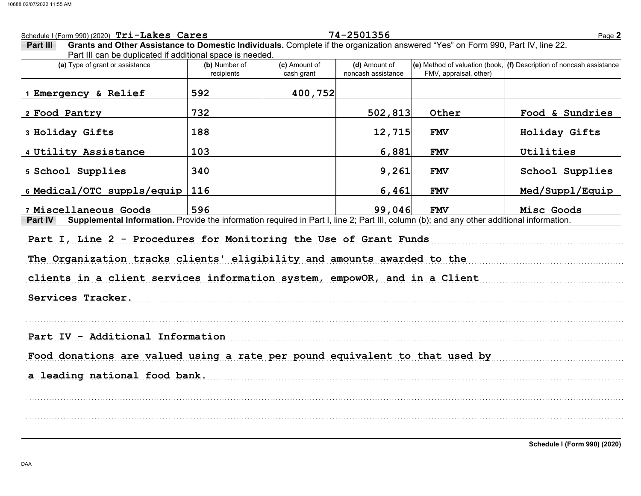**Part III**

FMV, appraisal, other) **(d)** Amount of **(e)** Method of valuation (book, **(f)** Description of noncash assistance cash grant **(a)** Type of grant or assistance **(b)** Number of **(c)** Amount of Part III can be duplicated if additional space is needed. recipients and increment cash arant noncash assistance **Part IV** Supplemental Information. Provide the information required in Part I, line 2; Part III, column (b); and any other additional information. . . . . . . . . . . . . . . . . . . . . . . . . . . . . . . . . . . . . . . . . . . . . . . . . . . . . . . . . . . . . . . . . . . . . . . . . . . . . . . . . . . . . . . . . . . . . . . . . . . . . . . . . . . . . . . . . . . . . . . . . . . . . . . . . . . . . . . . . . . . . . . . . . . . . . . . . . . . . . . . . . . . . . . . . . . . . . . . . . . . . . . . . . . . . . . . . . . . . . . . . . . . . . . . . . . .. . . . . . . . . . . . . . . . . . . . . . . . . . . . . . . . . . . . . . . . . . . . . . . . . . . . . . . . . . . . . . . . . . . . . . . . . . . . . . . . . . . . . . . . . . . . . . . . . . . . . . . . . . . . . . . . . . . . . . . . . . . . . . . . . . . . . . . . . . . . . . . . . . . . . . . . . . . . . . . . . . . . . . . . . . . . . . . . . . . . . . . . . . . . . . . . . . . . . . . . . . . . . . . . . . .. . . . . . . . . . . . . . . . . . . . . . . . . . . . . . . . . . . . . . . . . . . . . . . . . . . . . . . . . . . . . . . . . . . . . . . . . . . . . . . . . . . . . . . . . . . . . . . . . . . . . . . . . . . . . . . . . . . . . . . . . . . . . . . . . . . . . . . . . . . . . . . . . . . . . . . . . . . . . . . . . . . . . . . . . . . . . . . . . . . . . . . . . . . . . . . . . . . . . . . . . . . . . . . . . . .. . . . . . . . . . . . . . . . . . . . . . . . . . . . . . . . . . . . . . . . . . . . . . . . . . . . . . . . . . . . . . . . . . . . . . . . . . . . . . . . . . . . . . . . . . . . . . . . . . . . . . . . . . . . . . . . . . . . . . . . . . . . . . . . . . . . . . . . . . . . . . . . . . . . . . . . . . . . . . . . . . . . . . . . . . . . . . . . . . . . . . . . . . . . . . . . . . . . . . . . . . . . . . . . . . .. . . . . . . . . . . . . . . . . . . . . . . . . . . . . . . . . . . . . . . . . . . . . . . . . . . . . . . . . . . . . . . . . . . . . . . . . . . . . . . . . . . . . . . . . . . . . . . . . . . . . . . . . . . . . . . . . . . . . . . . . . . . . . . . . . . . . . . . . . . . . . . . . . . . . . . . . . . . . . . . . . . . . . . . . . . . . . . . . . . . . . . . . . . . . . . . . . . . . . . . . . . . . . . . . . .. . . . . . . . . . . . . . . . . . . . . . . . . . . . . . . . . . . . . . . . . . . . . . . . . . . . . . . . . . . . . . . . . . . . . . . . . . . . . . . . . . . . . . . . . . . . . . . . . . . . . . . . . . . . . . . . . . . . . . . . . . . . . . . . . . . . . . . . . . . . . . . . . . . . . . . . . . . . . . . . . . . . . . . . . . . . . . . . . . . . . . . . . . . . . . . . . . . . . . . . . . . . . . . . . . .. . . . . . . . . . . . . . . . . . . . . . . . . . . . . . . . . . . . . . . . . . . . . . . . . . . . . . . . . . . . . . . . . . . . . . . . . . . . . . . . . . . . . . . . . . . . . . . . . . . . . . . . . . . . . . . . . . . . . . . . . . . . . . . . . . . . . . . . . . . . . . . . . . . . . . . . . . . . . . . . . . . . . . . . . . . . . . . . . . . . . . . . . . . . . . . . . . . . . . . . . . . . . . . . . . .. . . . . . . . . . . . . . . . . . . . . . . . . . . . . . . . . . . . . . . . . . . . . . . . . . . . . . . . . . . . . . . . . . . . . . . . . . . . . . . . . . . . . . . . . . . . . . . . . . . . . . . . . . . . . . . . . . . . . . . . . . . . . . . . . . . . . . . . . . . . . . . . . . . . . . . . . . . . . . . . . . . . . . . . . . . . . . . . . . . . . . . . . . . . . . . . . . . . . . . . . . . . . . . . . . .. . . . . . . . . . . . . . . . . . . . . . . . . . . . . . . . . . . . . . . . . . . . . . . . . . . . . . . . . . . . . . . . . . . . . . . . . . . . . . . . . . . . . . . . . . . . . . . . . . . . . . . . . . . . . . . . . . . . . . . . . . . . . . . . . . . . . . . . . . . . . . . . . . . . . . . . . . . . . . . . . . . . . . . . . . . . . . . . . . . . . . . . . . . . . . . . . . . . . . . . . . . . . . . . . . .. . . . . . . . . . . . . . . . . . . . . . . . . . . . . . . . . . . . . . . . . . . . . . . . . . . . . . . . . . . . . . . . . . . . . . . . . . . . . . . . . . . . . . . . . . . . . . . . . . . . . . . . . . . . . . . . . . . . . . . . . . . . . . . . . . . . . . . . . . . . . . . . . . . . . . . . . . . . . . . . . . . . . . . . . . . . . . . . . . . . . . . . . . . . . . . . . . . . . . . . . . . . . . . . . . .**1 Emergency & Relief 592 400,752 2 3 4 Utility Assistance 103 6,881 FMV Utilities 5 6 Medical/OTC suppls/equip 116 6,461 FMV Med/Suppl/Equip 7 Miscellaneous Goods 596 99,046 FMV Misc Goods Food Pantry 732 502,813 Other Food & Sundries Holiday Gifts 188 12,715 FMV Holiday Gifts School Supplies 340 9,261 FMV School Supplies Part I, Line 2 - Procedures for Monitoring the Use of Grant Funds The Organization tracks clients' eligibility and amounts awarded to the clients in a client services information system, empowOR, and in a Client Services Tracker.Part IV - Additional InformationFood donations are valued using a rate per pound equivalent to that used by a leading national food bank.**

**Grants and Other Assistance to Domestic Individuals.** Complete if the organization answered "Yes" on Form 990, Part IV, line 22.

Schedule I (Form 990) (2020) Page **2 Tri-Lakes Cares 74-2501356**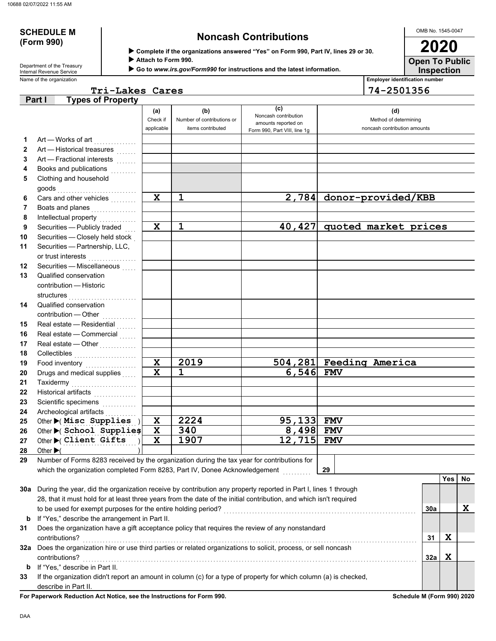# **(Form 990)**

## **Complete if the organizations answered "Yes" on Form 990, Part IV, lines 29 or 30. SCHEDULE M Noncash Contributions**

OMB No. 1545-0047 **2020**

| Department of the Treasury |
|----------------------------|
| Internal Revenue Service   |

Name of the organization **Employer identification number**

| Attach to Form 990.                                                    |  |  |
|------------------------------------------------------------------------|--|--|
| Go to www.irs.gov/Form990 for instructions and the latest information. |  |  |

**Inspection Open To Public**

**Tri-Lakes Cares 74-2501356**

|              | <b>Types of Property</b><br>Part I                                                                                 |                         |                            |                                             |                              |     |            |     |
|--------------|--------------------------------------------------------------------------------------------------------------------|-------------------------|----------------------------|---------------------------------------------|------------------------------|-----|------------|-----|
|              |                                                                                                                    | (a)                     | (b)                        | (c)                                         | (d)                          |     |            |     |
|              |                                                                                                                    | Check if                | Number of contributions or | Noncash contribution<br>amounts reported on | Method of determining        |     |            |     |
|              |                                                                                                                    | applicable              | items contributed          | Form 990, Part VIII, line 1g                | noncash contribution amounts |     |            |     |
| 1            | Art - Works of art                                                                                                 |                         |                            |                                             |                              |     |            |     |
| $\mathbf{2}$ | Art - Historical treasures                                                                                         |                         |                            |                                             |                              |     |            |     |
| 3            | Art - Fractional interests                                                                                         |                         |                            |                                             |                              |     |            |     |
| 4            | Books and publications                                                                                             |                         |                            |                                             |                              |     |            |     |
| 5            | Clothing and household                                                                                             |                         |                            |                                             |                              |     |            |     |
|              | goods                                                                                                              |                         |                            |                                             |                              |     |            |     |
| 6            | Cars and other vehicles                                                                                            | $\mathbf x$             | $\mathbf{1}$               |                                             | 2,784 donor-provided/KBB     |     |            |     |
| 7            | Boats and planes                                                                                                   |                         |                            |                                             |                              |     |            |     |
| 8            |                                                                                                                    |                         |                            |                                             |                              |     |            |     |
| 9            | Securities - Publicly traded                                                                                       | $\mathbf x$             | $\mathbf{1}$               |                                             | 40,427 quoted market prices  |     |            |     |
| 10           | Securities - Closely held stock                                                                                    |                         |                            |                                             |                              |     |            |     |
| 11           | Securities - Partnership, LLC,                                                                                     |                         |                            |                                             |                              |     |            |     |
|              | or trust interests                                                                                                 |                         |                            |                                             |                              |     |            |     |
| 12           | Securities - Miscellaneous                                                                                         |                         |                            |                                             |                              |     |            |     |
| 13           | Qualified conservation                                                                                             |                         |                            |                                             |                              |     |            |     |
|              | contribution - Historic                                                                                            |                         |                            |                                             |                              |     |            |     |
|              | structures                                                                                                         |                         |                            |                                             |                              |     |            |     |
| 14           | Qualified conservation                                                                                             |                         |                            |                                             |                              |     |            |     |
|              | contribution - Other                                                                                               |                         |                            |                                             |                              |     |            |     |
| 15           | Real estate - Residential                                                                                          |                         |                            |                                             |                              |     |            |     |
| 16           | Real estate - Commercial                                                                                           |                         |                            |                                             |                              |     |            |     |
| 17           | Real estate - Other                                                                                                |                         |                            |                                             |                              |     |            |     |
| 18           | Collectibles                                                                                                       |                         |                            |                                             |                              |     |            |     |
| 19           | Food inventory                                                                                                     | $\overline{\mathbf{x}}$ | 2019                       |                                             | 504,281 Feeding America      |     |            |     |
| 20           | Drugs and medical supplies                                                                                         | $\mathbf x$             | $\mathbf{1}$               | $6,546$ FMV                                 |                              |     |            |     |
| 21           | Taxidermy<br>.                                                                                                     |                         |                            |                                             |                              |     |            |     |
| 22           | Historical artifacts<br>.                                                                                          |                         |                            |                                             |                              |     |            |     |
| 23           | Scientific specimens<br>.                                                                                          |                         |                            |                                             |                              |     |            |     |
| 24           | Archeological artifacts                                                                                            |                         |                            |                                             |                              |     |            |     |
| 25           | Other $\blacktriangleright$ (Misc Supplies )                                                                       | $\mathbf x$             | 2224                       | 95, 133                                     | <b>FMV</b>                   |     |            |     |
| 26           | Other C School Supplies                                                                                            | $\mathbf x$             | 340                        | 8,498                                       | <b>FMV</b>                   |     |            |     |
| 27           | Other Client Gifts                                                                                                 | $\mathbf x$             | 1907                       | 12,715 FMV                                  |                              |     |            |     |
| 28           | Other $\blacktriangleright$ (                                                                                      |                         |                            |                                             |                              |     |            |     |
|              | 29 Number of Forms 8283 received by the organization during the tax year for contributions for                     |                         |                            |                                             |                              |     |            |     |
|              | which the organization completed Form 8283, Part IV, Donee Acknowledgement                                         |                         |                            |                                             | 29                           |     |            |     |
|              |                                                                                                                    |                         |                            |                                             |                              |     | <b>Yes</b> | No. |
|              | 30a During the year, did the organization receive by contribution any property reported in Part I, lines 1 through |                         |                            |                                             |                              |     |            |     |
|              | 28, that it must hold for at least three years from the date of the initial contribution, and which isn't required |                         |                            |                                             |                              |     |            |     |
|              | to be used for exempt purposes for the entire holding period?                                                      |                         |                            |                                             |                              | 30a |            | X   |
|              | <b>b</b> If "Yes," describe the arrangement in Part II.                                                            |                         |                            |                                             |                              |     |            |     |
| 31           | Does the organization have a gift acceptance policy that requires the review of any nonstandard                    |                         |                            |                                             |                              |     |            |     |
|              | contributions?                                                                                                     |                         |                            |                                             |                              | 31  | X          |     |
|              | 32a Does the organization hire or use third parties or related organizations to solicit, process, or sell noncash  |                         |                            |                                             |                              |     |            |     |
|              | contributions?                                                                                                     |                         |                            |                                             |                              | 32a | X          |     |
|              | <b>b</b> If "Yes," describe in Part II.                                                                            |                         |                            |                                             |                              |     |            |     |
| 33           | If the organization didn't report an amount in column (c) for a type of property for which column (a) is checked,  |                         |                            |                                             |                              |     |            |     |
|              | describe in Part II.                                                                                               |                         |                            |                                             |                              |     |            |     |

**For Paperwork Reduction Act Notice, see the Instructions for Form 990. Schedule M (Form 990) 2020**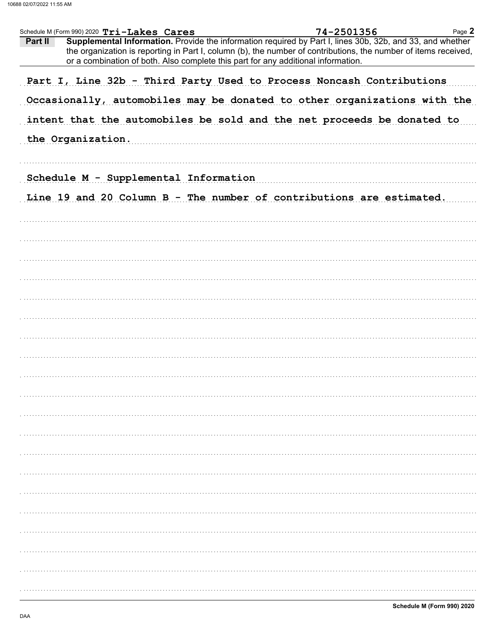| Part II | Schedule M (Form 990) 2020 Tri-Lakes Cares<br>Supplemental Information. Provide the information required by Part I, lines 30b, 32b, and 33, and whether<br>the organization is reporting in Part I, column (b), the number of contributions, the number of items received,<br>or a combination of both. Also complete this part for any additional information. | 74-2501356 | Page 2 |
|---------|-----------------------------------------------------------------------------------------------------------------------------------------------------------------------------------------------------------------------------------------------------------------------------------------------------------------------------------------------------------------|------------|--------|
|         | Part I, Line 32b - Third Party Used to Process Noncash Contributions                                                                                                                                                                                                                                                                                            |            |        |
|         | Occasionally, automobiles may be donated to other organizations with the                                                                                                                                                                                                                                                                                        |            |        |
|         | intent that the automobiles be sold and the net proceeds be donated to                                                                                                                                                                                                                                                                                          |            |        |
|         | the Organization.                                                                                                                                                                                                                                                                                                                                               |            |        |
|         | Schedule M - Supplemental Information                                                                                                                                                                                                                                                                                                                           |            |        |
|         | Line 19 and 20 Column B - The number of contributions are estimated.                                                                                                                                                                                                                                                                                            |            |        |
|         |                                                                                                                                                                                                                                                                                                                                                                 |            |        |
|         |                                                                                                                                                                                                                                                                                                                                                                 |            |        |
|         |                                                                                                                                                                                                                                                                                                                                                                 |            |        |
|         |                                                                                                                                                                                                                                                                                                                                                                 |            |        |
|         |                                                                                                                                                                                                                                                                                                                                                                 |            |        |
|         |                                                                                                                                                                                                                                                                                                                                                                 |            |        |
|         |                                                                                                                                                                                                                                                                                                                                                                 |            |        |
|         |                                                                                                                                                                                                                                                                                                                                                                 |            |        |
|         |                                                                                                                                                                                                                                                                                                                                                                 |            |        |
|         |                                                                                                                                                                                                                                                                                                                                                                 |            |        |
|         |                                                                                                                                                                                                                                                                                                                                                                 |            |        |
|         |                                                                                                                                                                                                                                                                                                                                                                 |            |        |
|         |                                                                                                                                                                                                                                                                                                                                                                 |            |        |
|         |                                                                                                                                                                                                                                                                                                                                                                 |            |        |
|         |                                                                                                                                                                                                                                                                                                                                                                 |            |        |
|         |                                                                                                                                                                                                                                                                                                                                                                 |            |        |
|         |                                                                                                                                                                                                                                                                                                                                                                 |            |        |
|         |                                                                                                                                                                                                                                                                                                                                                                 |            |        |
|         |                                                                                                                                                                                                                                                                                                                                                                 |            |        |
|         |                                                                                                                                                                                                                                                                                                                                                                 |            |        |
|         |                                                                                                                                                                                                                                                                                                                                                                 |            |        |
|         |                                                                                                                                                                                                                                                                                                                                                                 |            |        |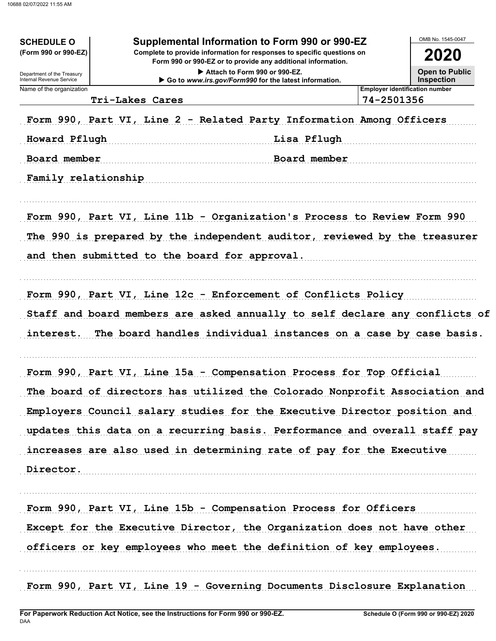| <b>SCHEDULE O</b><br>(Form 990 or 990-EZ)                     | Supplemental Information to Form 990 or 990-EZ<br>Complete to provide information for responses to specific questions on<br>Form 990 or 990-EZ or to provide any additional information.<br>Attach to Form 990 or 990-EZ. |              |                                                     |  |  |  |  |
|---------------------------------------------------------------|---------------------------------------------------------------------------------------------------------------------------------------------------------------------------------------------------------------------------|--------------|-----------------------------------------------------|--|--|--|--|
| Department of the Treasury<br><b>Internal Revenue Service</b> | <b>Open to Public</b><br><b>Inspection</b>                                                                                                                                                                                |              |                                                     |  |  |  |  |
| Name of the organization                                      | Tri-Lakes Cares                                                                                                                                                                                                           |              | <b>Employer identification number</b><br>74-2501356 |  |  |  |  |
|                                                               | Form 990, Part VI, Line 2 - Related Party Information Among Officers                                                                                                                                                      |              |                                                     |  |  |  |  |
| Howard Pflugh                                                 |                                                                                                                                                                                                                           | Lisa Pflugh  |                                                     |  |  |  |  |
| Board member                                                  |                                                                                                                                                                                                                           | Board member |                                                     |  |  |  |  |
| Family relationship                                           |                                                                                                                                                                                                                           |              |                                                     |  |  |  |  |
|                                                               | Form 990, Part VI, Line 11b - Organization's Process to Review Form 990                                                                                                                                                   |              |                                                     |  |  |  |  |
|                                                               | The 990 is prepared by the independent auditor, reviewed by the treasurer<br>and then submitted to the board for approval.                                                                                                |              |                                                     |  |  |  |  |
|                                                               | Form 990, Part VI, Line 12c - Enforcement of Conflicts Policy                                                                                                                                                             |              |                                                     |  |  |  |  |
|                                                               | Staff and board members are asked annually to self declare any conflicts of                                                                                                                                               |              |                                                     |  |  |  |  |
| interest.                                                     | The board handles individual instances on a case by case basis.                                                                                                                                                           |              |                                                     |  |  |  |  |
|                                                               | Form 990, Part VI, Line 15a - Compensation Process for Top Official                                                                                                                                                       |              |                                                     |  |  |  |  |
|                                                               | The board of directors has utilized the Colorado Nonprofit Association and                                                                                                                                                |              |                                                     |  |  |  |  |
|                                                               | Employers Council salary studies for the Executive Director position and                                                                                                                                                  |              |                                                     |  |  |  |  |
|                                                               | updates this data on a recurring basis. Performance and overall staff pay                                                                                                                                                 |              |                                                     |  |  |  |  |
|                                                               | increases are also used in determining rate of pay for the Executive                                                                                                                                                      |              |                                                     |  |  |  |  |
| Director.                                                     |                                                                                                                                                                                                                           |              |                                                     |  |  |  |  |
|                                                               | Form 990, Part VI, Line 15b - Compensation Process for Officers                                                                                                                                                           |              |                                                     |  |  |  |  |
|                                                               | Except for the Executive Director, the Organization does not have other                                                                                                                                                   |              |                                                     |  |  |  |  |
|                                                               | officers or key employees who meet the definition of key employees.                                                                                                                                                       |              |                                                     |  |  |  |  |
|                                                               | Form 990, Part VI, Line 19 - Governing Documents Disclosure Explanation                                                                                                                                                   |              |                                                     |  |  |  |  |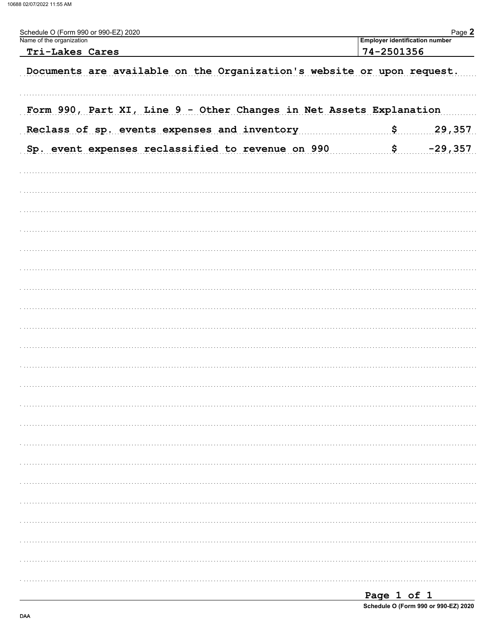| Schedule O (Form 990 or 990-EZ) 2020<br>Name of the organization<br>Tri-Lakes Cares | Page 2<br><b>Employer identification number</b><br>74-2501356 |                             |  |           |  |
|-------------------------------------------------------------------------------------|---------------------------------------------------------------|-----------------------------|--|-----------|--|
| Documents are available on the Organization's website or upon request.              |                                                               |                             |  |           |  |
| Form 990, Part XI, Line 9 - Other Changes in Net Assets Explanation                 |                                                               |                             |  |           |  |
| Reclass of sp. events expenses and inventory                                        |                                                               | $\boldsymbol{\mathsf{S}}$ . |  | 29,357    |  |
| Sp. event expenses reclassified to revenue on 990                                   | . <b>\$</b> .                                                 |                             |  | $-29,357$ |  |
|                                                                                     |                                                               |                             |  |           |  |
|                                                                                     |                                                               |                             |  |           |  |
|                                                                                     |                                                               |                             |  |           |  |
|                                                                                     |                                                               |                             |  |           |  |
|                                                                                     |                                                               |                             |  |           |  |
|                                                                                     |                                                               |                             |  |           |  |
|                                                                                     |                                                               |                             |  |           |  |
|                                                                                     |                                                               |                             |  |           |  |
|                                                                                     |                                                               |                             |  |           |  |
|                                                                                     |                                                               |                             |  |           |  |
|                                                                                     |                                                               |                             |  |           |  |
|                                                                                     |                                                               |                             |  |           |  |
|                                                                                     |                                                               |                             |  |           |  |
|                                                                                     |                                                               |                             |  |           |  |
|                                                                                     |                                                               |                             |  |           |  |
|                                                                                     |                                                               |                             |  |           |  |
|                                                                                     |                                                               |                             |  |           |  |
|                                                                                     |                                                               |                             |  |           |  |
|                                                                                     |                                                               |                             |  |           |  |
|                                                                                     |                                                               |                             |  |           |  |
|                                                                                     |                                                               |                             |  |           |  |
|                                                                                     |                                                               |                             |  |           |  |

| Page 1 of 1 |  |                                      |
|-------------|--|--------------------------------------|
|             |  | Schedule O (Form 990 or 990-EZ) 2020 |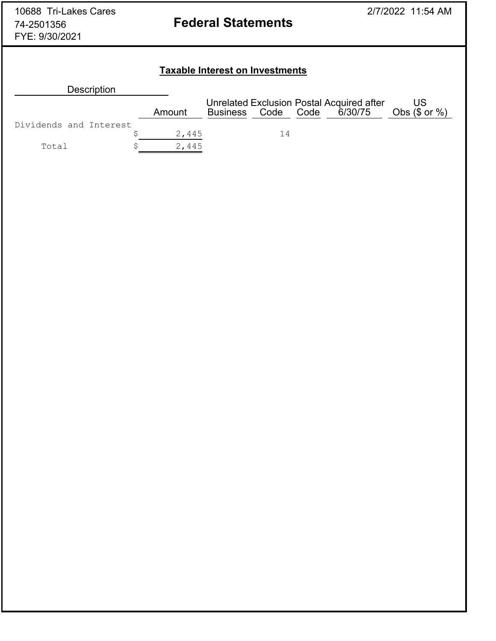# 74-2501356 **Federal Statements**

### **Taxable Interest on Investments**

| <b>Description</b>     |        |                    |    |                                           |                    |
|------------------------|--------|--------------------|----|-------------------------------------------|--------------------|
|                        |        |                    |    | Unrelated Exclusion Postal Acquired after | US                 |
|                        | Amount | Business Code Code |    | 6/30/75                                   | Obs $(\$$ or $%$ ) |
| Dividends and Interest |        |                    |    |                                           |                    |
|                        | 2,445  |                    | 14 |                                           |                    |
| Total                  | 2,445  |                    |    |                                           |                    |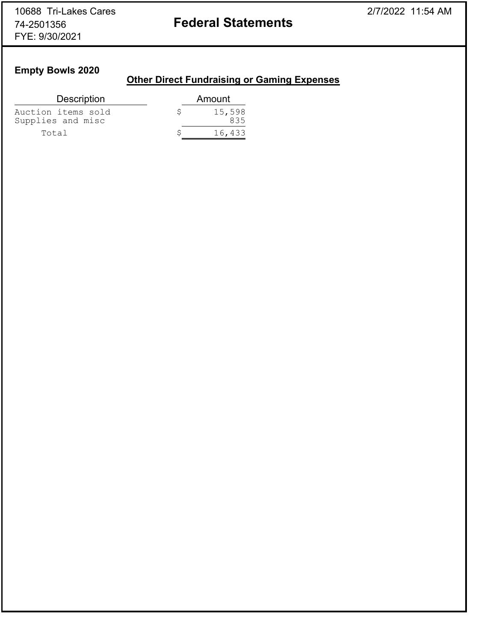## 74-2501356 **Federal Statements**

### **Empty Bowls 2020**

### **Other Direct Fundraising or Gaming Expenses**

| <b>Description</b> |   | Amount |
|--------------------|---|--------|
| Auction items sold |   | 15,598 |
| Supplies and misc  |   | 835    |
| Total              | S | 16,433 |